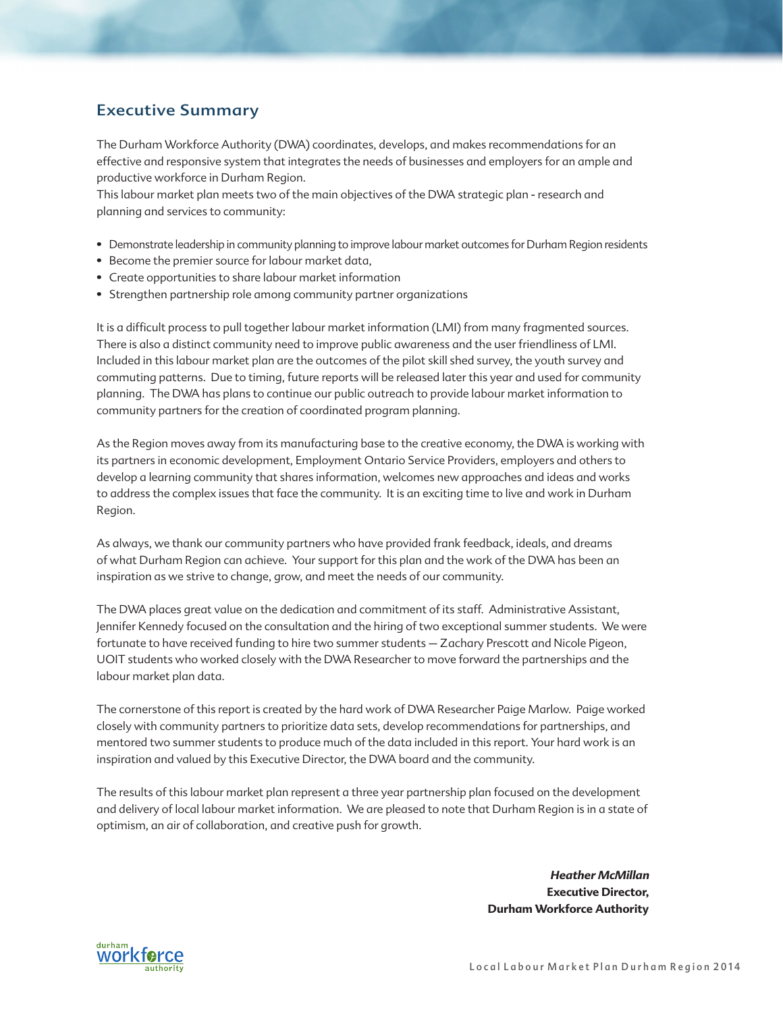# Executive Summary

The Durham Workforce Authority (DWA) coordinates, develops, and makes recommendations for an effective and responsive system that integrates the needs of businesses and employers for an ample and productive workforce in Durham Region.

This labour market plan meets two of the main objectives of the DWA strategic plan - research and planning and services to community:

- Demonstrate leadership in community planning to improve labour market outcomes for Durham Region residents
- Become the premier source for labour market data,
- Create opportunities to share labour market information
- Strengthen partnership role among community partner organizations

It is a difficult process to pull together labour market information (LMI) from many fragmented sources. There is also a distinct community need to improve public awareness and the user friendliness of LMI. Included in this labour market plan are the outcomes of the pilot skill shed survey, the youth survey and commuting patterns. Due to timing, future reports will be released later this year and used for community planning. The DWA has plans to continue our public outreach to provide labour market information to community partners for the creation of coordinated program planning.

As the Region moves away from its manufacturing base to the creative economy, the DWA is working with its partners in economic development, Employment Ontario Service Providers, employers and others to develop a learning community that shares information, welcomes new approaches and ideas and works to address the complex issues that face the community. It is an exciting time to live and work in Durham Region.

As always, we thank our community partners who have provided frank feedback, ideals, and dreams of what Durham Region can achieve. Your support for this plan and the work of the DWA has been an inspiration as we strive to change, grow, and meet the needs of our community.

The DWA places great value on the dedication and commitment of its staff. Administrative Assistant, Jennifer Kennedy focused on the consultation and the hiring of two exceptional summer students. We were fortunate to have received funding to hire two summer students – Zachary Prescott and Nicole Pigeon, UOIT students who worked closely with the DWA Researcher to move forward the partnerships and the labour market plan data.

The cornerstone of this report is created by the hard work of DWA Researcher Paige Marlow. Paige worked closely with community partners to prioritize data sets, develop recommendations for partnerships, and mentored two summer students to produce much of the data included in this report. Your hard work is an inspiration and valued by this Executive Director, the DWA board and the community.

The results of this labour market plan represent a three year partnership plan focused on the development and delivery of local labour market information. We are pleased to note that Durham Region is in a state of optimism, an air of collaboration, and creative push for growth.

> **Heather McMillan Executive Director, Durham Workforce Authority**

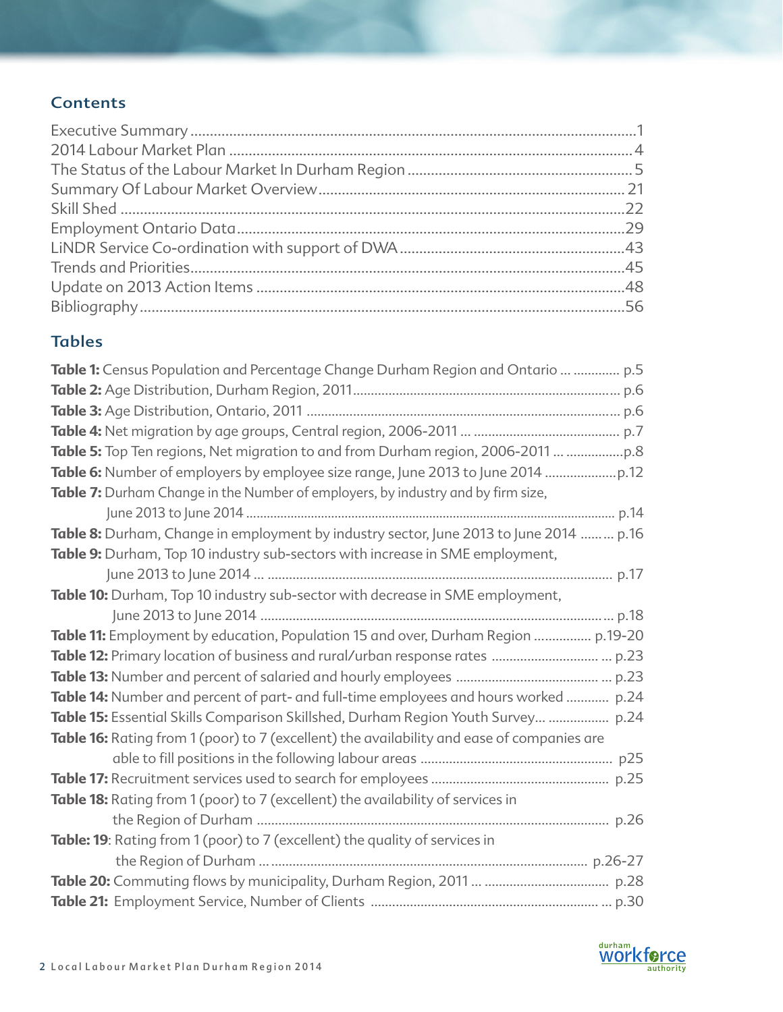# **Contents**

# Tables

| Table 1: Census Population and Percentage Change Durham Region and Ontario   p.5           |  |
|--------------------------------------------------------------------------------------------|--|
|                                                                                            |  |
|                                                                                            |  |
|                                                                                            |  |
| Table 5: Top Ten regions, Net migration to and from Durham region, 2006-2011               |  |
| Table 6: Number of employers by employee size range, June 2013 to June 2014                |  |
| Table 7: Durham Change in the Number of employers, by industry and by firm size,           |  |
|                                                                                            |  |
| Table 8: Durham, Change in employment by industry sector, June 2013 to June 2014  p.16     |  |
| Table 9: Durham, Top 10 industry sub-sectors with increase in SME employment,              |  |
|                                                                                            |  |
| Table 10: Durham, Top 10 industry sub-sector with decrease in SME employment,              |  |
|                                                                                            |  |
| Table 11: Employment by education, Population 15 and over, Durham Region  p.19-20          |  |
|                                                                                            |  |
|                                                                                            |  |
| Table 14: Number and percent of part- and full-time employees and hours worked  p.24       |  |
| Table 15: Essential Skills Comparison Skillshed, Durham Region Youth Survey  p.24          |  |
| Table 16: Rating from 1 (poor) to 7 (excellent) the availability and ease of companies are |  |
|                                                                                            |  |
|                                                                                            |  |
| Table 18: Rating from 1 (poor) to 7 (excellent) the availability of services in            |  |
|                                                                                            |  |
| Table: 19: Rating from 1 (poor) to 7 (excellent) the quality of services in                |  |
|                                                                                            |  |
|                                                                                            |  |
|                                                                                            |  |

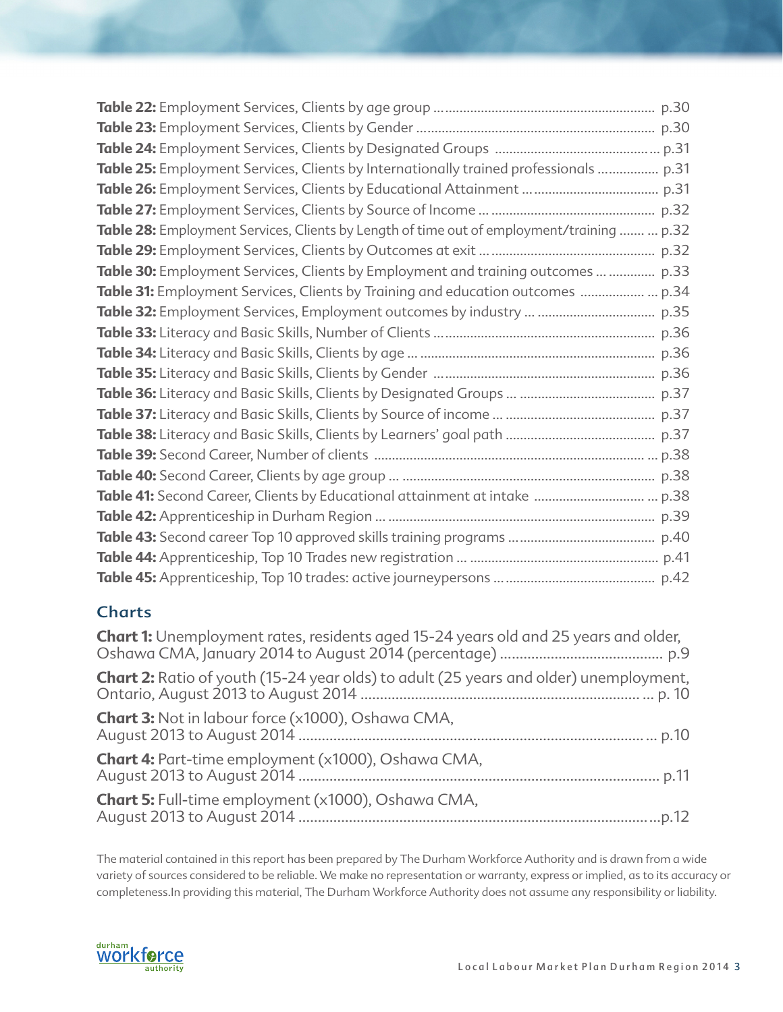| Table 25: Employment Services, Clients by Internationally trained professionals  p.31      |
|--------------------------------------------------------------------------------------------|
|                                                                                            |
|                                                                                            |
| Table 28: Employment Services, Clients by Length of time out of employment/training   p.32 |
|                                                                                            |
| Table 30: Employment Services, Clients by Employment and training outcomes   p.33          |
| Table 31: Employment Services, Clients by Training and education outcomes  p.34            |
|                                                                                            |
|                                                                                            |
|                                                                                            |
|                                                                                            |
|                                                                                            |
|                                                                                            |
|                                                                                            |
|                                                                                            |
|                                                                                            |
|                                                                                            |
|                                                                                            |
|                                                                                            |
|                                                                                            |
|                                                                                            |

# **Charts**

| <b>Chart 1:</b> Unemployment rates, residents aged 15-24 years old and 25 years and older,   |
|----------------------------------------------------------------------------------------------|
| <b>Chart 2:</b> Ratio of youth (15-24 year olds) to adult (25 years and older) unemployment, |
| <b>Chart 3:</b> Not in labour force (x1000), Oshawa CMA,                                     |
| <b>Chart 4:</b> Part-time employment (x1000), Oshawa CMA,                                    |
| <b>Chart 5:</b> Full-time employment (x1000), Oshawa CMA,                                    |

The material contained in this report has been prepared by The Durham Workforce Authority and is drawn from a wide variety of sources considered to be reliable. We make no representation or warranty, express or implied, as to its accuracy or completeness.In providing this material, The Durham Workforce Authority does not assume any responsibility or liability.

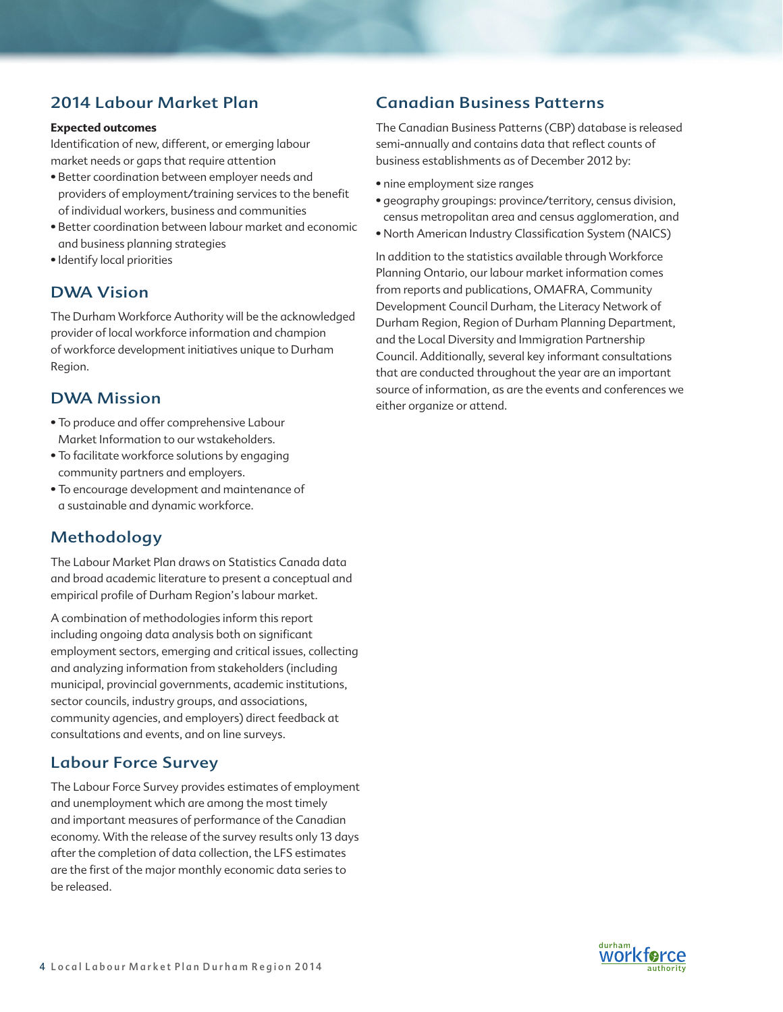# 2014 Labour Market Plan

## **Expected outcomes**

Identification of new, different, or emerging labour market needs or gaps that require attention

- Better coordination between employer needs and providers of employment/training services to the benefit of individual workers, business and communities
- Better coordination between labour market and economic and business planning strategies
- Identify local priorities

# DWA Vision

The Durham Workforce Authority will be the acknowledged provider of local workforce information and champion of workforce development initiatives unique to Durham Region.

# DWA Mission

- To produce and offer comprehensive Labour Market Information to our wstakeholders.
- To facilitate workforce solutions by engaging community partners and employers.
- To encourage development and maintenance of a sustainable and dynamic workforce.

# Methodology

The Labour Market Plan draws on Statistics Canada data and broad academic literature to present a conceptual and empirical profile of Durham Region's labour market.

A combination of methodologies inform this report including ongoing data analysis both on significant employment sectors, emerging and critical issues, collecting and analyzing information from stakeholders (including municipal, provincial governments, academic institutions, sector councils, industry groups, and associations, community agencies, and employers) direct feedback at consultations and events, and on line surveys.

# Labour Force Survey

The Labour Force Survey provides estimates of employment and unemployment which are among the most timely and important measures of performance of the Canadian economy. With the release of the survey results only 13 days after the completion of data collection, the LFS estimates are the first of the major monthly economic data series to be released.

# Canadian Business Patterns

The Canadian Business Patterns (CBP) database is released semi-annually and contains data that reflect counts of business establishments as of December 2012 by:

- nine employment size ranges
- geography groupings: province/territory, census division, census metropolitan area and census agglomeration, and
- North American Industry Classification System (NAICS)

In addition to the statistics available through Workforce Planning Ontario, our labour market information comes from reports and publications, OMAFRA, Community Development Council Durham, the Literacy Network of Durham Region, Region of Durham Planning Department, and the Local Diversity and Immigration Partnership Council. Additionally, several key informant consultations that are conducted throughout the year are an important source of information, as are the events and conferences we either organize or attend.

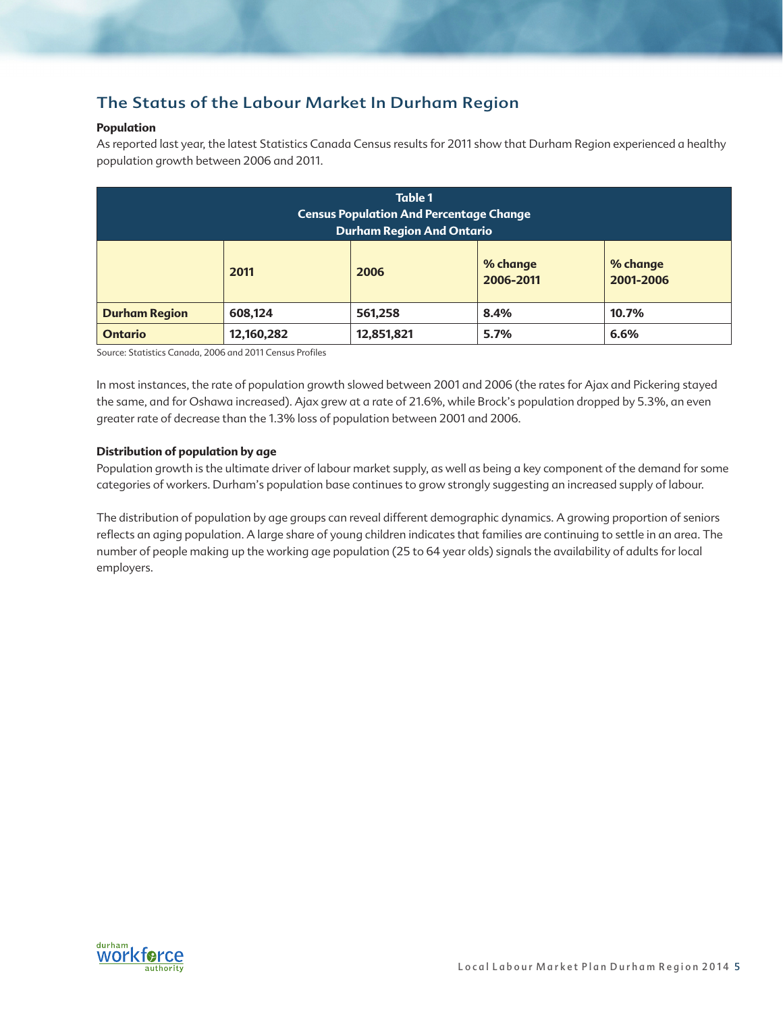# The Status of the Labour Market In Durham Region

# **Population**

As reported last year, the latest Statistics Canada Census results for 2011 show that Durham Region experienced a healthy population growth between 2006 and 2011.

| <b>Table 1</b><br><b>Census Population And Percentage Change</b><br><b>Durham Region And Ontario</b> |            |            |      |       |  |  |
|------------------------------------------------------------------------------------------------------|------------|------------|------|-------|--|--|
| % change<br>% change<br>2011<br>2006<br>2001-2006<br>2006-2011                                       |            |            |      |       |  |  |
| <b>Durham Region</b>                                                                                 | 608,124    | 561,258    | 8.4% | 10.7% |  |  |
| <b>Ontario</b>                                                                                       | 12,160,282 | 12,851,821 | 5.7% | 6.6%  |  |  |

Source: Statistics Canada, 2006 and 2011 Census Profiles

In most instances, the rate of population growth slowed between 2001 and 2006 (the rates for Ajax and Pickering stayed the same, and for Oshawa increased). Ajax grew at a rate of 21.6%, while Brock's population dropped by 5.3%, an even greater rate of decrease than the 1.3% loss of population between 2001 and 2006.

# **Distribution of population by age**

Population growth is the ultimate driver of labour market supply, as well as being a key component of the demand for some categories of workers. Durham's population base continues to grow strongly suggesting an increased supply of labour.

The distribution of population by age groups can reveal different demographic dynamics. A growing proportion of seniors reflects an aging population. A large share of young children indicates that families are continuing to settle in an area. The number of people making up the working age population (25 to 64 year olds) signals the availability of adults for local employers.

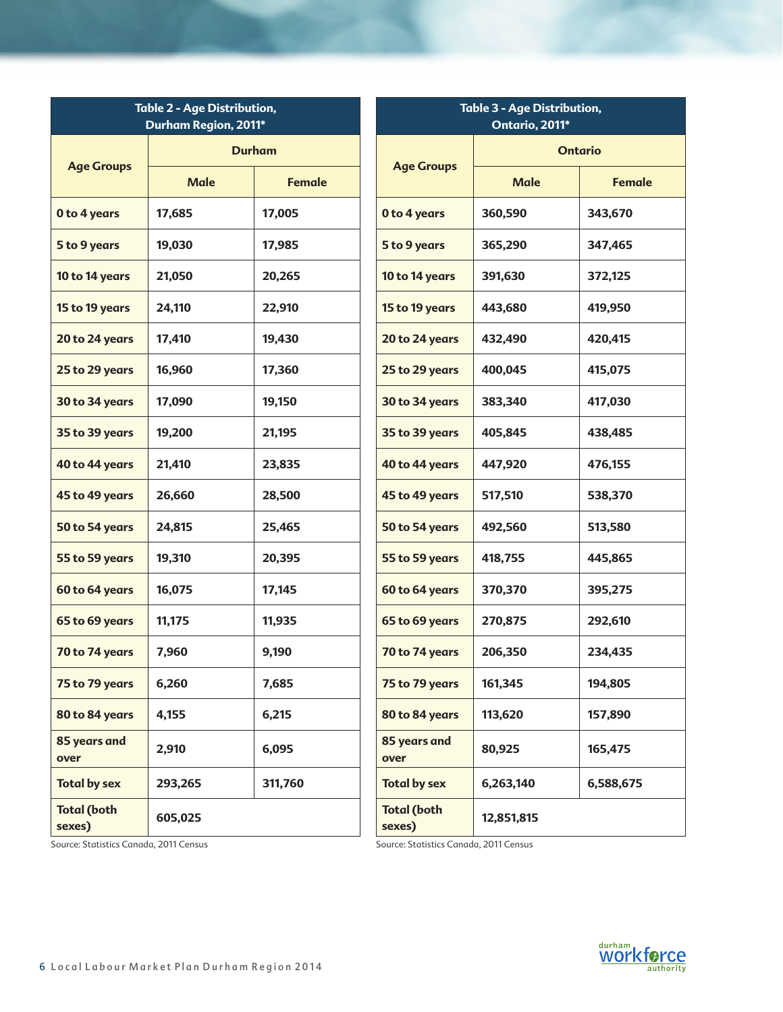| <b>Table 2 - Age Distribution,</b><br>Durham Region, 2011* |               |               | <b>Table 3 - Age Distribution,</b><br>Ontario, 2011* |             |                |  |
|------------------------------------------------------------|---------------|---------------|------------------------------------------------------|-------------|----------------|--|
|                                                            | <b>Durham</b> |               |                                                      |             | <b>Ontario</b> |  |
| <b>Age Groups</b>                                          | <b>Male</b>   | <b>Female</b> | <b>Age Groups</b>                                    | <b>Male</b> | <b>Female</b>  |  |
| 0 to 4 years                                               | 17,685        | 17,005        | 0 to 4 years                                         | 360,590     | 343,670        |  |
| 5 to 9 years                                               | 19,030        | 17,985        | 5 to 9 years                                         | 365,290     | 347,465        |  |
| 10 to 14 years                                             | 21,050        | 20,265        | 10 to 14 years                                       | 391,630     | 372,125        |  |
| 15 to 19 years                                             | 24,110        | 22,910        | 15 to 19 years                                       | 443,680     | 419,950        |  |
| 20 to 24 years                                             | 17,410        | 19,430        | 20 to 24 years                                       | 432,490     | 420,415        |  |
| 25 to 29 years                                             | 16,960        | 17,360        | 25 to 29 years                                       | 400,045     | 415,075        |  |
| 30 to 34 years                                             | 17,090        | 19,150        | 30 to 34 years                                       | 383,340     | 417,030        |  |
| 35 to 39 years                                             | 19,200        | 21,195        | 35 to 39 years                                       | 405,845     | 438,485        |  |
| 40 to 44 years                                             | 21,410        | 23,835        | 40 to 44 years                                       | 447,920     | 476,155        |  |
| 45 to 49 years                                             | 26,660        | 28,500        | 45 to 49 years                                       | 517,510     | 538,370        |  |
| 50 to 54 years                                             | 24,815        | 25,465        | 50 to 54 years                                       | 492,560     | 513,580        |  |
| 55 to 59 years                                             | 19,310        | 20,395        | 55 to 59 years                                       | 418,755     | 445,865        |  |
| 60 to 64 years                                             | 16,075        | 17,145        | 60 to 64 years                                       | 370,370     | 395,275        |  |
| 65 to 69 years                                             | 11,175        | 11,935        | 65 to 69 years                                       | 270,875     | 292,610        |  |
| 70 to 74 years                                             | 7,960         | 9,190         | 70 to 74 years                                       | 206,350     | 234,435        |  |
| 75 to 79 years                                             | 6,260         | 7,685         | 75 to 79 years                                       | 161,345     | 194,805        |  |
| 80 to 84 years                                             | 4,155         | 6,215         | 80 to 84 years                                       | 113,620     | 157,890        |  |
| 85 years and<br>over                                       | 2,910         | 6,095         | 85 years and<br>over                                 | 80,925      | 165,475        |  |
| <b>Total by sex</b>                                        | 293,265       | 311,760       | <b>Total by sex</b>                                  | 6,263,140   | 6,588,675      |  |
| <b>Total (both</b><br>sexes)                               | 605,025       |               | <b>Total (both</b><br>sexes)                         | 12,851,815  |                |  |

Source: Statistics Canada, 2011 Census

Source: Statistics Canada, 2011 Census

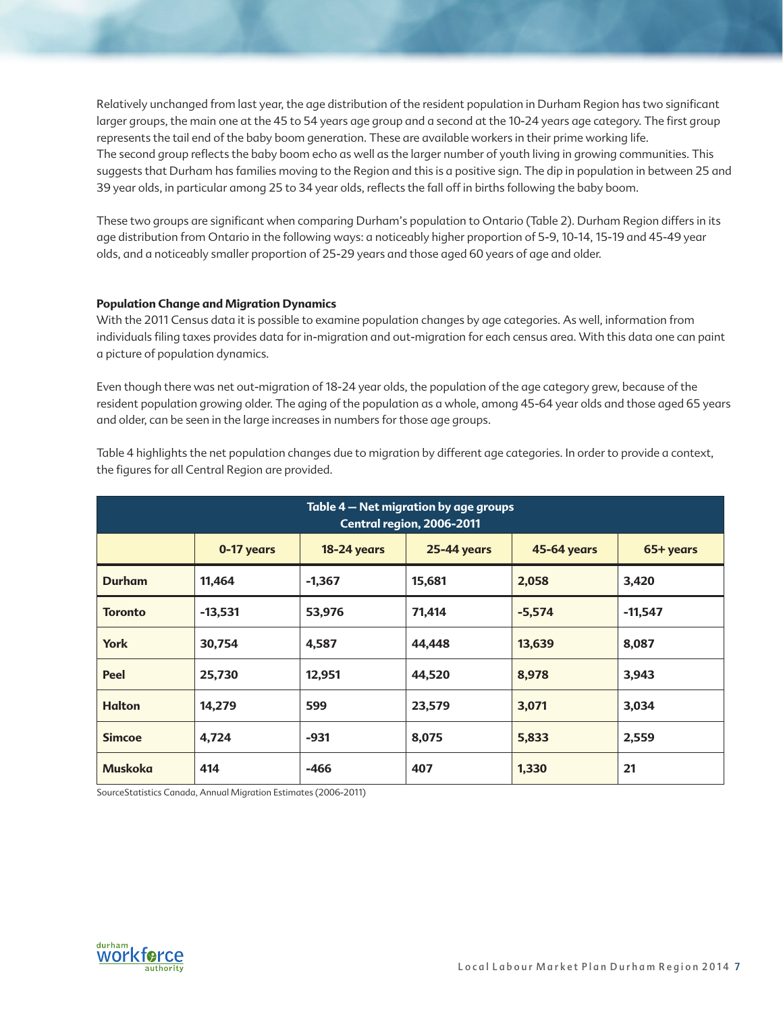Relatively unchanged from last year, the age distribution of the resident population in Durham Region has two significant larger groups, the main one at the 45 to 54 years age group and a second at the 10-24 years age category. The first group represents the tail end of the baby boom generation. These are available workers in their prime working life. The second group reflects the baby boom echo as well as the larger number of youth living in growing communities. This suggests that Durham has families moving to the Region and this is a positive sign. The dip in population in between 25 and 39 year olds, in particular among 25 to 34 year olds, reflects the fall off in births following the baby boom.

These two groups are significant when comparing Durham's population to Ontario (Table 2). Durham Region differs in its age distribution from Ontario in the following ways: a noticeably higher proportion of 5-9, 10-14, 15-19 and 45-49 year olds, and a noticeably smaller proportion of 25-29 years and those aged 60 years of age and older.

### **Population Change and Migration Dynamics**

With the 2011 Census data it is possible to examine population changes by age categories. As well, information from individuals filing taxes provides data for in-migration and out-migration for each census area. With this data one can paint a picture of population dynamics.

Even though there was net out-migration of 18-24 year olds, the population of the age category grew, because of the resident population growing older. The aging of the population as a whole, among 45-64 year olds and those aged 65 years and older, can be seen in the large increases in numbers for those age groups.

| Table 4 - Net migration by age groups<br>Central region, 2006-2011 |                                                                                           |          |        |          |           |  |  |
|--------------------------------------------------------------------|-------------------------------------------------------------------------------------------|----------|--------|----------|-----------|--|--|
|                                                                    | <b>25-44 years</b><br><b>45-64 years</b><br>0-17 years<br><b>18-24 years</b><br>65+ years |          |        |          |           |  |  |
| <b>Durham</b>                                                      | 11,464                                                                                    | $-1,367$ | 15,681 | 2,058    | 3,420     |  |  |
| <b>Toronto</b>                                                     | $-13,531$                                                                                 | 53,976   | 71,414 | $-5,574$ | $-11,547$ |  |  |
| <b>York</b>                                                        | 30,754                                                                                    | 4,587    | 44,448 | 13,639   | 8,087     |  |  |
| Peel                                                               | 25,730                                                                                    | 12,951   | 44,520 | 8,978    | 3,943     |  |  |
| <b>Halton</b>                                                      | 14,279                                                                                    | 599      | 23,579 | 3,071    | 3,034     |  |  |
| <b>Simcoe</b>                                                      | 4,724                                                                                     | $-931$   | 8,075  | 5,833    | 2,559     |  |  |
| <b>Muskoka</b>                                                     | 414                                                                                       | $-466$   | 407    | 1,330    | 21        |  |  |

Table 4 highlights the net population changes due to migration by different age categories. In order to provide a context, the figures for all Central Region are provided.

SourceStatistics Canada, Annual Migration Estimates (2006-2011)

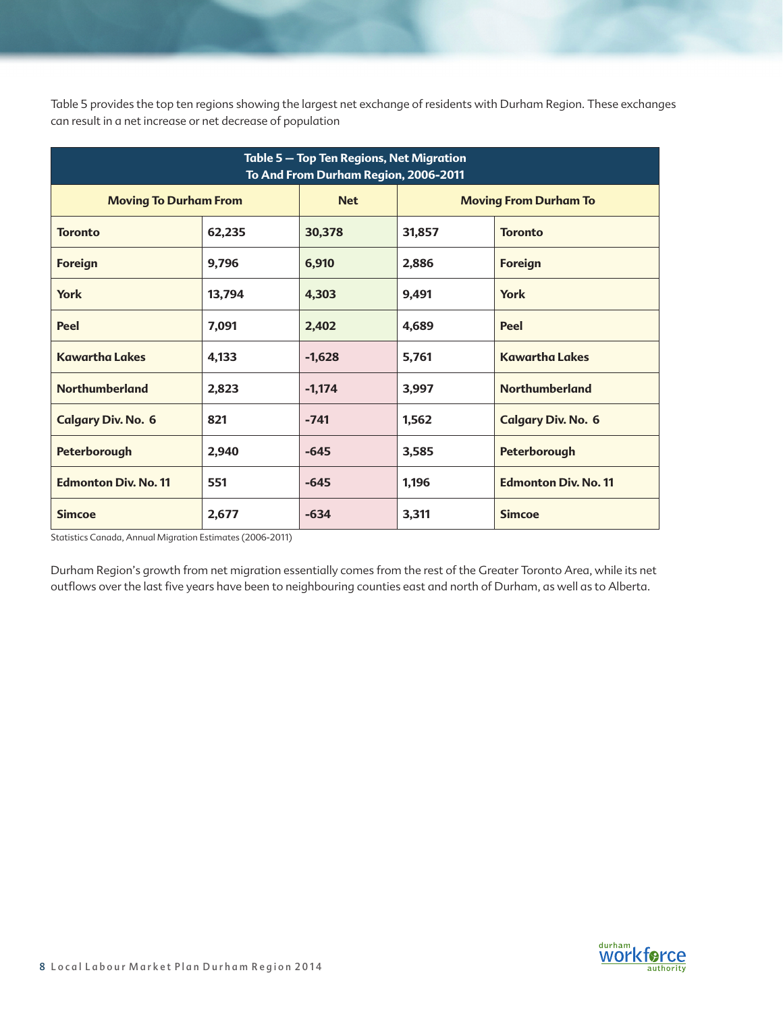Table 5 provides the top ten regions showing the largest net exchange of residents with Durham Region. These exchanges can result in a net increase or net decrease of population

| Table 5 - Top Ten Regions, Net Migration<br>To And From Durham Region, 2006-2011 |        |            |                                    |                              |  |  |
|----------------------------------------------------------------------------------|--------|------------|------------------------------------|------------------------------|--|--|
| <b>Moving To Durham From</b>                                                     |        | <b>Net</b> |                                    | <b>Moving From Durham To</b> |  |  |
| <b>Toronto</b>                                                                   | 62,235 | 30,378     | 31,857                             | <b>Toronto</b>               |  |  |
| <b>Foreign</b>                                                                   | 9,796  | 6,910      | 2,886                              | <b>Foreign</b>               |  |  |
| <b>York</b>                                                                      | 13,794 | 4,303      | 9,491                              | <b>York</b>                  |  |  |
| Peel                                                                             | 7,091  | 2,402      | 4,689                              | Peel                         |  |  |
| <b>Kawartha Lakes</b>                                                            | 4,133  | $-1,628$   | 5,761                              | <b>Kawartha Lakes</b>        |  |  |
| <b>Northumberland</b>                                                            | 2,823  | $-1,174$   | 3,997                              | <b>Northumberland</b>        |  |  |
| <b>Calgary Div. No. 6</b>                                                        | 821    | $-741$     | 1,562<br><b>Calgary Div. No. 6</b> |                              |  |  |
| Peterborough                                                                     | 2,940  | $-645$     | 3,585<br>Peterborough              |                              |  |  |
| <b>Edmonton Div. No. 11</b>                                                      | 551    | $-645$     | 1,196                              | <b>Edmonton Div. No. 11</b>  |  |  |
| <b>Simcoe</b>                                                                    | 2,677  | $-634$     | 3,311                              | <b>Simcoe</b>                |  |  |

Statistics Canada, Annual Migration Estimates (2006-2011)

Durham Region's growth from net migration essentially comes from the rest of the Greater Toronto Area, while its net outflows over the last five years have been to neighbouring counties east and north of Durham, as well as to Alberta.

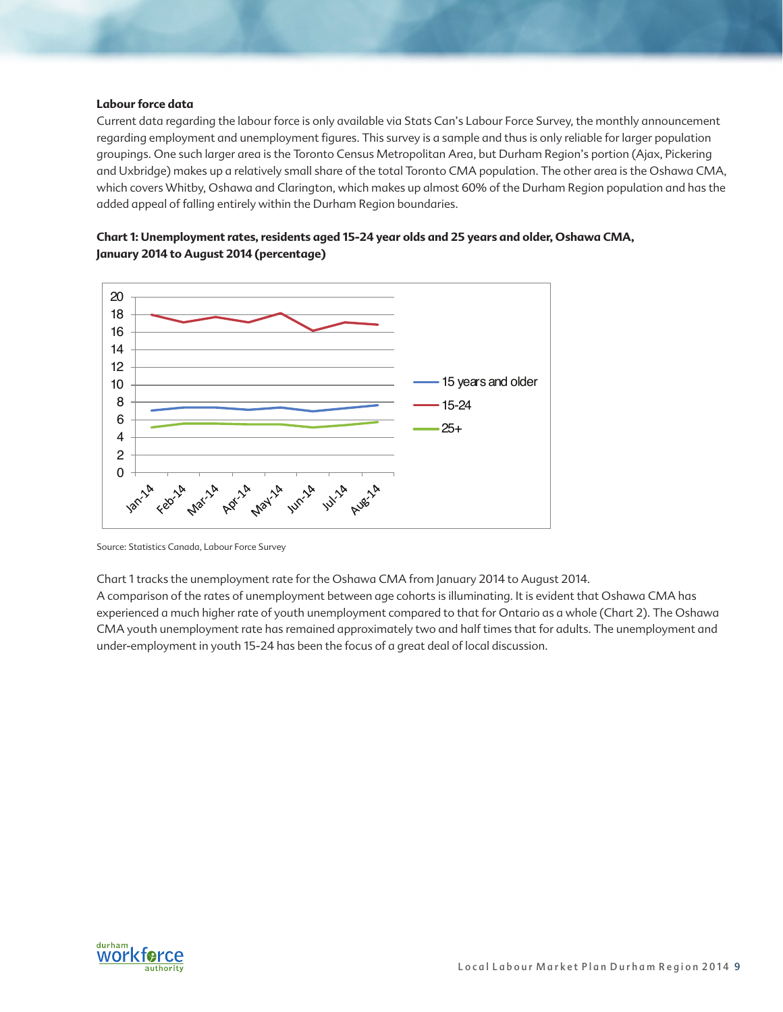#### **Labour force data**

Current data regarding the labour force is only available via Stats Can's Labour Force Survey, the monthly announcement regarding employment and unemployment figures. This survey is a sample and thus is only reliable for larger population groupings. One such larger area is the Toronto Census Metropolitan Area, but Durham Region's portion (Ajax, Pickering and Uxbridge) makes up a relatively small share of the total Toronto CMA population. The other area is the Oshawa CMA, which covers Whitby, Oshawa and Clarington, which makes up almost 60% of the Durham Region population and has the added appeal of falling entirely within the Durham Region boundaries.

**Chart 1: Unemployment rates, residents aged 15-24 year olds and 25 years and older, Oshawa CMA, January 2014 to August 2014 (percentage)**



Source: Statistics Canada, Labour Force Survey

Chart 1 tracks the unemployment rate for the Oshawa CMA from January 2014 to August 2014.

A comparison of the rates of unemployment between age cohorts is illuminating. It is evident that Oshawa CMA has experienced a much higher rate of youth unemployment compared to that for Ontario as a whole (Chart 2). The Oshawa CMA youth unemployment rate has remained approximately two and half times that for adults. The unemployment and under-employment in youth 15-24 has been the focus of a great deal of local discussion.

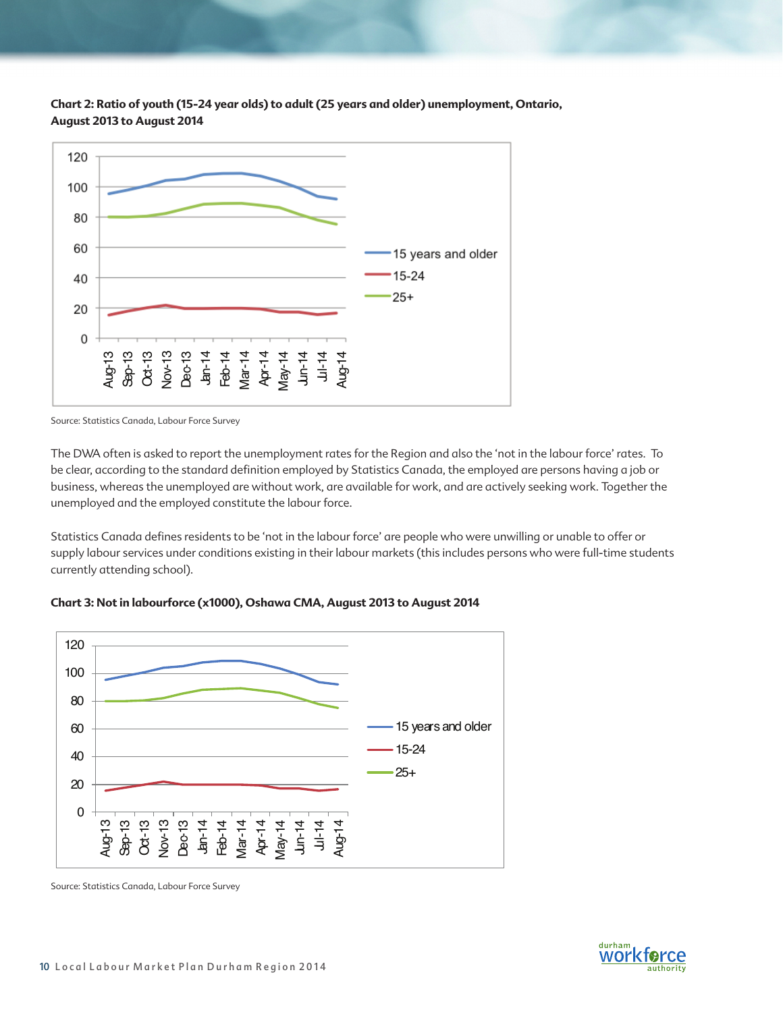

**Chart 2: Ratio of youth (15-24 year olds) to adult (25 years and older) unemployment, Ontario, August 2013 to August 2014**

The DWA often is asked to report the unemployment rates for the Region and also the 'not in the labour force' rates. To be clear, according to the standard definition employed by Statistics Canada, the employed are persons having a job or business, whereas the unemployed are without work, are available for work, and are actively seeking work. Together the unemployed and the employed constitute the labour force.

Statistics Canada defines residents to be 'not in the labour force' are people who were unwilling or unable to offer or supply labour services under conditions existing in their labour markets (this includes persons who were full-time students currently attending school).



### **Chart 3: Not in labourforce (x1000), Oshawa CMA, August 2013 to August 2014**

Source: Statistics Canada, Labour Force Survey



Source: Statistics Canada, Labour Force Survey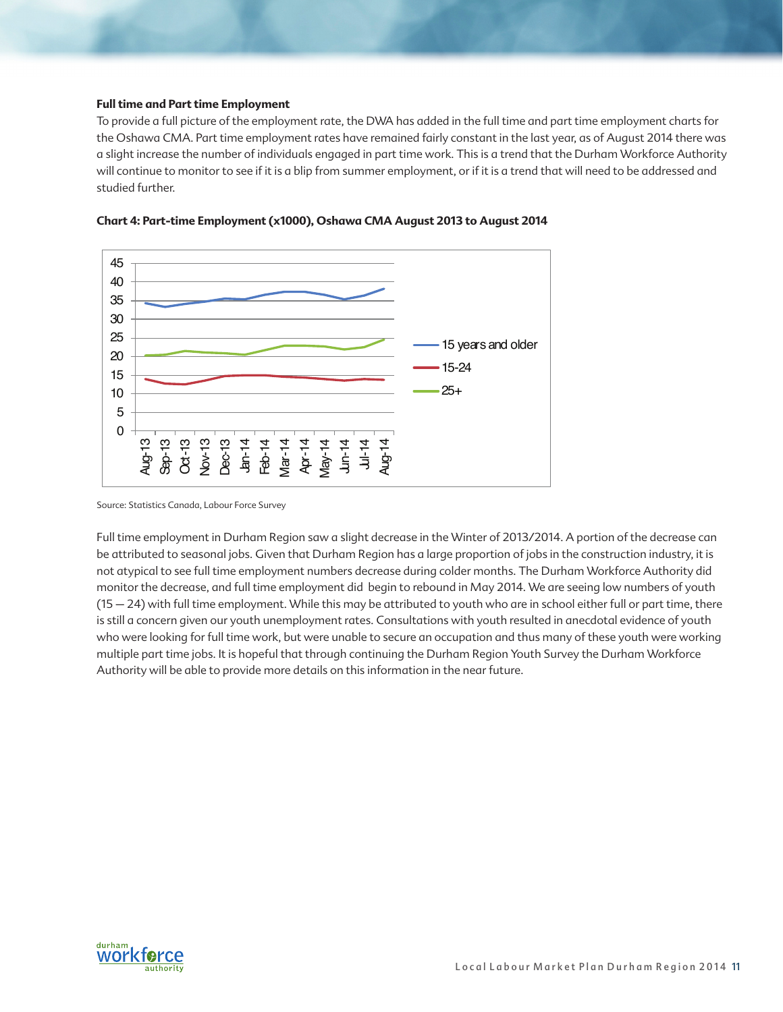### **Full time and Part time Employment**

To provide a full picture of the employment rate, the DWA has added in the full time and part time employment charts for the Oshawa CMA. Part time employment rates have remained fairly constant in the last year, as of August 2014 there was a slight increase the number of individuals engaged in part time work. This is a trend that the Durham Workforce Authority will continue to monitor to see if it is a blip from summer employment, or if it is a trend that will need to be addressed and studied further.





Full time employment in Durham Region saw a slight decrease in the Winter of 2013/2014. A portion of the decrease can be attributed to seasonal jobs. Given that Durham Region has a large proportion of jobs in the construction industry, it is not atypical to see full time employment numbers decrease during colder months. The Durham Workforce Authority did monitor the decrease, and full time employment did begin to rebound in May 2014. We are seeing low numbers of youth (15 – 24) with full time employment. While this may be attributed to youth who are in school either full or part time, there is still a concern given our youth unemployment rates. Consultations with youth resulted in anecdotal evidence of youth who were looking for full time work, but were unable to secure an occupation and thus many of these youth were working multiple part time jobs. It is hopeful that through continuing the Durham Region Youth Survey the Durham Workforce Authority will be able to provide more details on this information in the near future.



Source: Statistics Canada, Labour Force Survey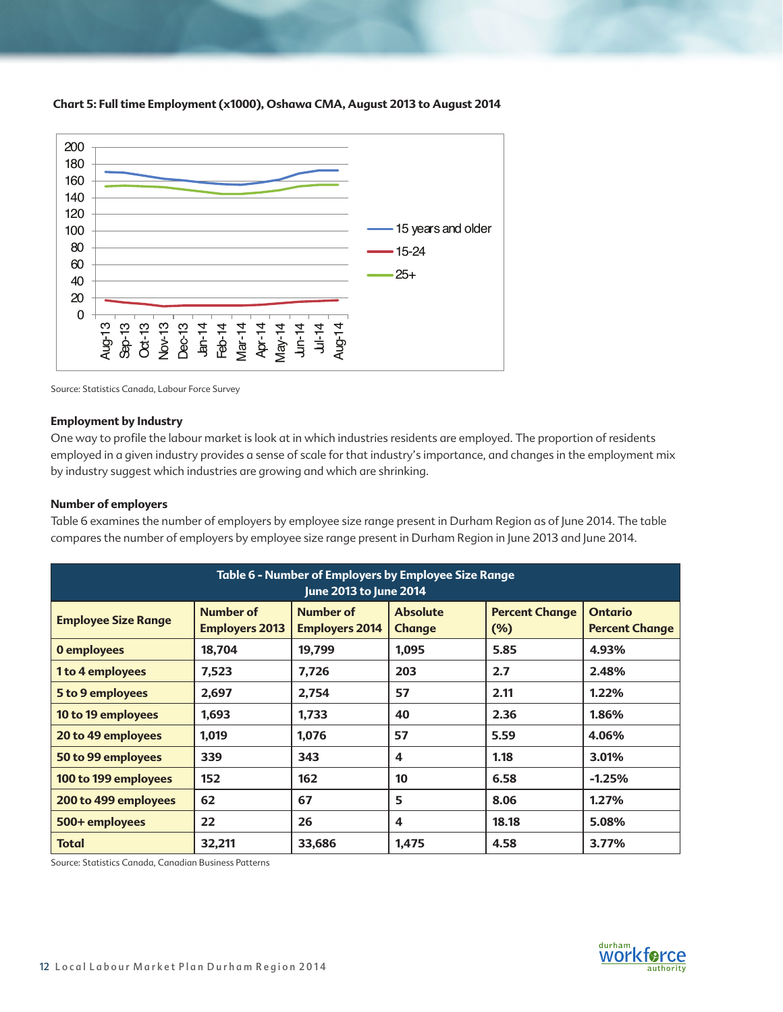

**Chart 5: Full time Employment (x1000), Oshawa CMA, August 2013 to August 2014**

Source: Statistics Canada, Labour Force Survey

### **Employment by Industry**

One way to profile the labour market is look at in which industries residents are employed. The proportion of residents employed in a given industry provides a sense of scale for that industry's importance, and changes in the employment mix by industry suggest which industries are growing and which are shrinking.

### **Number of employers**

Table 6 examines the number of employers by employee size range present in Durham Region as of June 2014. The table compares the number of employers by employee size range present in Durham Region in June 2013 and June 2014.

| Table 6 - Number of Employers by Employee Size Range<br>June 2013 to June 2014 |                                           |                                           |                                  |                                 |                                         |  |
|--------------------------------------------------------------------------------|-------------------------------------------|-------------------------------------------|----------------------------------|---------------------------------|-----------------------------------------|--|
| <b>Employee Size Range</b>                                                     | <b>Number of</b><br><b>Employers 2013</b> | <b>Number of</b><br><b>Employers 2014</b> | <b>Absolute</b><br><b>Change</b> | <b>Percent Change</b><br>$(\%)$ | <b>Ontario</b><br><b>Percent Change</b> |  |
| 0 employees                                                                    | 18,704                                    | 19,799                                    | 1,095                            | 5.85                            | 4.93%                                   |  |
| 1 to 4 employees                                                               | 7,523                                     | 7,726                                     | 203                              | 2.7                             | 2.48%                                   |  |
| 5 to 9 employees                                                               | 2,697                                     | 2,754                                     | 57                               | 2.11                            | 1.22%                                   |  |
| 10 to 19 employees                                                             | 1,693                                     | 1,733                                     | 40                               | 2.36                            | 1.86%                                   |  |
| 20 to 49 employees                                                             | 1,019                                     | 1,076                                     | 57                               | 5.59                            | 4.06%                                   |  |
| 50 to 99 employees                                                             | 339                                       | 343                                       | 4                                | 1.18                            | 3.01%                                   |  |
| 100 to 199 employees                                                           | 152                                       | 162                                       | 10                               | 6.58                            | $-1.25%$                                |  |
| 200 to 499 employees                                                           | 62                                        | 67                                        | 5                                | 8.06                            | 1.27%                                   |  |
| 500+ employees                                                                 | 22                                        | 26                                        | 4                                | 18.18                           | 5.08%                                   |  |
| <b>Total</b>                                                                   | 32,211                                    | 33,686                                    | 1,475                            | 4.58                            | 3.77%                                   |  |

Source: Statistics Canada, Canadian Business Patterns

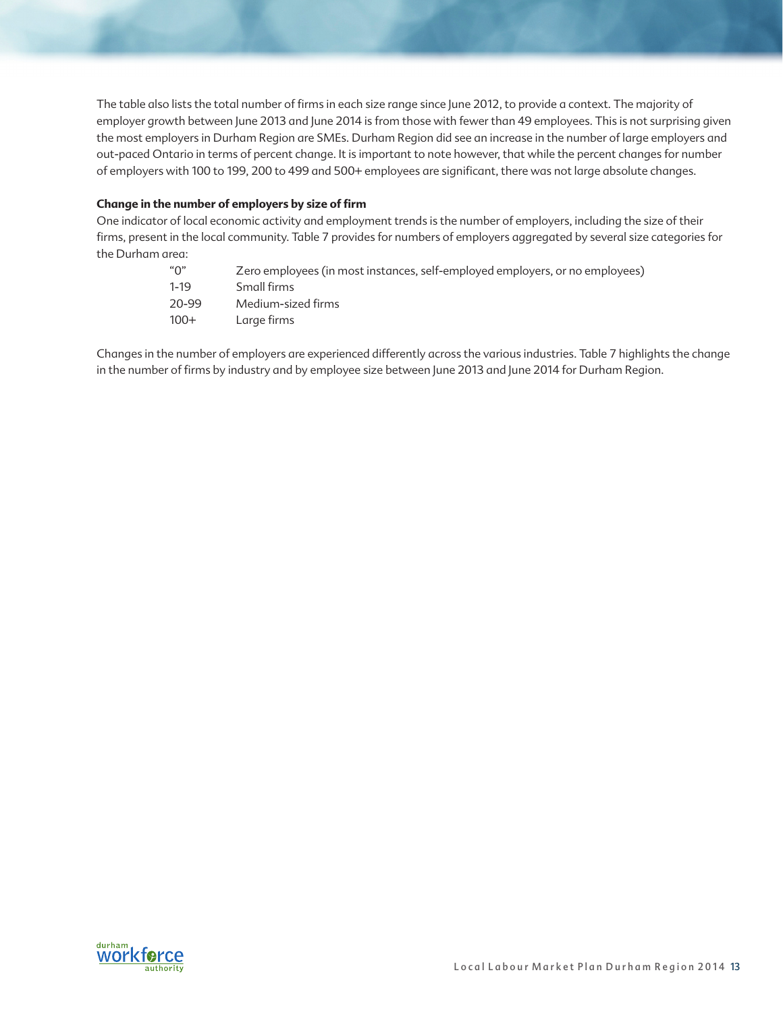The table also lists the total number of firms in each size range since June 2012, to provide a context. The majority of employer growth between June 2013 and June 2014 is from those with fewer than 49 employees. This is not surprising given the most employers in Durham Region are SMEs. Durham Region did see an increase in the number of large employers and out-paced Ontario in terms of percent change. It is important to note however, that while the percent changes for number of employers with 100 to 199, 200 to 499 and 500+ employees are significant, there was not large absolute changes.

### **Change in the number of employers by size of firm**

One indicator of local economic activity and employment trends is the number of employers, including the size of their firms, present in the local community. Table 7 provides for numbers of employers aggregated by several size categories for the Durham area:

| "∩"    | Zero employees (in most instances, self-employed employers, or no employees) |
|--------|------------------------------------------------------------------------------|
| 1-19   | Small firms                                                                  |
| 20-99  | Medium-sized firms                                                           |
| $100+$ | Large firms                                                                  |

Changes in the number of employers are experienced differently across the various industries. Table 7 highlights the change in the number of firms by industry and by employee size between June 2013 and June 2014 for Durham Region.

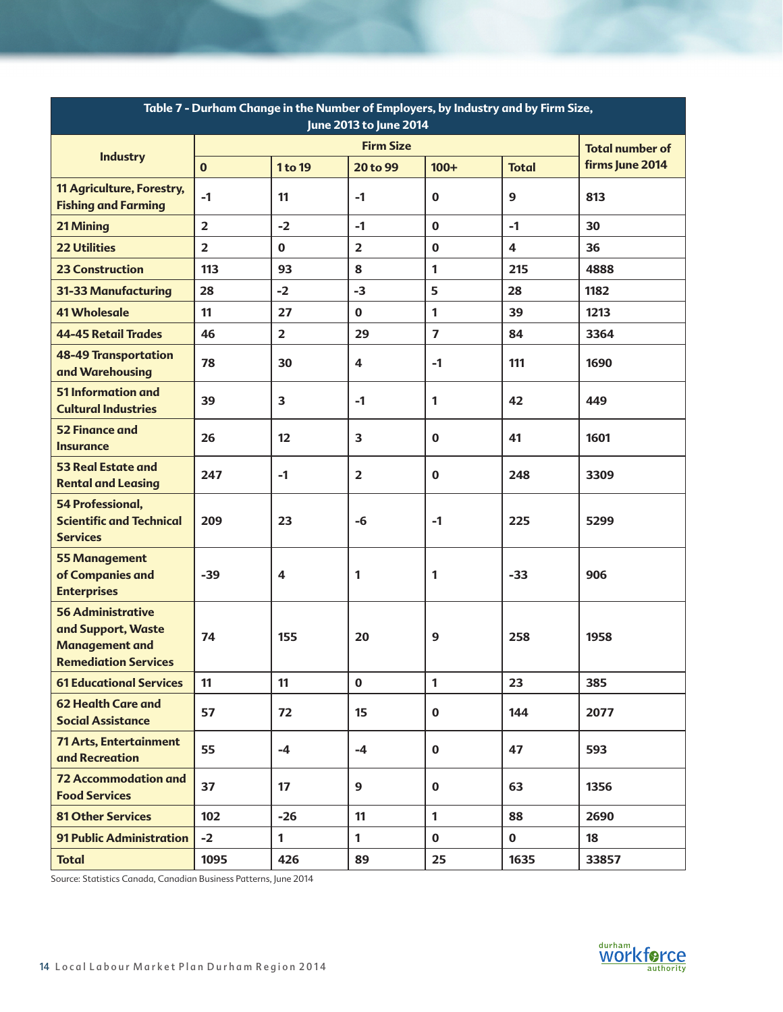| Table 7 - Durham Change in the Number of Employers, by Industry and by Firm Size,<br>June 2013 to June 2014 |                |                |                  |                         |                         |                        |
|-------------------------------------------------------------------------------------------------------------|----------------|----------------|------------------|-------------------------|-------------------------|------------------------|
|                                                                                                             |                |                | <b>Firm Size</b> |                         |                         | <b>Total number of</b> |
| <b>Industry</b>                                                                                             | $\mathbf{0}$   | 1 to 19        | 20 to 99         | $100+$                  | <b>Total</b>            | firms June 2014        |
| 11 Agriculture, Forestry,<br><b>Fishing and Farming</b>                                                     | $-1$           | 11             | $-1$             | $\bf{0}$                | 9                       | 813                    |
| 21 Mining                                                                                                   | $\overline{2}$ | $-2$           | $-1$             | $\bf{0}$                | $-1$                    | 30                     |
| <b>22 Utilities</b>                                                                                         | $\overline{2}$ | $\mathbf 0$    | $\overline{2}$   | $\bf{0}$                | $\overline{\mathbf{4}}$ | 36                     |
| <b>23 Construction</b>                                                                                      | 113            | 93             | 8                | 1                       | 215                     | 4888                   |
| 31-33 Manufacturing                                                                                         | 28             | $-2$           | $-3$             | 5                       | 28                      | 1182                   |
| <b>41 Wholesale</b>                                                                                         | 11             | 27             | $\mathbf 0$      | 1                       | 39                      | 1213                   |
| <b>44-45 Retail Trades</b>                                                                                  | 46             | $\overline{2}$ | 29               | $\overline{\mathbf{z}}$ | 84                      | 3364                   |
| <b>48-49 Transportation</b><br>and Warehousing                                                              | 78             | 30             | 4                | $-1$                    | 111                     | 1690                   |
| 51 Information and<br><b>Cultural Industries</b>                                                            | 39             | 3              | $-1$             | 1                       | 42                      | 449                    |
| <b>52 Finance and</b><br><b>Insurance</b>                                                                   | 26             | 12             | 3                | $\bf{0}$                | 41                      | 1601                   |
| <b>53 Real Estate and</b><br><b>Rental and Leasing</b>                                                      | 247            | $-1$           | $\overline{2}$   | $\bf{0}$                | 248                     | 3309                   |
| <b>54 Professional,</b><br><b>Scientific and Technical</b><br><b>Services</b>                               | 209            | 23             | -6               | $-1$                    | 225                     | 5299                   |
| <b>55 Management</b><br>of Companies and<br><b>Enterprises</b>                                              | $-39$          | 4              | 1                | 1                       | $-33$                   | 906                    |
| <b>56 Administrative</b><br>and Support, Waste<br><b>Management and</b><br><b>Remediation Services</b>      | 74             | 155            | 20               | 9                       | 258                     | 1958                   |
| <b>61 Educational Services</b>                                                                              | 11             | 11             | $\mathbf 0$      | $\mathbf{1}$            | 23                      | 385                    |
| <b>62 Health Care and</b><br><b>Social Assistance</b>                                                       | 57             | 72             | 15               | $\mathbf 0$             | 144                     | 2077                   |
| <b>71 Arts, Entertainment</b><br>and Recreation                                                             | 55             | $-4$           | $-4$             | $\mathbf 0$             | 47                      | 593                    |
| <b>72 Accommodation and</b><br><b>Food Services</b>                                                         | 37             | 17             | 9                | $\mathbf 0$             | 63                      | 1356                   |
| <b>81 Other Services</b>                                                                                    | 102            | $-26$          | 11               | $\mathbf{1}$            | 88                      | 2690                   |
| <b>91 Public Administration</b>                                                                             | $-2$           | $\mathbf{1}$   | $\mathbf{1}$     | $\mathbf 0$             | $\mathbf 0$             | 18                     |
| <b>Total</b>                                                                                                | 1095           | 426            | 89               | 25                      | 1635                    | 33857                  |

Source: Statistics Canada, Canadian Business Patterns, June 2014

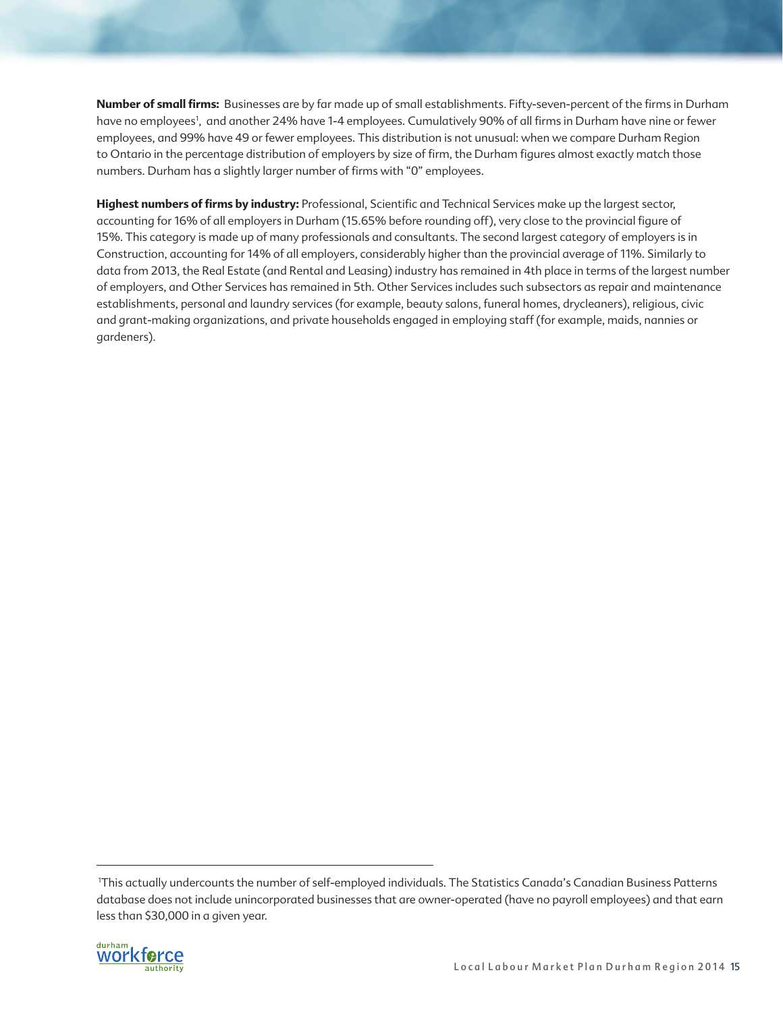**Number of small firms:** Businesses are by far made up of small establishments. Fifty-seven-percent of the firms in Durham have no employees<sup>1</sup>, and another 24% have 1-4 employees. Cumulatively 90% of all firms in Durham have nine or fewer employees, and 99% have 49 or fewer employees. This distribution is not unusual: when we compare Durham Region to Ontario in the percentage distribution of employers by size of firm, the Durham figures almost exactly match those numbers. Durham has a slightly larger number of firms with "0" employees.

Highest numbers of firms by industry: Professional, Scientific and Technical Services make up the largest sector, accounting for 16% of all employers in Durham (15.65% before rounding off), very close to the provincial figure of 15%. This category is made up of many professionals and consultants. The second largest category of employers is in Construction, accounting for 14% of all employers, considerably higher than the provincial average of 11%. Similarly to data from 2013, the Real Estate (and Rental and Leasing) industry has remained in 4th place in terms of the largest number of employers, and Other Services has remained in 5th. Other Services includes such subsectors as repair and maintenance establishments, personal and laundry services (for example, beauty salons, funeral homes, drycleaners), religious, civic and grant-making organizations, and private households engaged in employing staff (for example, maids, nannies or gardeners).

<sup>&</sup>lt;sup>1</sup>This actually undercounts the number of self-employed individuals. The Statistics Canada's Canadian Business Patterns database does not include unincorporated businesses that are owner-operated (have no payroll employees) and that earn less than \$30,000 in a given year.

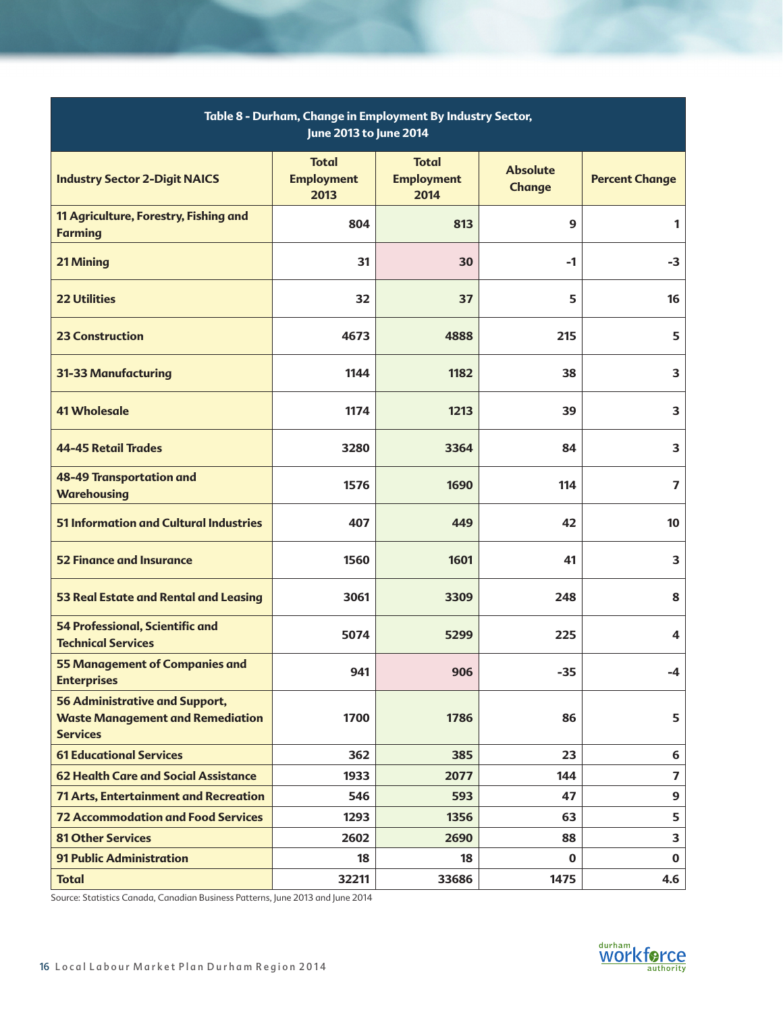| Table 8 - Durham, Change in Employment By Industry Sector,<br>June 2013 to June 2014                |                                           |                                           |                                  |                         |  |  |
|-----------------------------------------------------------------------------------------------------|-------------------------------------------|-------------------------------------------|----------------------------------|-------------------------|--|--|
| <b>Industry Sector 2-Digit NAICS</b>                                                                | <b>Total</b><br><b>Employment</b><br>2013 | <b>Total</b><br><b>Employment</b><br>2014 | <b>Absolute</b><br><b>Change</b> | <b>Percent Change</b>   |  |  |
| 11 Agriculture, Forestry, Fishing and<br><b>Farming</b>                                             | 804                                       | 813                                       | 9                                | $\mathbf{1}$            |  |  |
| 21 Mining                                                                                           | 31                                        | 30                                        | -1                               | $-3$                    |  |  |
| <b>22 Utilities</b>                                                                                 | 32                                        | 37                                        | 5                                | 16                      |  |  |
| <b>23 Construction</b>                                                                              | 4673                                      | 4888                                      | 215                              | 5                       |  |  |
| 31-33 Manufacturing                                                                                 | 1144                                      | 1182                                      | 38                               | 3                       |  |  |
| <b>41 Wholesale</b>                                                                                 | 1174                                      | 1213                                      | 39                               | 3                       |  |  |
| <b>44-45 Retail Trades</b>                                                                          | 3280                                      | 3364                                      | 84                               | 3                       |  |  |
| <b>48-49 Transportation and</b><br><b>Warehousing</b>                                               | 1576                                      | 1690                                      | 114                              | $\overline{\mathbf{z}}$ |  |  |
| <b>51 Information and Cultural Industries</b>                                                       | 407                                       | 449                                       | 42                               | 10                      |  |  |
| <b>52 Finance and Insurance</b>                                                                     | 1560                                      | 1601                                      | 41                               | 3                       |  |  |
| 53 Real Estate and Rental and Leasing                                                               | 3061                                      | 3309                                      | 248                              | 8                       |  |  |
| <b>54 Professional, Scientific and</b><br><b>Technical Services</b>                                 | 5074                                      | 5299                                      | 225                              | 4                       |  |  |
| <b>55 Management of Companies and</b><br><b>Enterprises</b>                                         | 941                                       | 906                                       | $-35$                            | $-4$                    |  |  |
| <b>56 Administrative and Support,</b><br><b>Waste Management and Remediation</b><br><b>Services</b> | 1700                                      | 1786                                      | 86                               | 5                       |  |  |
| <b>61 Educational Services</b>                                                                      | 362                                       | 385                                       | 23                               | 6                       |  |  |
| <b>62 Health Care and Social Assistance</b>                                                         | 1933                                      | 2077                                      | 144                              | $\overline{\mathbf{z}}$ |  |  |
| <b>71 Arts, Entertainment and Recreation</b>                                                        | 546                                       | 593                                       | 47                               | $\boldsymbol{9}$        |  |  |
| <b>72 Accommodation and Food Services</b>                                                           | 1293                                      | 1356                                      | 63                               | 5                       |  |  |
| <b>81 Other Services</b>                                                                            | 2602                                      | 2690                                      | 88                               | 3                       |  |  |
| <b>91 Public Administration</b>                                                                     | 18                                        | 18                                        | $\mathbf 0$                      | $\mathbf 0$             |  |  |
| <b>Total</b>                                                                                        | 32211                                     | 33686                                     | 1475                             | 4.6                     |  |  |

Source: Statistics Canada, Canadian Business Patterns, June 2013 and June 2014

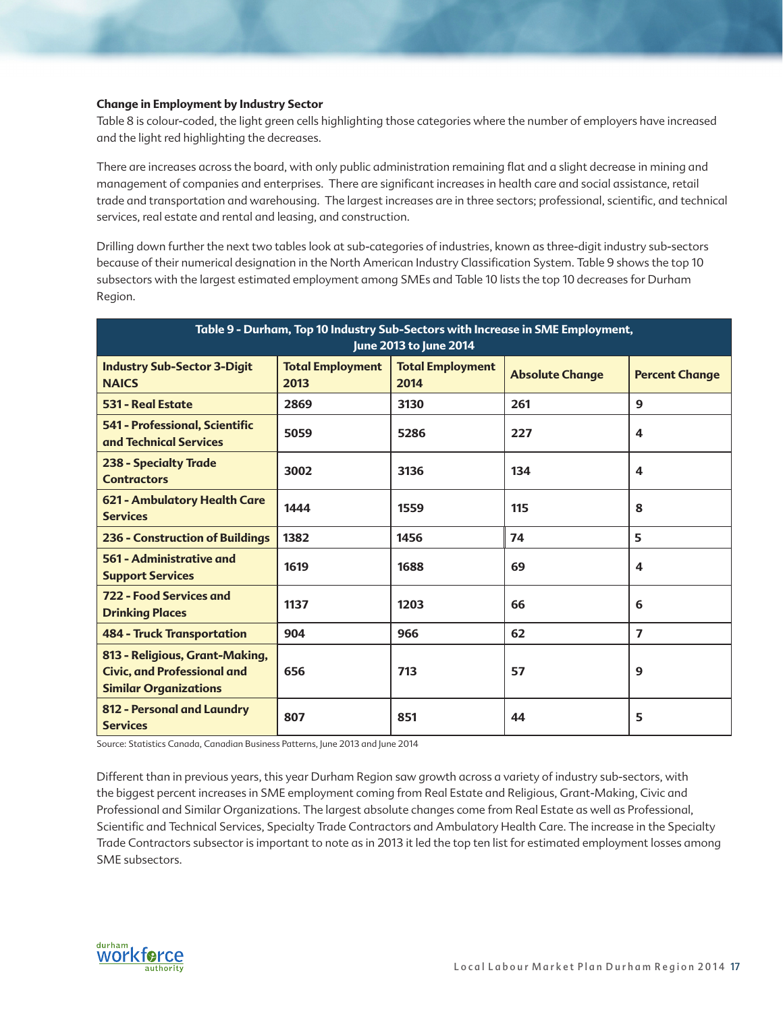### **Change in Employment by Industry Sector**

Table 8 is colour-coded, the light green cells highlighting those categories where the number of employers have increased and the light red highlighting the decreases.

There are increases across the board, with only public administration remaining flat and a slight decrease in mining and management of companies and enterprises. There are significant increases in health care and social assistance, retail trade and transportation and warehousing. The largest increases are in three sectors; professional, scientific, and technical services, real estate and rental and leasing, and construction.

Drilling down further the next two tables look at sub-categories of industries, known as three-digit industry sub-sectors because of their numerical designation in the North American Industry Classification System. Table 9 shows the top 10 subsectors with the largest estimated employment among SMEs and Table 10 lists the top 10 decreases for Durham Region.

| Table 9 - Durham, Top 10 Industry Sub-Sectors with Increase in SME Employment,<br>June 2013 to June 2014 |                                 |                                 |                        |                         |  |
|----------------------------------------------------------------------------------------------------------|---------------------------------|---------------------------------|------------------------|-------------------------|--|
| <b>Industry Sub-Sector 3-Digit</b><br><b>NAICS</b>                                                       | <b>Total Employment</b><br>2013 | <b>Total Employment</b><br>2014 | <b>Absolute Change</b> | <b>Percent Change</b>   |  |
| <b>531 - Real Estate</b>                                                                                 | 2869                            | 3130                            | 261                    | 9                       |  |
| 541 - Professional, Scientific<br>and Technical Services                                                 | 5059                            | 5286                            | 227                    | $\overline{\mathbf{A}}$ |  |
| <b>238 - Specialty Trade</b><br><b>Contractors</b>                                                       | 3002                            | 3136                            | 134                    | 4                       |  |
| 621 - Ambulatory Health Care<br><b>Services</b>                                                          | 1444                            | 1559                            | 115                    | 8                       |  |
| <b>236 - Construction of Buildings</b>                                                                   | 1382                            | 1456                            | 74                     | 5                       |  |
| 561 - Administrative and<br><b>Support Services</b>                                                      | 1619                            | 1688                            | 69                     | 4                       |  |
| 722 - Food Services and<br><b>Drinking Places</b>                                                        | 1137                            | 1203                            | 66                     | 6                       |  |
| <b>484 - Truck Transportation</b>                                                                        | 904                             | 966                             | 62                     | $\overline{7}$          |  |
| 813 - Religious, Grant-Making,<br><b>Civic, and Professional and</b><br><b>Similar Organizations</b>     | 656                             | 713                             | 57                     | 9                       |  |
| 812 - Personal and Laundry<br><b>Services</b>                                                            | 807                             | 851                             | 44                     | 5                       |  |

Source: Statistics Canada, Canadian Business Patterns, June 2013 and June 2014

Different than in previous years, this year Durham Region saw growth across a variety of industry sub-sectors, with the biggest percent increases in SME employment coming from Real Estate and Religious, Grant-Making, Civic and Professional and Similar Organizations. The largest absolute changes come from Real Estate as well as Professional, Scientific and Technical Services, Specialty Trade Contractors and Ambulatory Health Care. The increase in the Specialty Trade Contractors subsector is important to note as in 2013 it led the top ten list for estimated employment losses among SME subsectors.

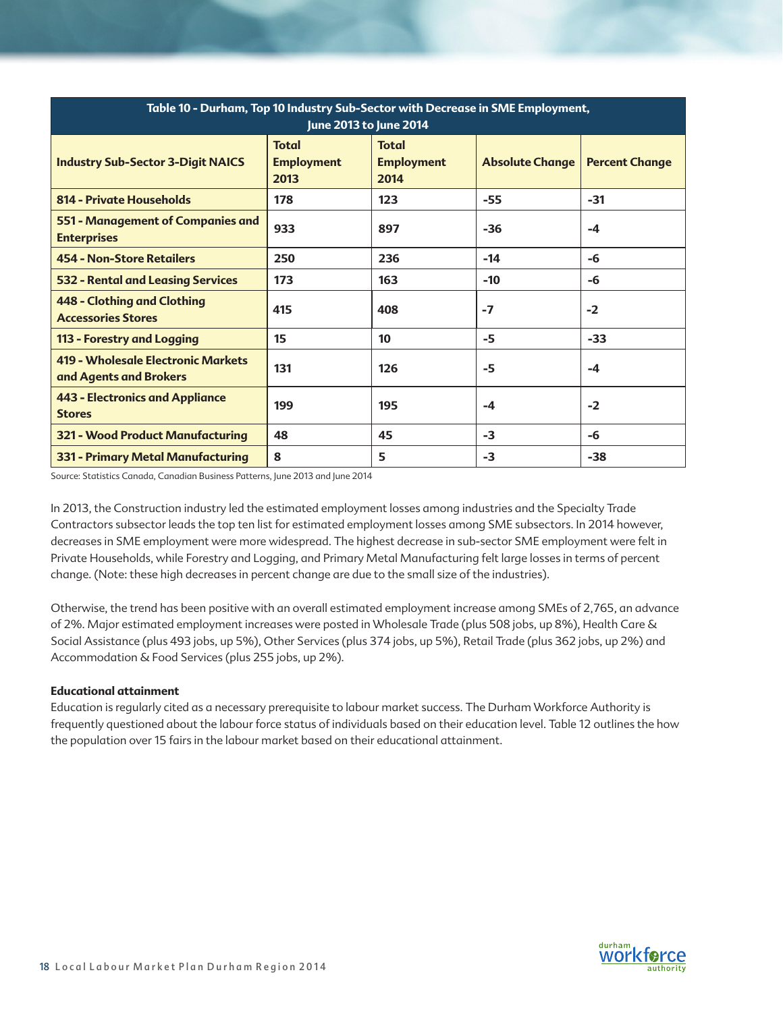| Table 10 - Durham, Top 10 Industry Sub-Sector with Decrease in SME Employment,<br>June 2013 to June 2014 |                                           |                                           |                        |                       |  |
|----------------------------------------------------------------------------------------------------------|-------------------------------------------|-------------------------------------------|------------------------|-----------------------|--|
| <b>Industry Sub-Sector 3-Digit NAICS</b>                                                                 | <b>Total</b><br><b>Employment</b><br>2013 | <b>Total</b><br><b>Employment</b><br>2014 | <b>Absolute Change</b> | <b>Percent Change</b> |  |
| 814 - Private Households                                                                                 | 178                                       | 123                                       | $-55$                  | $-31$                 |  |
| 551 - Management of Companies and<br><b>Enterprises</b>                                                  | 933                                       | 897                                       | $-36$                  | -4                    |  |
| <b>454 - Non-Store Retailers</b>                                                                         | 250                                       | 236                                       | $-14$                  | -6                    |  |
| <b>532 - Rental and Leasing Services</b>                                                                 | 173                                       | 163                                       | $-10$                  | -6                    |  |
| 448 - Clothing and Clothing<br><b>Accessories Stores</b>                                                 | 415                                       | 408                                       | $-7$                   | $-2$                  |  |
| 113 - Forestry and Logging                                                                               | 15                                        | 10                                        | $-5$                   | $-33$                 |  |
| 419 - Wholesale Electronic Markets<br>and Agents and Brokers                                             | 131                                       | 126                                       | -5                     | -4                    |  |
| <b>443 - Electronics and Appliance</b><br><b>Stores</b>                                                  | 199                                       | 195                                       | $-4$                   | $-2$                  |  |
| <b>321 - Wood Product Manufacturing</b>                                                                  | 48                                        | 45                                        | $-3$                   | -6                    |  |
| 331 - Primary Metal Manufacturing                                                                        | 8                                         | 5                                         | $-3$                   | $-38$                 |  |

Source: Statistics Canada, Canadian Business Patterns, June 2013 and June 2014

In 2013, the Construction industry led the estimated employment losses among industries and the Specialty Trade Contractors subsector leads the top ten list for estimated employment losses among SME subsectors. In 2014 however, decreases in SME employment were more widespread. The highest decrease in sub-sector SME employment were felt in Private Households, while Forestry and Logging, and Primary Metal Manufacturing felt large losses in terms of percent change. (Note: these high decreases in percent change are due to the small size of the industries).

Otherwise, the trend has been positive with an overall estimated employment increase among SMEs of 2,765, an advance of 2%. Major estimated employment increases were posted in Wholesale Trade (plus 508 jobs, up 8%), Health Care & Social Assistance (plus 493 jobs, up 5%), Other Services (plus 374 jobs, up 5%), Retail Trade (plus 362 jobs, up 2%) and Accommodation & Food Services (plus 255 jobs, up 2%).

## **Educational attainment**

Education is regularly cited as a necessary prerequisite to labour market success. The Durham Workforce Authority is frequently questioned about the labour force status of individuals based on their education level. Table 12 outlines the how the population over 15 fairs in the labour market based on their educational attainment.

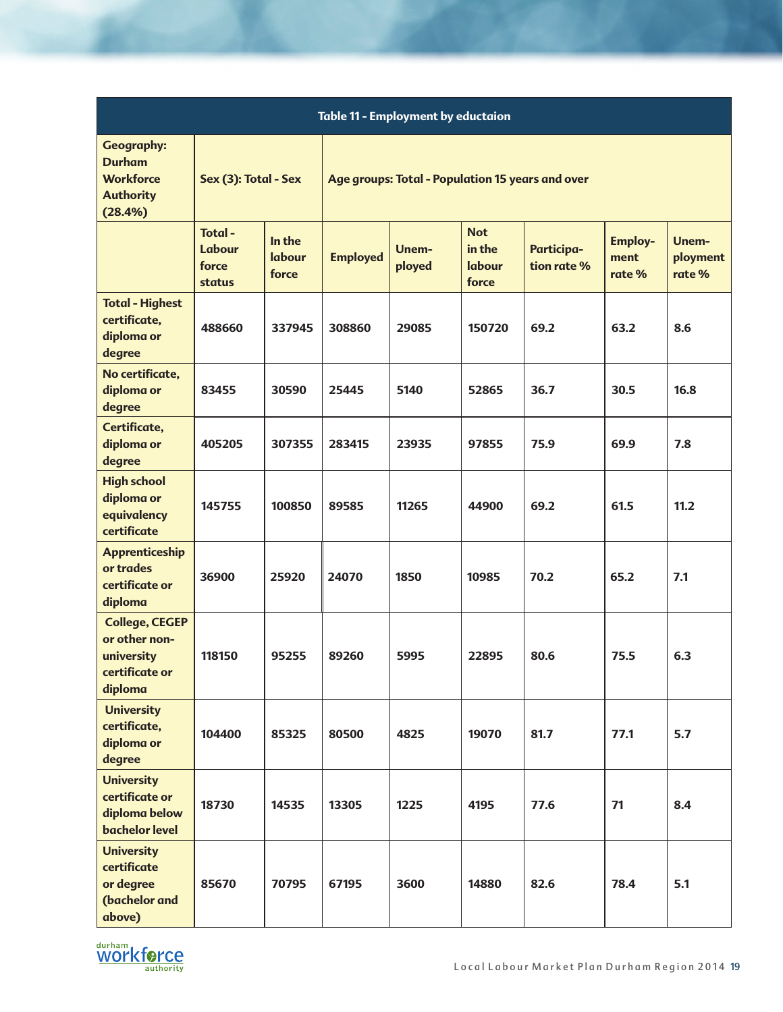| <b>Table 11 - Employment by eductaion</b>                                             |                                     |                           |                                                  |                 |                                         |                           |                                  |                            |
|---------------------------------------------------------------------------------------|-------------------------------------|---------------------------|--------------------------------------------------|-----------------|-----------------------------------------|---------------------------|----------------------------------|----------------------------|
| <b>Geography:</b><br><b>Durham</b><br><b>Workforce</b><br><b>Authority</b><br>(28.4%) | Sex (3): Total - Sex                |                           | Age groups: Total - Population 15 years and over |                 |                                         |                           |                                  |                            |
|                                                                                       | Total-<br>Labour<br>force<br>status | In the<br>labour<br>force | <b>Employed</b>                                  | Unem-<br>ployed | <b>Not</b><br>in the<br>labour<br>force | Participa-<br>tion rate % | <b>Employ-</b><br>ment<br>rate % | Unem-<br>ployment<br>rate% |
| <b>Total - Highest</b><br>certificate,<br>diploma or<br>degree                        | 488660                              | 337945                    | 308860                                           | 29085           | 150720                                  | 69.2                      | 63.2                             | 8.6                        |
| No certificate,<br>diploma or<br>degree                                               | 83455                               | 30590                     | 25445                                            | 5140            | 52865                                   | 36.7                      | 30.5                             | 16.8                       |
| Certificate,<br>diploma or<br>degree                                                  | 405205                              | 307355                    | 283415                                           | 23935           | 97855                                   | 75.9                      | 69.9                             | 7.8                        |
| <b>High school</b><br>diploma or<br>equivalency<br>certificate                        | 145755                              | 100850                    | 89585                                            | 11265           | 44900                                   | 69.2                      | 61.5                             | 11.2                       |
| <b>Apprenticeship</b><br>or trades<br>certificate or<br>diploma                       | 36900                               | 25920                     | 24070                                            | 1850            | 10985                                   | 70.2                      | 65.2                             | 7.1                        |
| <b>College, CEGEP</b><br>or other non-<br>university<br>certificate or<br>diploma     | 118150                              | 95255                     | 89260                                            | 5995            | 22895                                   | 80.6                      | 75.5                             | 6.3                        |
| <b>University</b><br>certificate,<br>diploma or<br>degree                             | 104400                              | 85325                     | 80500                                            | 4825            | 19070                                   | 81.7                      | 77.1                             | 5.7                        |
| <b>University</b><br>certificate or<br>diploma below<br><b>bachelor level</b>         | 18730                               | 14535                     | 13305                                            | 1225            | 4195                                    | 77.6                      | 71                               | 8.4                        |
| <b>University</b><br>certificate<br>or degree<br>(bachelor and<br>above)              | 85670                               | 70795                     | 67195                                            | 3600            | 14880                                   | 82.6                      | 78.4                             | 5.1                        |

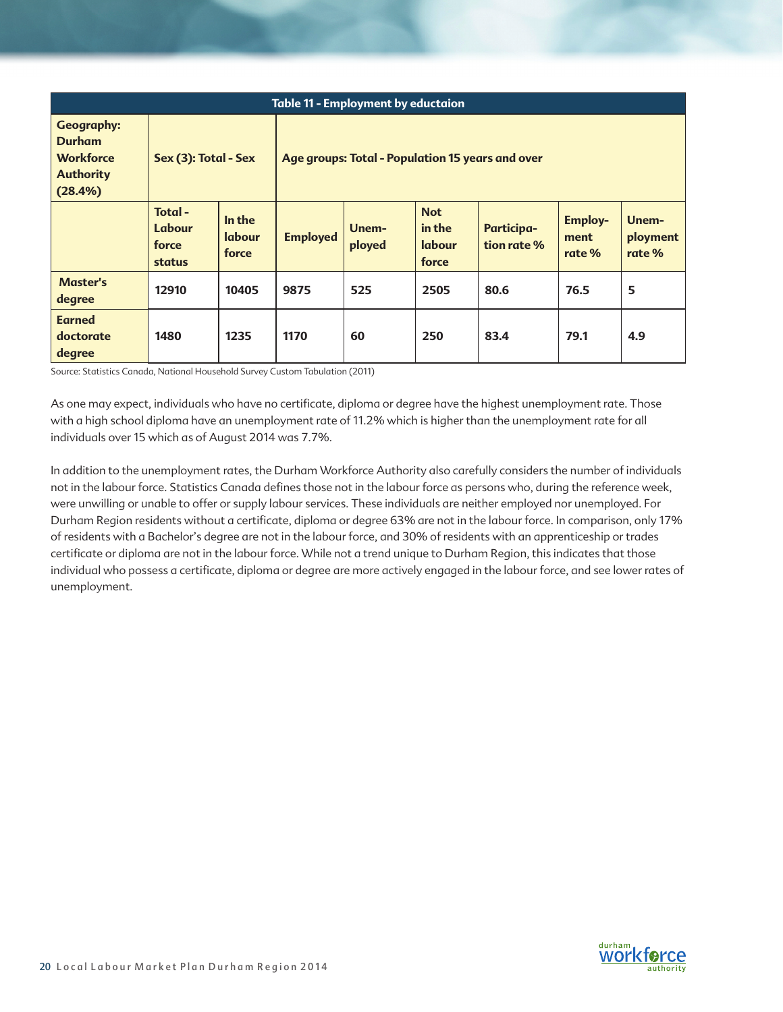| <b>Table 11 - Employment by eductaion</b>                                             |                                     |                                  |                                                  |                 |                                                |                                  |                                  |                             |
|---------------------------------------------------------------------------------------|-------------------------------------|----------------------------------|--------------------------------------------------|-----------------|------------------------------------------------|----------------------------------|----------------------------------|-----------------------------|
| <b>Geography:</b><br><b>Durham</b><br><b>Workforce</b><br><b>Authority</b><br>(28.4%) | Sex (3): Total - Sex                |                                  | Age groups: Total - Population 15 years and over |                 |                                                |                                  |                                  |                             |
|                                                                                       | Total-<br>Labour<br>force<br>status | In the<br><b>labour</b><br>force | <b>Employed</b>                                  | Unem-<br>ployed | <b>Not</b><br>in the<br><b>labour</b><br>force | <b>Participa-</b><br>tion rate % | <b>Employ-</b><br>ment<br>rate % | Unem-<br>ployment<br>rate % |
| <b>Master's</b><br>degree                                                             | 12910                               | 10405                            | 9875                                             | 525             | 2505                                           | 80.6                             | 76.5                             | 5                           |
| <b>Earned</b><br>doctorate<br>degree                                                  | 1480                                | 1235                             | 1170                                             | 60              | 250                                            | 83.4                             | 79.1                             | 4.9                         |

Source: Statistics Canada, National Household Survey Custom Tabulation (2011)

As one may expect, individuals who have no certificate, diploma or degree have the highest unemployment rate. Those with a high school diploma have an unemployment rate of 11.2% which is higher than the unemployment rate for all individuals over 15 which as of August 2014 was 7.7%.

In addition to the unemployment rates, the Durham Workforce Authority also carefully considers the number of individuals not in the labour force. Statistics Canada defines those not in the labour force as persons who, during the reference week, were unwilling or unable to offer or supply labour services. These individuals are neither employed nor unemployed. For Durham Region residents without a certificate, diploma or degree 63% are not in the labour force. In comparison, only 17% of residents with a Bachelor's degree are not in the labour force, and 30% of residents with an apprenticeship or trades certificate or diploma are not in the labour force. While not a trend unique to Durham Region, this indicates that those individual who possess a certificate, diploma or degree are more actively engaged in the labour force, and see lower rates of unemployment.

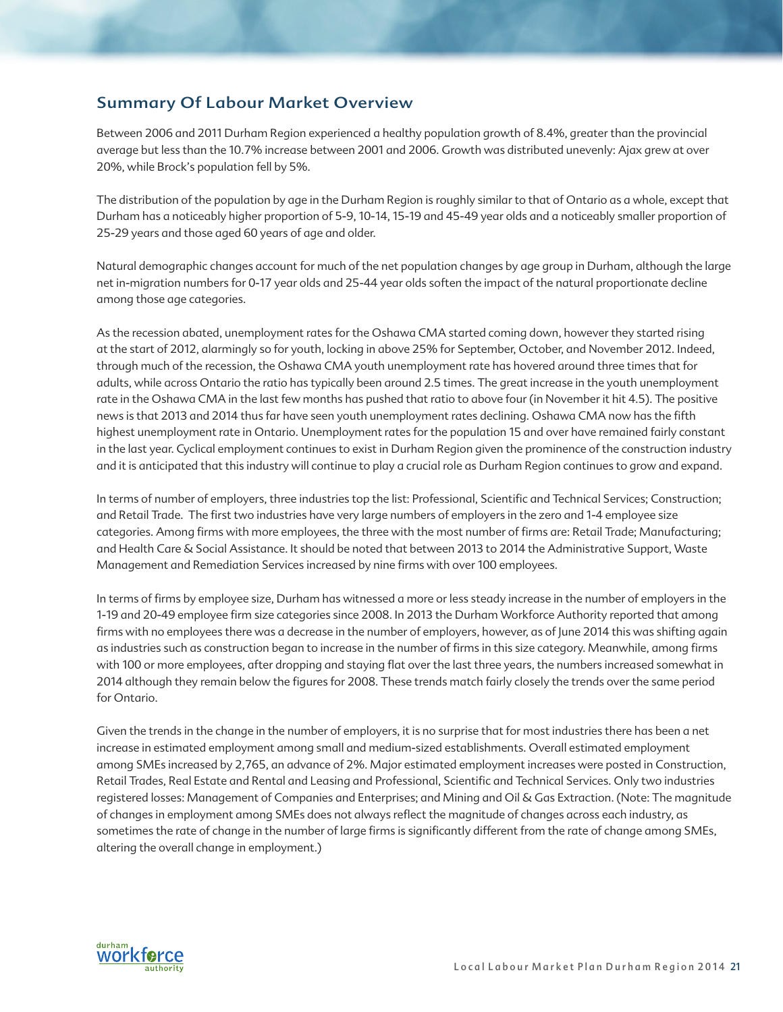# Summary Of Labour Market Overview

Between 2006 and 2011 Durham Region experienced a healthy population growth of 8.4%, greater than the provincial average but less than the 10.7% increase between 2001 and 2006. Growth was distributed unevenly: Ajax grew at over 20%, while Brock's population fell by 5%.

The distribution of the population by age in the Durham Region is roughly similar to that of Ontario as a whole, except that Durham has a noticeably higher proportion of 5-9, 10-14, 15-19 and 45-49 year olds and a noticeably smaller proportion of 25-29 years and those aged 60 years of age and older.

Natural demographic changes account for much of the net population changes by age group in Durham, although the large net in-migration numbers for 0-17 year olds and 25-44 year olds soften the impact of the natural proportionate decline among those age categories.

As the recession abated, unemployment rates for the Oshawa CMA started coming down, however they started rising at the start of 2012, alarmingly so for youth, locking in above 25% for September, October, and November 2012. Indeed, through much of the recession, the Oshawa CMA youth unemployment rate has hovered around three times that for adults, while across Ontario the ratio has typically been around 2.5 times. The great increase in the youth unemployment rate in the Oshawa CMA in the last few months has pushed that ratio to above four (in November it hit 4.5). The positive news is that 2013 and 2014 thus far have seen youth unemployment rates declining. Oshawa CMA now has the fifth highest unemployment rate in Ontario. Unemployment rates for the population 15 and over have remained fairly constant in the last year. Cyclical employment continues to exist in Durham Region given the prominence of the construction industry and it is anticipated that this industry will continue to play a crucial role as Durham Region continues to grow and expand.

In terms of number of employers, three industries top the list: Professional, Scientific and Technical Services; Construction; and Retail Trade. The first two industries have very large numbers of employers in the zero and 1-4 employee size categories. Among firms with more employees, the three with the most number of firms are: Retail Trade; Manufacturing; and Health Care & Social Assistance. It should be noted that between 2013 to 2014 the Administrative Support, Waste Management and Remediation Services increased by nine firms with over 100 employees.

In terms of firms by employee size, Durham has witnessed a more or less steady increase in the number of employers in the 1-19 and 20-49 employee firm size categories since 2008. In 2013 the Durham Workforce Authority reported that among firms with no employees there was a decrease in the number of employers, however, as of June 2014 this was shifting again as industries such as construction began to increase in the number of firms in this size category. Meanwhile, among firms with 100 or more employees, after dropping and staying flat over the last three years, the numbers increased somewhat in 2014 although they remain below the figures for 2008. These trends match fairly closely the trends over the same period for Ontario.

Given the trends in the change in the number of employers, it is no surprise that for most industries there has been a net increase in estimated employment among small and medium-sized establishments. Overall estimated employment among SMEs increased by 2,765, an advance of 2%. Major estimated employment increases were posted in Construction, Retail Trades, Real Estate and Rental and Leasing and Professional, Scientific and Technical Services. Only two industries registered losses: Management of Companies and Enterprises; and Mining and Oil & Gas Extraction. (Note: The magnitude of changes in employment among SMEs does not always reflect the magnitude of changes across each industry, as sometimes the rate of change in the number of large firms is significantly different from the rate of change among SMEs, altering the overall change in employment.)

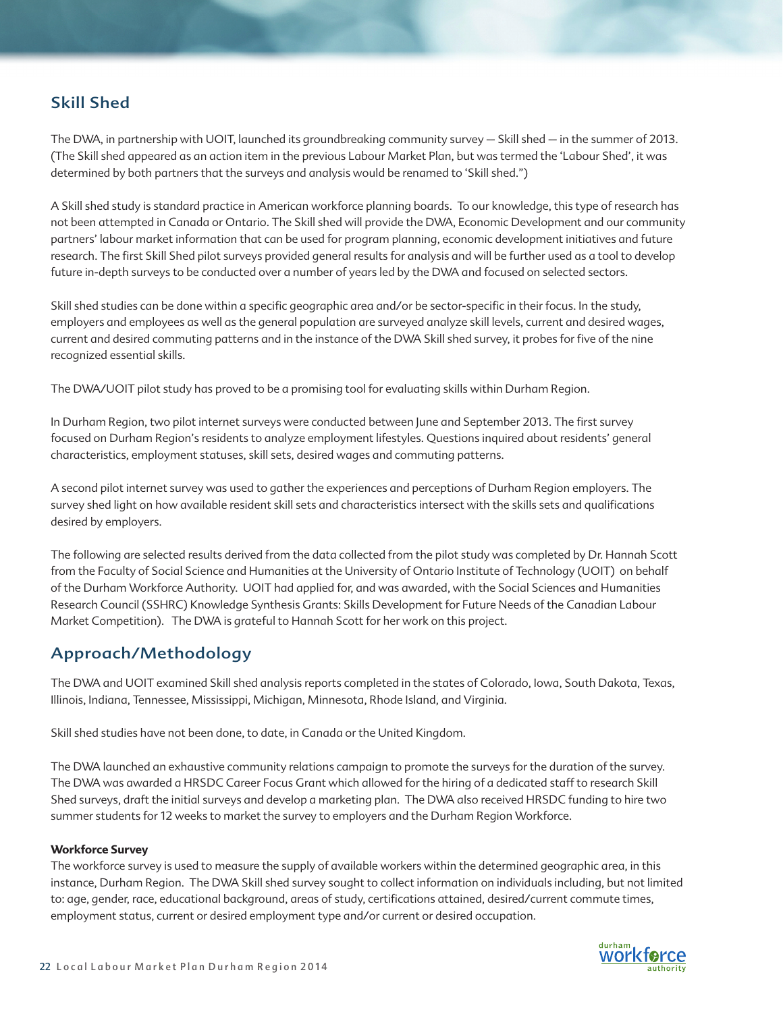# Skill Shed

The DWA, in partnership with UOIT, launched its groundbreaking community survey – Skill shed – in the summer of 2013. (The Skill shed appeared as an action item in the previous Labour Market Plan, but was termed the 'Labour Shed', it was determined by both partners that the surveys and analysis would be renamed to 'Skill shed.")

A Skill shed study is standard practice in American workforce planning boards. To our knowledge, this type of research has not been attempted in Canada or Ontario. The Skill shed will provide the DWA, Economic Development and our community partners' labour market information that can be used for program planning, economic development initiatives and future research. The first Skill Shed pilot surveys provided general results for analysis and will be further used as a tool to develop future in-depth surveys to be conducted over a number of years led by the DWA and focused on selected sectors.

Skill shed studies can be done within a specific geographic area and/or be sector-specific in their focus. In the study, employers and employees as well as the general population are surveyed analyze skill levels, current and desired wages, current and desired commuting patterns and in the instance of the DWA Skill shed survey, it probes for five of the nine recognized essential skills.

The DWA/UOIT pilot study has proved to be a promising tool for evaluating skills within Durham Region.

In Durham Region, two pilot internet surveys were conducted between June and September 2013. The first survey focused on Durham Region's residents to analyze employment lifestyles. Questions inquired about residents' general characteristics, employment statuses, skill sets, desired wages and commuting patterns.

A second pilot internet survey was used to gather the experiences and perceptions of Durham Region employers. The survey shed light on how available resident skill sets and characteristics intersect with the skills sets and qualifications desired by employers.

The following are selected results derived from the data collected from the pilot study was completed by Dr. Hannah Scott from the Faculty of Social Science and Humanities at the University of Ontario Institute of Technology (UOIT) on behalf of the Durham Workforce Authority. UOIT had applied for, and was awarded, with the Social Sciences and Humanities Research Council (SSHRC) Knowledge Synthesis Grants: Skills Development for Future Needs of the Canadian Labour Market Competition). The DWA is grateful to Hannah Scott for her work on this project.

# Approach/Methodology

The DWA and UOIT examined Skill shed analysis reports completed in the states of Colorado, Iowa, South Dakota, Texas, Illinois, Indiana, Tennessee, Mississippi, Michigan, Minnesota, Rhode Island, and Virginia.

Skill shed studies have not been done, to date, in Canada or the United Kingdom.

The DWA launched an exhaustive community relations campaign to promote the surveys for the duration of the survey. The DWA was awarded a HRSDC Career Focus Grant which allowed for the hiring of a dedicated staff to research Skill Shed surveys, draft the initial surveys and develop a marketing plan. The DWA also received HRSDC funding to hire two summer students for 12 weeks to market the survey to employers and the Durham Region Workforce.

## **Workforce Survey**

The workforce survey is used to measure the supply of available workers within the determined geographic area, in this instance, Durham Region. The DWA Skill shed survey sought to collect information on individuals including, but not limited to: age, gender, race, educational background, areas of study, certifications attained, desired/current commute times, employment status, current or desired employment type and/or current or desired occupation.

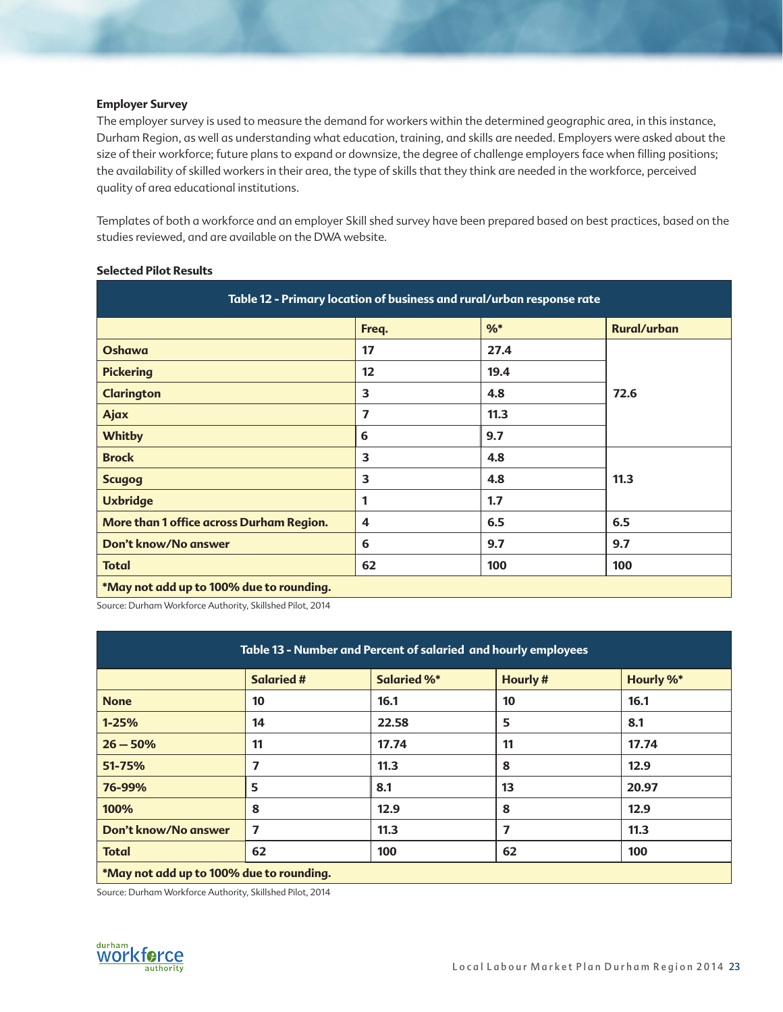### **Employer Survey**

The employer survey is used to measure the demand for workers within the determined geographic area, in this instance, Durham Region, as well as understanding what education, training, and skills are needed. Employers were asked about the size of their workforce; future plans to expand or downsize, the degree of challenge employers face when filling positions; the availability of skilled workers in their area, the type of skills that they think are needed in the workforce, perceived quality of area educational institutions.

Templates of both a workforce and an employer Skill shed survey have been prepared based on best practices, based on the studies reviewed, and are available on the DWA website.

| Table 12 - Primary location of business and rural/urban response rate |       |       |                    |  |  |
|-----------------------------------------------------------------------|-------|-------|--------------------|--|--|
|                                                                       | Freq. | $%$ * | <b>Rural/urban</b> |  |  |
| Oshawa                                                                | 17    | 27.4  |                    |  |  |
| <b>Pickering</b>                                                      | 12    | 19.4  |                    |  |  |
| <b>Clarington</b>                                                     | 3     | 4.8   | 72.6               |  |  |
| Ajax                                                                  | 7     | 11.3  |                    |  |  |
| <b>Whitby</b>                                                         | 6     | 9.7   |                    |  |  |
| <b>Brock</b>                                                          | 3     | 4.8   |                    |  |  |
| <b>Scugog</b>                                                         | 3     | 4.8   | 11.3               |  |  |
| <b>Uxbridge</b>                                                       | 1     | 1.7   |                    |  |  |
| More than 1 office across Durham Region.                              | 4     | 6.5   | 6.5                |  |  |
| Don't know/No answer                                                  | 6     | 9.7   | 9.7                |  |  |
| <b>Total</b>                                                          | 62    | 100   | 100                |  |  |
| *May not add up to 100% due to rounding.                              |       |       |                    |  |  |

#### **Selected Pilot Results**

Source: Durham Workforce Authority, Skillshed Pilot, 2014

| Table 13 - Number and Percent of salaried and hourly employees |                   |                    |                |                  |
|----------------------------------------------------------------|-------------------|--------------------|----------------|------------------|
|                                                                | <b>Salaried #</b> | <b>Salaried %*</b> | <b>Hourly#</b> | <b>Hourly %*</b> |
| <b>None</b>                                                    | 10                | 16.1               | 10             | 16.1             |
| $1 - 25%$                                                      | 14                | 22.58              | 5              | 8.1              |
| $26 - 50%$                                                     | 11                | 17.74              | 11             | 17.74            |
| 51-75%                                                         | 7                 | 11.3               | 8              | 12.9             |
| 76-99%                                                         | 5                 | 8.1                | 13             | 20.97            |
| 100%                                                           | 8                 | 12.9               | 8              | 12.9             |
| Don't know/No answer                                           | 7                 | 11.3               | 7              | 11.3             |
| <b>Total</b>                                                   | 62                | 100                | 62             | 100              |
| *May not add up to 100% due to rounding.                       |                   |                    |                |                  |

Source: Durham Workforce Authority, Skillshed Pilot, 2014

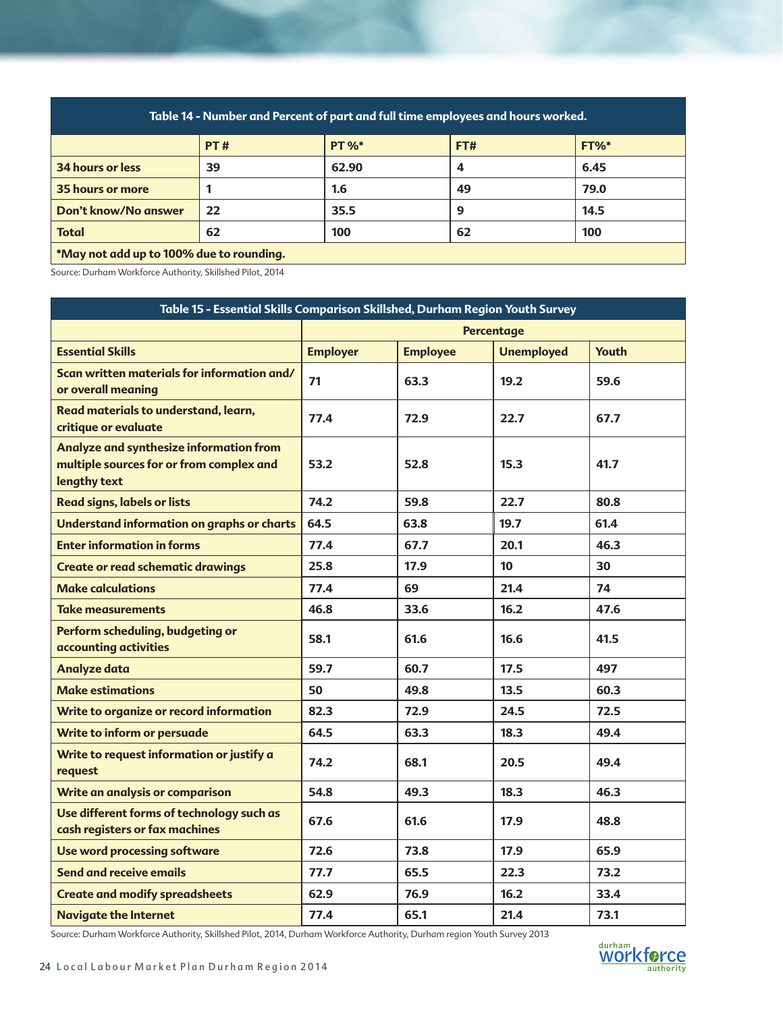| Table 14 - Number and Percent of part and full time employees and hours worked. |     |              |     |         |
|---------------------------------------------------------------------------------|-----|--------------|-----|---------|
|                                                                                 | PT# | <b>PT %*</b> | FT# | $FT%^*$ |
| 34 hours or less                                                                | 39  | 62.90        | 4   | 6.45    |
| 35 hours or more                                                                |     | 1.6          | 49  | 79.0    |
| Don't know/No answer                                                            | 22  | 35.5         | 9   | 14.5    |
| <b>Total</b>                                                                    | 62  | 100          | 62  | 100     |
| *May not add up to 100% due to rounding.                                        |     |              |     |         |

Source: Durham Workforce Authority, Skillshed Pilot, 2014

| Table 15 - Essential Skills Comparison Skillshed, Durham Region Youth Survey                        |                 |                 |                   |              |  |
|-----------------------------------------------------------------------------------------------------|-----------------|-----------------|-------------------|--------------|--|
|                                                                                                     |                 |                 | <b>Percentage</b> |              |  |
| <b>Essential Skills</b>                                                                             | <b>Employer</b> | <b>Employee</b> | <b>Unemployed</b> | <b>Youth</b> |  |
| Scan written materials for information and/<br>or overall meaning                                   | 71              | 63.3            | 19.2              | 59.6         |  |
| Read materials to understand, learn,<br>critique or evaluate                                        | 77.4            | 72.9            | 22.7              | 67.7         |  |
| Analyze and synthesize information from<br>multiple sources for or from complex and<br>lengthy text | 53.2            | 52.8            | 15.3              | 41.7         |  |
| <b>Read signs, labels or lists</b>                                                                  | 74.2            | 59.8            | 22.7              | 80.8         |  |
| Understand information on graphs or charts                                                          | 64.5            | 63.8            | 19.7              | 61.4         |  |
| <b>Enter information in forms</b>                                                                   | 77.4            | 67.7            | 20.1              | 46.3         |  |
| <b>Create or read schematic drawings</b>                                                            | 25.8            | 17.9            | 10                | 30           |  |
| <b>Make calculations</b>                                                                            | 77.4            | 69              | 21.4              | 74           |  |
| <b>Take measurements</b>                                                                            | 46.8            | 33.6            | 16.2              | 47.6         |  |
| Perform scheduling, budgeting or<br>accounting activities                                           | 58.1            | 61.6            | 16.6              | 41.5         |  |
| <b>Analyze data</b>                                                                                 | 59.7            | 60.7            | 17.5              | 497          |  |
| <b>Make estimations</b>                                                                             | 50              | 49.8            | 13.5              | 60.3         |  |
| Write to organize or record information                                                             | 82.3            | 72.9            | 24.5              | 72.5         |  |
| Write to inform or persuade                                                                         | 64.5            | 63.3            | 18.3              | 49.4         |  |
| Write to request information or justify a<br>request                                                | 74.2            | 68.1            | 20.5              | 49.4         |  |
| Write an analysis or comparison                                                                     | 54.8            | 49.3            | 18.3              | 46.3         |  |
| Use different forms of technology such as<br>cash registers or fax machines                         | 67.6            | 61.6            | 17.9              | 48.8         |  |
| Use word processing software                                                                        | 72.6            | 73.8            | 17.9              | 65.9         |  |
| Send and receive emails                                                                             | 77.7            | 65.5            | 22.3              | 73.2         |  |
| <b>Create and modify spreadsheets</b>                                                               | 62.9            | 76.9            | 16.2              | 33.4         |  |
| <b>Navigate the Internet</b>                                                                        | 77.4            | 65.1            | 21.4              | 73.1         |  |

Source: Durham Workforce Authority, Skillshed Pilot, 2014, Durham Workforce Authority, Durham region Youth Survey 2013

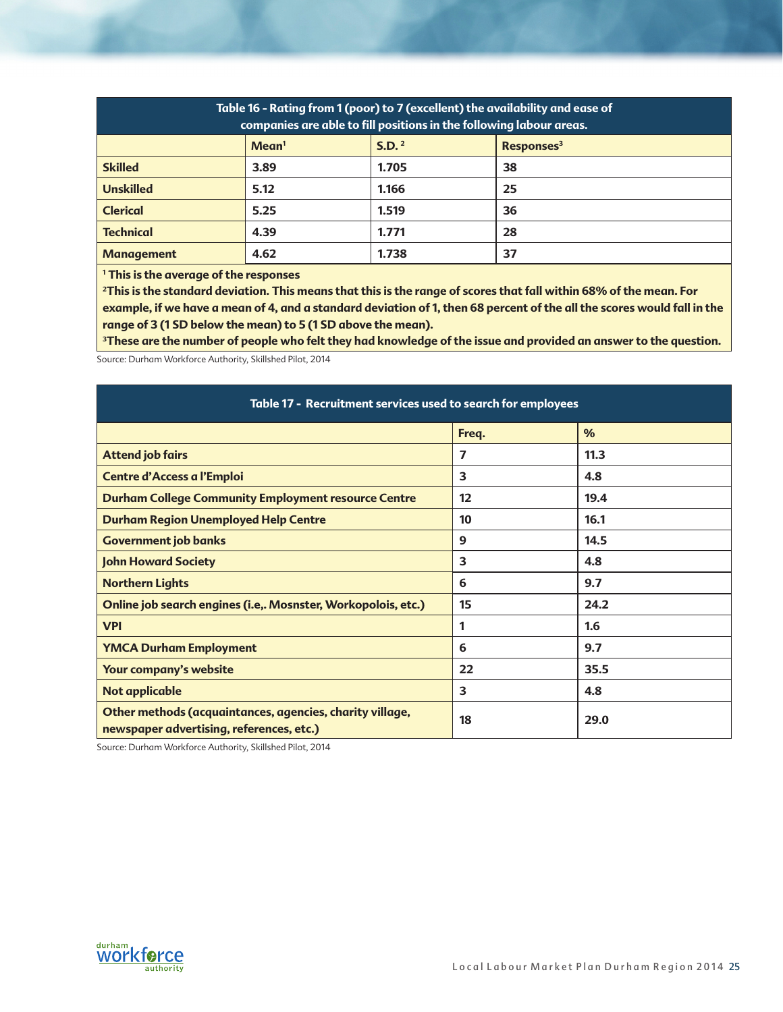| Table 16 - Rating from 1 (poor) to 7 (excellent) the availability and ease of<br>companies are able to fill positions in the following labour areas. |                   |                   |                        |  |  |
|------------------------------------------------------------------------------------------------------------------------------------------------------|-------------------|-------------------|------------------------|--|--|
|                                                                                                                                                      | Mean <sup>1</sup> | S.D. <sup>2</sup> | Responses <sup>3</sup> |  |  |
| <b>Skilled</b>                                                                                                                                       | 3.89              | 1.705             | 38                     |  |  |
| <b>Unskilled</b>                                                                                                                                     | 5.12              | 1.166             | 25                     |  |  |
| <b>Clerical</b>                                                                                                                                      | 5.25              | 1.519             | 36                     |  |  |
| <b>Technical</b>                                                                                                                                     | 4.39              | 1.771             | 28                     |  |  |
| <b>Management</b>                                                                                                                                    | 4.62              | 1.738             | 37                     |  |  |

**1 This is the average of the responses**

<sup>2</sup>This is the standard deviation. This means that this is the range of scores that fall within 68% of the mean. For **example, if we have a mean of 4, and a standard deviation of 1, then 68 percent of the all the scores would fall in the range of 3 (1 SD below the mean) to 5 (1 SD above the mean).** 

**3These are the number of people who felt they had knowledge of the issue and provided an answer to the question.** 

Source: Durham Workforce Authority, Skillshed Pilot, 2014

| Table 17 - Recruitment services used to search for employees                                         |       |      |  |  |  |
|------------------------------------------------------------------------------------------------------|-------|------|--|--|--|
|                                                                                                      | Freq. | $\%$ |  |  |  |
| <b>Attend job fairs</b>                                                                              | 7     | 11.3 |  |  |  |
| Centre d'Access a l'Emploi                                                                           | 3     | 4.8  |  |  |  |
| <b>Durham College Community Employment resource Centre</b>                                           | 12    | 19.4 |  |  |  |
| <b>Durham Region Unemployed Help Centre</b>                                                          | 10    | 16.1 |  |  |  |
| <b>Government job banks</b>                                                                          | 9     | 14.5 |  |  |  |
| <b>John Howard Society</b>                                                                           | 3     | 4.8  |  |  |  |
| <b>Northern Lights</b>                                                                               | 6     | 9.7  |  |  |  |
| Online job search engines (i.e,. Mosnster, Workopolois, etc.)                                        | 15    | 24.2 |  |  |  |
| <b>VPI</b>                                                                                           | 1     | 1.6  |  |  |  |
| <b>YMCA Durham Employment</b>                                                                        | 6     | 9.7  |  |  |  |
| Your company's website                                                                               | 22    | 35.5 |  |  |  |
| <b>Not applicable</b>                                                                                | 3     | 4.8  |  |  |  |
| Other methods (acquaintances, agencies, charity village,<br>newspaper advertising, references, etc.) | 18    | 29.0 |  |  |  |

Source: Durham Workforce Authority, Skillshed Pilot, 2014

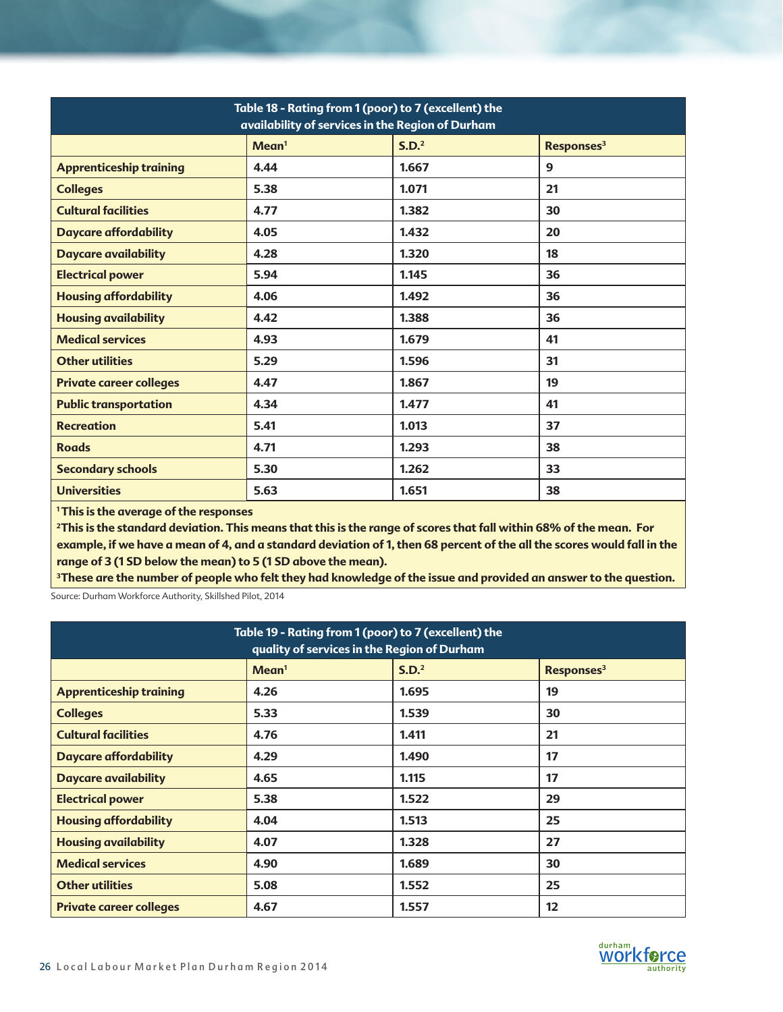| Table 18 - Rating from 1 (poor) to 7 (excellent) the<br>availability of services in the Region of Durham |                   |                   |                        |  |
|----------------------------------------------------------------------------------------------------------|-------------------|-------------------|------------------------|--|
|                                                                                                          | Mean <sup>1</sup> | S.D. <sup>2</sup> | Responses <sup>3</sup> |  |
| <b>Apprenticeship training</b>                                                                           | 4.44              | 1.667             | $\mathbf{9}$           |  |
| <b>Colleges</b>                                                                                          | 5.38              | 1.071             | 21                     |  |
| <b>Cultural facilities</b>                                                                               | 4.77              | 1.382             | 30                     |  |
| <b>Daycare affordability</b>                                                                             | 4.05              | 1.432             | 20                     |  |
| <b>Daycare availability</b>                                                                              | 4.28              | 1.320             | 18                     |  |
| <b>Electrical power</b>                                                                                  | 5.94              | 1.145             | 36                     |  |
| <b>Housing affordability</b>                                                                             | 4.06              | 1.492             | 36                     |  |
| <b>Housing availability</b>                                                                              | 4.42              | 1.388             | 36                     |  |
| <b>Medical services</b>                                                                                  | 4.93              | 1.679             | 41                     |  |
| <b>Other utilities</b>                                                                                   | 5.29              | 1.596             | 31                     |  |
| <b>Private career colleges</b>                                                                           | 4.47              | 1.867             | 19                     |  |
| <b>Public transportation</b>                                                                             | 4.34              | 1.477             | 41                     |  |
| <b>Recreation</b>                                                                                        | 5.41              | 1.013             | 37                     |  |
| <b>Roads</b>                                                                                             | 4.71              | 1.293             | 38                     |  |
| <b>Secondary schools</b>                                                                                 | 5.30              | 1.262             | 33                     |  |
| <b>Universities</b>                                                                                      | 5.63              | 1.651             | 38                     |  |

**1 This is the average of the responses**

**2This is the standard deviation. This means that this is the range of scores that fall within 68% of the mean. For example, if we have a mean of 4, and a standard deviation of 1, then 68 percent of the all the scores would fall in the range of 3 (1 SD below the mean) to 5 (1 SD above the mean).** 

**3These are the number of people who felt they had knowledge of the issue and provided an answer to the question.** 

Source: Durham Workforce Authority, Skillshed Pilot, 2014

| Table 19 - Rating from 1 (poor) to 7 (excellent) the<br>quality of services in the Region of Durham |                   |                   |                        |  |
|-----------------------------------------------------------------------------------------------------|-------------------|-------------------|------------------------|--|
|                                                                                                     | Mean <sup>1</sup> | S.D. <sup>2</sup> | Responses <sup>3</sup> |  |
| <b>Apprenticeship training</b>                                                                      | 4.26              | 1.695             | 19                     |  |
| <b>Colleges</b>                                                                                     | 5.33              | 1.539             | 30                     |  |
| <b>Cultural facilities</b>                                                                          | 4.76              | 1.411             | 21                     |  |
| <b>Daycare affordability</b>                                                                        | 4.29              | 1.490             | 17                     |  |
| <b>Daycare availability</b>                                                                         | 4.65              | 1.115             | 17                     |  |
| <b>Electrical power</b>                                                                             | 5.38              | 1.522             | 29                     |  |
| <b>Housing affordability</b>                                                                        | 4.04              | 1.513             | 25                     |  |
| <b>Housing availability</b>                                                                         | 4.07              | 1.328             | 27                     |  |
| <b>Medical services</b>                                                                             | 4.90              | 1.689             | 30                     |  |
| <b>Other utilities</b>                                                                              | 5.08              | 1.552             | 25                     |  |
| <b>Private career colleges</b>                                                                      | 4.67              | 1.557             | 12                     |  |

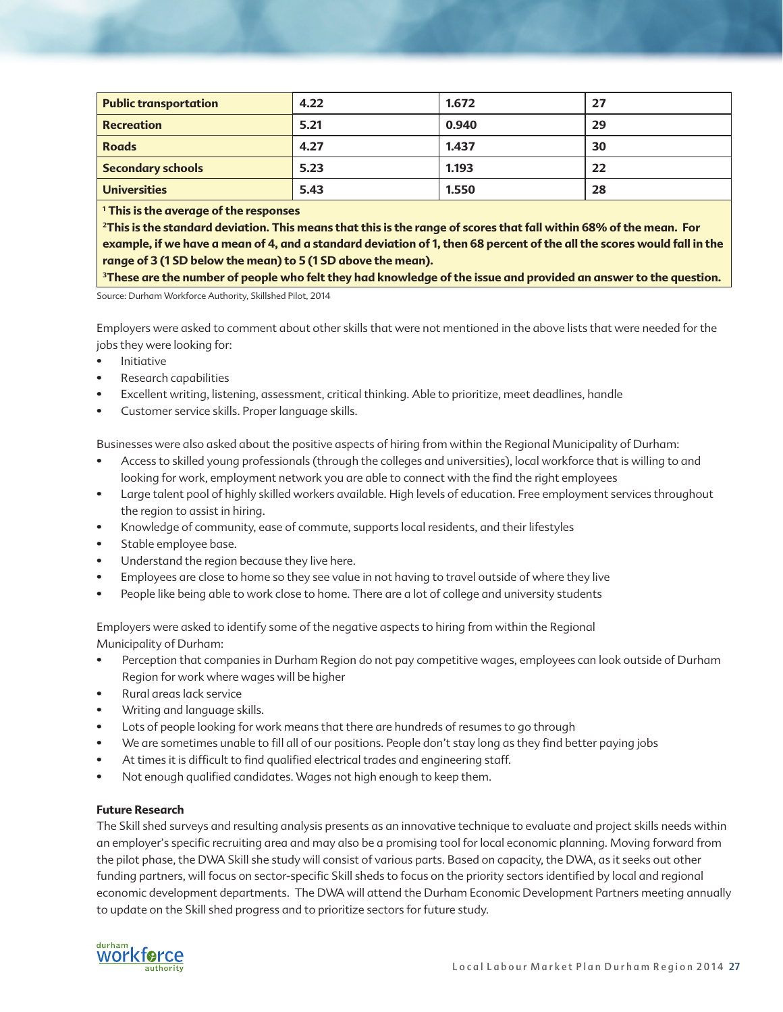| <b>Public transportation</b> | 4.22 | 1.672 | 27 |
|------------------------------|------|-------|----|
| <b>Recreation</b>            | 5.21 | 0.940 | 29 |
| <b>Roads</b>                 | 4.27 | 1.437 | 30 |
| <b>Secondary schools</b>     | 5.23 | 1.193 | 22 |
| <b>Universities</b>          | 5.43 | 1.550 | 28 |

**1 This is the average of the responses**

**2This is the standard deviation. This means that this is the range of scores that fall within 68% of the mean. For example, if we have a mean of 4, and a standard deviation of 1, then 68 percent of the all the scores would fall in the range of 3 (1 SD below the mean) to 5 (1 SD above the mean).** 

**3These are the number of people who felt they had knowledge of the issue and provided an answer to the question.** 

Source: Durham Workforce Authority, Skillshed Pilot, 2014

Employers were asked to comment about other skills that were not mentioned in the above lists that were needed for the jobs they were looking for:

- Initiative
- Research capabilities
- Excellent writing, listening, assessment, critical thinking. Able to prioritize, meet deadlines, handle
- Customer service skills. Proper language skills.

Businesses were also asked about the positive aspects of hiring from within the Regional Municipality of Durham:

- Access to skilled young professionals (through the colleges and universities), local workforce that is willing to and looking for work, employment network you are able to connect with the find the right employees
- Large talent pool of highly skilled workers available. High levels of education. Free employment services throughout the region to assist in hiring.
- Knowledge of community, ease of commute, supports local residents, and their lifestyles
- Stable employee base.
- Understand the region because they live here.
- Employees are close to home so they see value in not having to travel outside of where they live
- People like being able to work close to home. There are a lot of college and university students

Employers were asked to identify some of the negative aspects to hiring from within the Regional Municipality of Durham:

- Perception that companies in Durham Region do not pay competitive wages, employees can look outside of Durham Region for work where wages will be higher
- Rural areas lack service
- Writing and language skills.
- Lots of people looking for work means that there are hundreds of resumes to go through
- We are sometimes unable to fill all of our positions. People don't stay long as they find better paying jobs
- At times it is difficult to find qualified electrical trades and engineering staff.
- Not enough qualified candidates. Wages not high enough to keep them.

### **Future Research**

The Skill shed surveys and resulting analysis presents as an innovative technique to evaluate and project skills needs within an employer's specific recruiting area and may also be a promising tool for local economic planning. Moving forward from the pilot phase, the DWA Skill she study will consist of various parts. Based on capacity, the DWA, as it seeks out other funding partners, will focus on sector-specific Skill sheds to focus on the priority sectors identified by local and regional economic development departments. The DWA will attend the Durham Economic Development Partners meeting annually to update on the Skill shed progress and to prioritize sectors for future study.

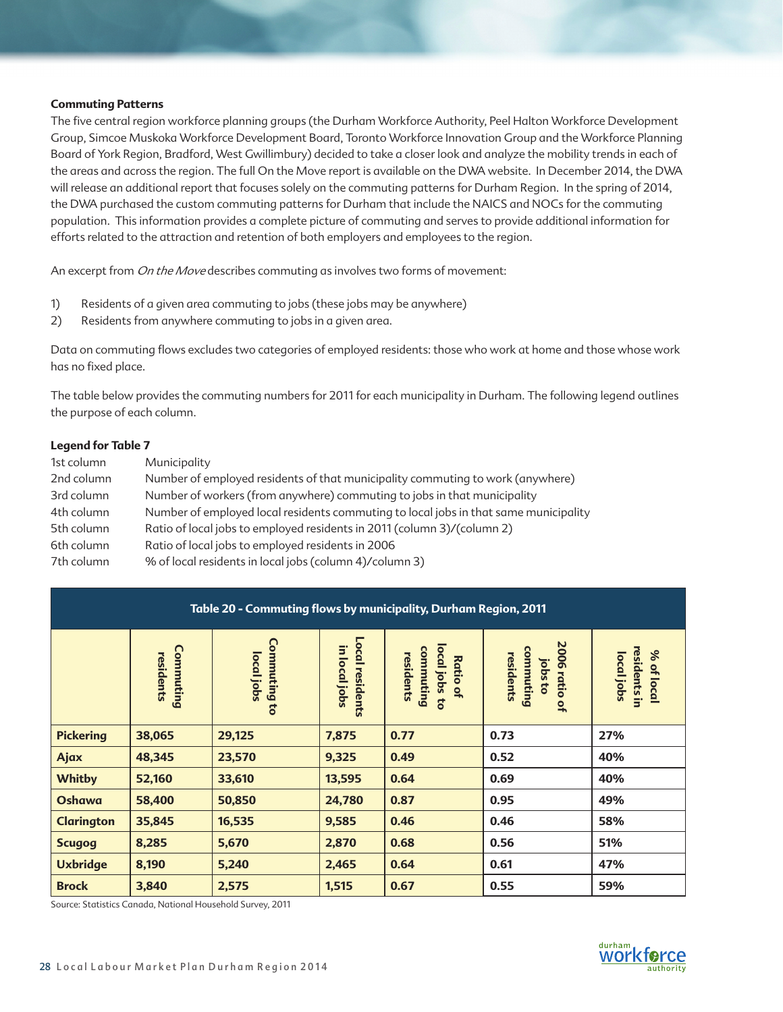### **Commuting Patterns**

The five central region workforce planning groups (the Durham Workforce Authority, Peel Halton Workforce Development Group, Simcoe Muskoka Workforce Development Board, Toronto Workforce Innovation Group and the Workforce Planning Board of York Region, Bradford, West Gwillimbury) decided to take a closer look and analyze the mobility trends in each of the areas and across the region. The full On the Move report is available on the DWA website. In December 2014, the DWA will release an additional report that focuses solely on the commuting patterns for Durham Region. In the spring of 2014, the DWA purchased the custom commuting patterns for Durham that include the NAICS and NOCs for the commuting population. This information provides a complete picture of commuting and serves to provide additional information for efforts related to the attraction and retention of both employers and employees to the region.

An excerpt from *On the Move* describes commuting as involves two forms of movement:

- 1) Residents of a given area commuting to jobs (these jobs may be anywhere)
- 2) Residents from anywhere commuting to jobs in a given area.

Data on commuting flows excludes two categories of employed residents: those who work at home and those whose work has no fixed place.

The table below provides the commuting numbers for 2011 for each municipality in Durham. The following legend outlines the purpose of each column.

### **Legend for Table 7**

| 1st column | Municipality                                                                         |
|------------|--------------------------------------------------------------------------------------|
| 2nd column | Number of employed residents of that municipality commuting to work (anywhere)       |
| 3rd column | Number of workers (from anywhere) commuting to jobs in that municipality             |
| 4th column | Number of employed local residents commuting to local jobs in that same municipality |
| 5th column | Ratio of local jobs to employed residents in 2011 (column 3)/(column 2)              |
| 6th column | Ratio of local jobs to employed residents in 2006                                    |
| 7th column | % of local residents in local jobs (column 4)/column 3)                              |

| Table 20 - Commuting flows by municipality, Durham Region, 2011 |                        |                                   |                                         |                                                                                          |                                                    |                                          |  |  |  |
|-----------------------------------------------------------------|------------------------|-----------------------------------|-----------------------------------------|------------------------------------------------------------------------------------------|----------------------------------------------------|------------------------------------------|--|--|--|
|                                                                 | Commuting<br>residents | <b>Commuting to</b><br>local jobs | <b>Local residents</b><br>in local jobs | local jobs<br>commuting<br>residents<br><b>Ratio</b><br>$\overline{a}$<br>$\overline{c}$ | 2006 ratio of<br>commuting<br>residents<br>jobs to | residents in<br>% of local<br>local jobs |  |  |  |
| <b>Pickering</b>                                                | 38,065                 | 29,125                            | 7,875                                   | 0.77                                                                                     | 0.73                                               | 27%                                      |  |  |  |
| Ajax                                                            | 48,345                 | 23,570                            | 9,325                                   | 0.49                                                                                     | 0.52                                               | 40%                                      |  |  |  |
| <b>Whitby</b>                                                   | 52,160                 | 33,610                            | 13,595                                  | 0.64                                                                                     | 0.69                                               | 40%                                      |  |  |  |
| <b>Oshawa</b>                                                   | 58,400                 | 50,850                            | 24,780                                  | 0.87                                                                                     | 0.95                                               | 49%                                      |  |  |  |
| <b>Clarington</b>                                               | 35,845                 | 16,535                            | 9,585                                   | 0.46                                                                                     | 0.46                                               | 58%                                      |  |  |  |
| <b>Scugog</b>                                                   | 8,285                  | 5,670                             | 2,870                                   | 0.68                                                                                     | 0.56                                               | 51%                                      |  |  |  |
| <b>Uxbridge</b>                                                 | 8,190                  | 5,240                             | 2,465                                   | 0.64                                                                                     | 0.61                                               | 47%                                      |  |  |  |
| <b>Brock</b>                                                    | 3,840                  | 2,575                             | 1,515                                   | 0.67                                                                                     | 0.55                                               | 59%                                      |  |  |  |

Source: Statistics Canada, National Household Survey, 2011

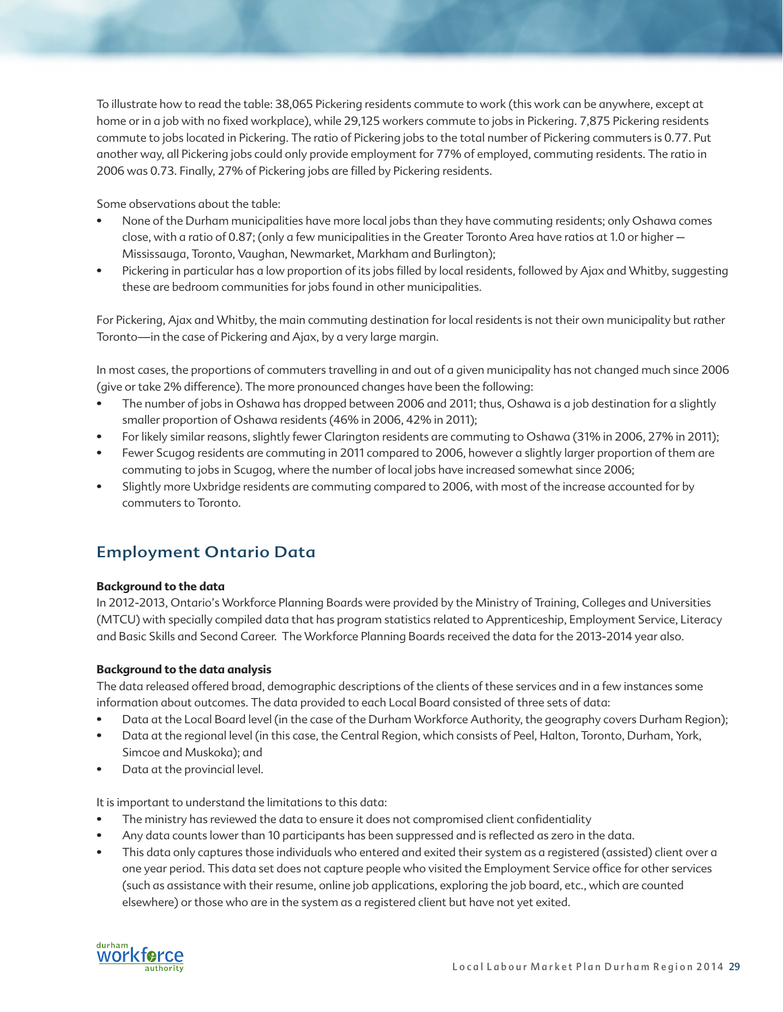To illustrate how to read the table: 38,065 Pickering residents commute to work (this work can be anywhere, except at home or in a job with no fixed workplace), while 29,125 workers commute to jobs in Pickering. 7,875 Pickering residents commute to jobs located in Pickering. The ratio of Pickering jobs to the total number of Pickering commuters is 0.77. Put another way, all Pickering jobs could only provide employment for 77% of employed, commuting residents. The ratio in 2006 was 0.73. Finally, 27% of Pickering jobs are filled by Pickering residents.

Some observations about the table:

- None of the Durham municipalities have more local jobs than they have commuting residents; only Oshawa comes close, with a ratio of 0.87; (only a few municipalities in the Greater Toronto Area have ratios at 1.0 or higher – Mississauga, Toronto, Vaughan, Newmarket, Markham and Burlington);
- Pickering in particular has a low proportion of its jobs filled by local residents, followed by Ajax and Whitby, suggesting these are bedroom communities for jobs found in other municipalities.

For Pickering, Ajax and Whitby, the main commuting destination for local residents is not their own municipality but rather Toronto—in the case of Pickering and Ajax, by a very large margin.

In most cases, the proportions of commuters travelling in and out of a given municipality has not changed much since 2006 (give or take 2% difference). The more pronounced changes have been the following:

- The number of jobs in Oshawa has dropped between 2006 and 2011; thus, Oshawa is a job destination for a slightly smaller proportion of Oshawa residents (46% in 2006, 42% in 2011);
- For likely similar reasons, slightly fewer Clarington residents are commuting to Oshawa (31% in 2006, 27% in 2011);
- Fewer Scugog residents are commuting in 2011 compared to 2006, however a slightly larger proportion of them are commuting to jobs in Scugog, where the number of local jobs have increased somewhat since 2006;
- Slightly more Uxbridge residents are commuting compared to 2006, with most of the increase accounted for by commuters to Toronto.

# Employment Ontario Data

### **Background to the data**

In 2012-2013, Ontario's Workforce Planning Boards were provided by the Ministry of Training, Colleges and Universities (MTCU) with specially compiled data that has program statistics related to Apprenticeship, Employment Service, Literacy and Basic Skills and Second Career. The Workforce Planning Boards received the data for the 2013-2014 year also.

### **Background to the data analysis**

The data released offered broad, demographic descriptions of the clients of these services and in a few instances some information about outcomes. The data provided to each Local Board consisted of three sets of data:

- Data at the Local Board level (in the case of the Durham Workforce Authority, the geography covers Durham Region);
- Data at the regional level (in this case, the Central Region, which consists of Peel, Halton, Toronto, Durham, York, Simcoe and Muskoka); and
- Data at the provincial level.

It is important to understand the limitations to this data:

- The ministry has reviewed the data to ensure it does not compromised client confidentiality
- Any data counts lower than 10 participants has been suppressed and is reflected as zero in the data.
- This data only captures those individuals who entered and exited their system as a registered (assisted) client over a one year period. This data set does not capture people who visited the Employment Service office for other services (such as assistance with their resume, online job applications, exploring the job board, etc., which are counted elsewhere) or those who are in the system as a registered client but have not yet exited.

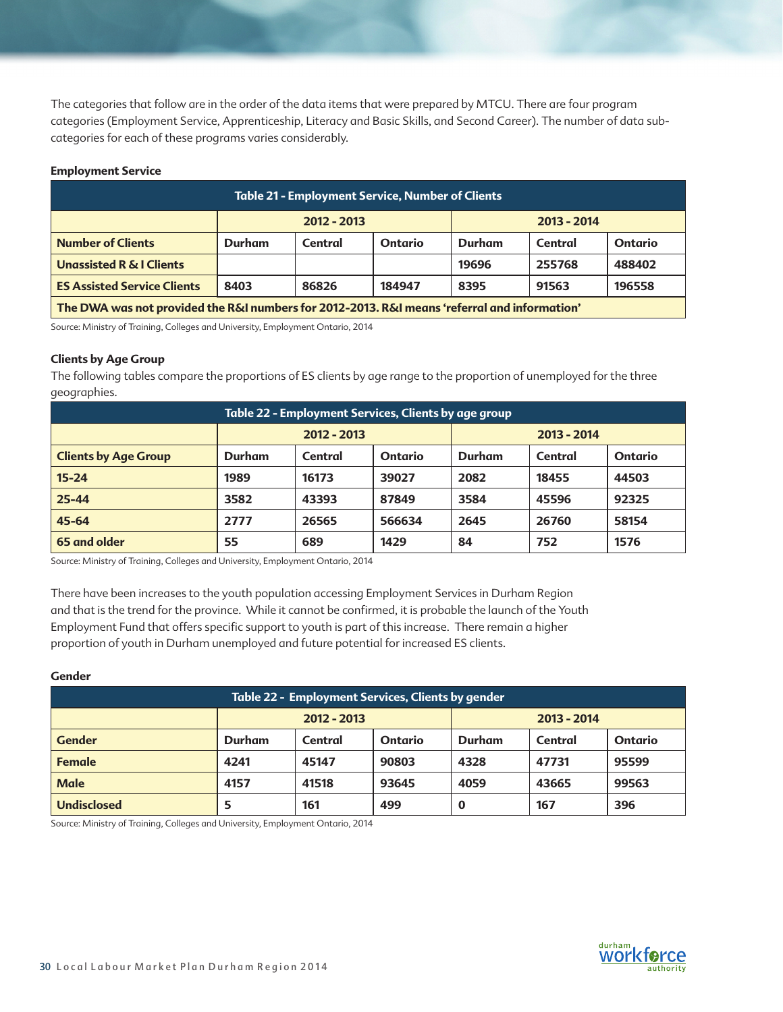The categories that follow are in the order of the data items that were prepared by MTCU. There are four program categories (Employment Service, Apprenticeship, Literacy and Basic Skills, and Second Career). The number of data subcategories for each of these programs varies considerably.

### **Employment Service**

| <b>Table 21 - Employment Service, Number of Clients</b>                                      |        |                                |                |               |         |                |  |  |  |
|----------------------------------------------------------------------------------------------|--------|--------------------------------|----------------|---------------|---------|----------------|--|--|--|
|                                                                                              |        | $2012 - 2013$<br>$2013 - 2014$ |                |               |         |                |  |  |  |
| <b>Number of Clients</b>                                                                     | Durham | Central                        | <b>Ontario</b> | <b>Durham</b> | Central | <b>Ontario</b> |  |  |  |
| <b>Unassisted R &amp; I Clients</b>                                                          |        |                                |                | 19696         | 255768  | 488402         |  |  |  |
| <b>ES Assisted Service Clients</b><br>91563<br>8403<br>86826<br>184947<br>8395<br>196558     |        |                                |                |               |         |                |  |  |  |
| The DWA was not provided the R&I numbers for 2012-2013. R&I means 'referral and information' |        |                                |                |               |         |                |  |  |  |

Source: Ministry of Training, Colleges and University, Employment Ontario, 2014

### **Clients by Age Group**

The following tables compare the proportions of ES clients by age range to the proportion of unemployed for the three geographies.

| Table 22 - Employment Services, Clients by age group |        |               |                |               |         |                |  |  |
|------------------------------------------------------|--------|---------------|----------------|---------------|---------|----------------|--|--|
|                                                      |        | $2012 - 2013$ |                | $2013 - 2014$ |         |                |  |  |
| <b>Clients by Age Group</b>                          | Durham | Central       | <b>Ontario</b> | Durham        | Central | <b>Ontario</b> |  |  |
| $15 - 24$                                            | 1989   | 16173         | 39027          | 2082          | 18455   | 44503          |  |  |
| $25 - 44$                                            | 3582   | 43393         | 87849          | 3584          | 45596   | 92325          |  |  |
| 45-64                                                | 2777   | 26565         | 566634         | 2645          | 26760   | 58154          |  |  |
| 65 and older                                         | 55     | 689           | 1429           | 84            | 752     | 1576           |  |  |

Source: Ministry of Training, Colleges and University, Employment Ontario, 2014

There have been increases to the youth population accessing Employment Services in Durham Region and that is the trend for the province. While it cannot be confirmed, it is probable the launch of the Youth Employment Fund that offers specific support to youth is part of this increase. There remain a higher proportion of youth in Durham unemployed and future potential for increased ES clients.

### **Gender**

| Table 22 - Employment Services, Clients by gender |        |                                |         |        |         |                |  |
|---------------------------------------------------|--------|--------------------------------|---------|--------|---------|----------------|--|
|                                                   |        | $2012 - 2013$<br>$2013 - 2014$ |         |        |         |                |  |
| <b>Gender</b>                                     | Durham | Central                        | Ontario | Durham | Central | <b>Ontario</b> |  |
| <b>Female</b>                                     | 4241   | 45147                          | 90803   | 4328   | 47731   | 95599          |  |
| <b>Male</b>                                       | 4157   | 41518                          | 93645   | 4059   | 43665   | 99563          |  |
| <b>Undisclosed</b>                                | 5      | 161                            | 499     | O      | 167     | 396            |  |

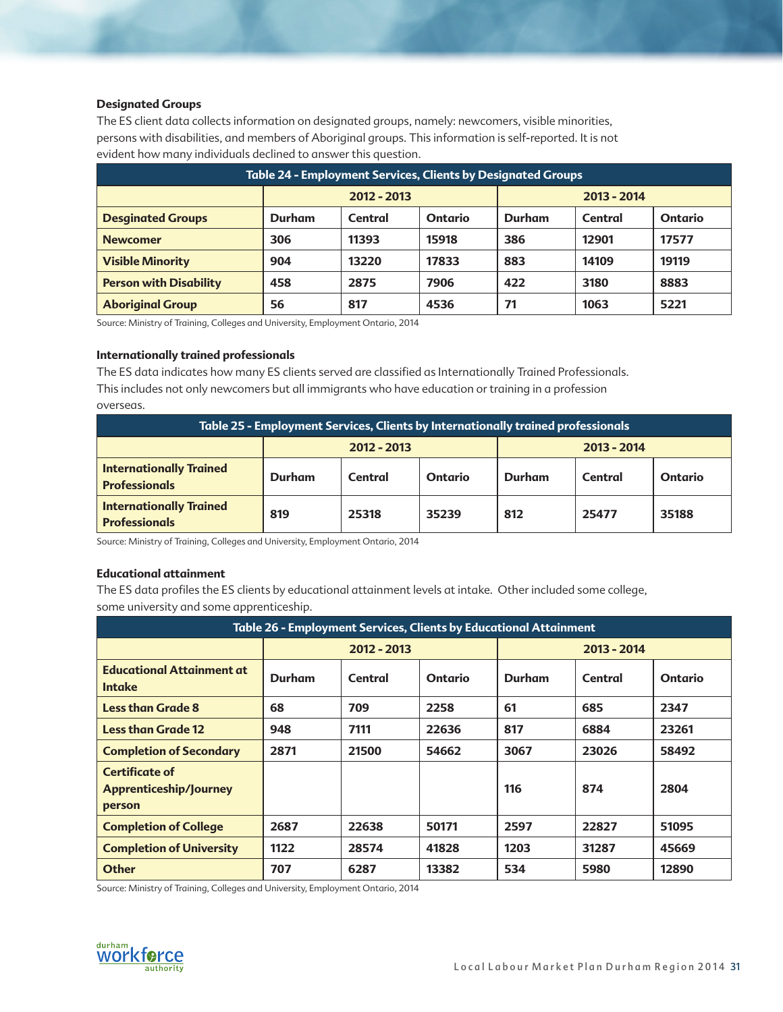### **Designated Groups**

The ES client data collects information on designated groups, namely: newcomers, visible minorities, persons with disabilities, and members of Aboriginal groups. This information is self-reported. It is not evident how many individuals declined to answer this question.

| <b>Table 24 - Employment Services, Clients by Designated Groups</b> |        |               |                |        |               |                |  |
|---------------------------------------------------------------------|--------|---------------|----------------|--------|---------------|----------------|--|
|                                                                     |        | $2012 - 2013$ |                |        | $2013 - 2014$ |                |  |
| <b>Desginated Groups</b>                                            | Durham | Central       | <b>Ontario</b> | Durham | Central       | <b>Ontario</b> |  |
| <b>Newcomer</b>                                                     | 306    | 11393         | 15918          | 386    | 12901         | 17577          |  |
| <b>Visible Minority</b>                                             | 904    | 13220         | 17833          | 883    | 14109         | 19119          |  |
| <b>Person with Disability</b>                                       | 458    | 2875          | 7906           | 422    | 3180          | 8883           |  |
| <b>Aboriginal Group</b>                                             | 56     | 817           | 4536           | 71     | 1063          | 5221           |  |

Source: Ministry of Training, Colleges and University, Employment Ontario, 2014

### **Internationally trained professionals**

The ES data indicates how many ES clients served are classified as Internationally Trained Professionals. This includes not only newcomers but all immigrants who have education or training in a profession overseas.

| <b>Table 25 - Employment Services, Clients by Internationally trained professionals</b> |               |         |         |               |         |         |  |  |
|-----------------------------------------------------------------------------------------|---------------|---------|---------|---------------|---------|---------|--|--|
|                                                                                         | $2012 - 2013$ |         |         | $2013 - 2014$ |         |         |  |  |
| <b>Internationally Trained</b><br><b>Professionals</b>                                  | Durham        | Central | Ontario | Durham        | Central | Ontario |  |  |
| <b>Internationally Trained</b><br><b>Professionals</b>                                  | 819           | 25318   | 35239   | 812           | 25477   | 35188   |  |  |

Source: Ministry of Training, Colleges and University, Employment Ontario, 2014

### **Educational attainment**

The ES data profiles the ES clients by educational attainment levels at intake. Other included some college, some university and some apprenticeship.

| <b>Table 26 - Employment Services, Clients by Educational Attainment</b> |             |         |         |        |             |                |  |  |
|--------------------------------------------------------------------------|-------------|---------|---------|--------|-------------|----------------|--|--|
|                                                                          | 2012 - 2013 |         |         |        | 2013 - 2014 |                |  |  |
| <b>Educational Attainment at</b><br><b>Intake</b>                        | Durham      | Central | Ontario | Durham | Central     | <b>Ontario</b> |  |  |
| <b>Less than Grade 8</b>                                                 | 68          | 709     | 2258    | 61     | 685         | 2347           |  |  |
| <b>Less than Grade 12</b>                                                | 948         | 7111    | 22636   | 817    | 6884        | 23261          |  |  |
| <b>Completion of Secondary</b>                                           | 2871        | 21500   | 54662   | 3067   | 23026       | 58492          |  |  |
| <b>Certificate of</b><br>Apprenticeship/Journey<br>person                |             |         |         | 116    | 874         | 2804           |  |  |
| <b>Completion of College</b>                                             | 2687        | 22638   | 50171   | 2597   | 22827       | 51095          |  |  |
| <b>Completion of University</b>                                          | 1122        | 28574   | 41828   | 1203   | 31287       | 45669          |  |  |
| <b>Other</b>                                                             | 707         | 6287    | 13382   | 534    | 5980        | 12890          |  |  |

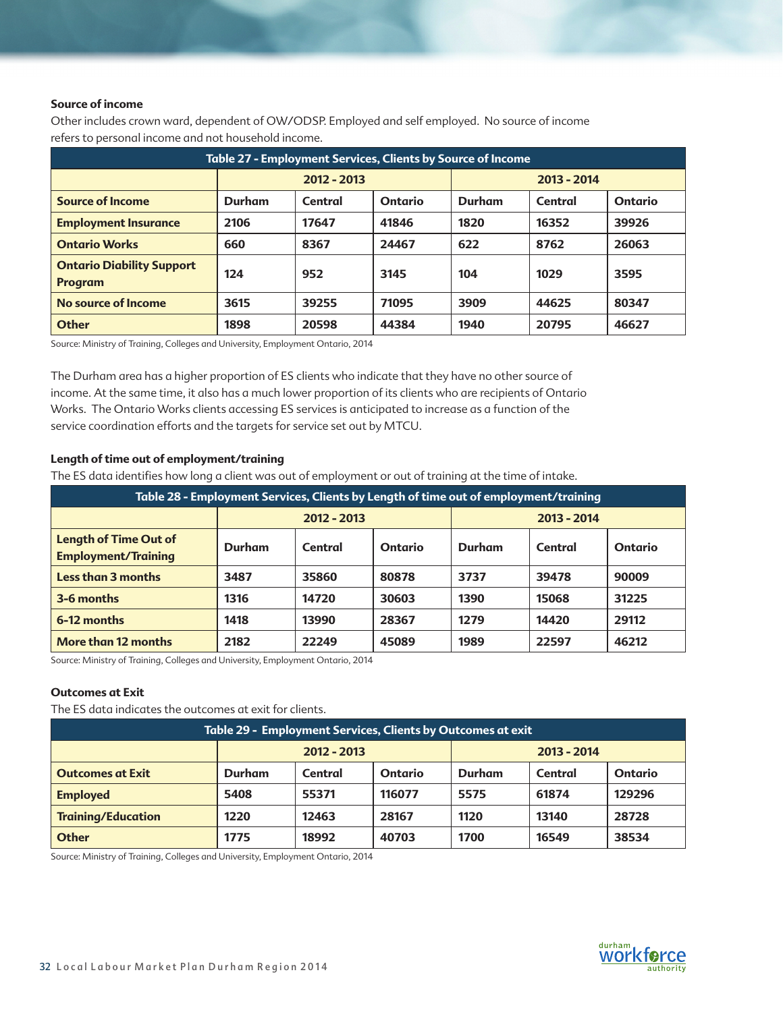### **Source of income**

Other includes crown ward, dependent of OW/ODSP. Employed and self employed. No source of income refers to personal income and not household income.

| Table 27 - Employment Services, Clients by Source of Income |        |             |                |        |             |                |  |  |
|-------------------------------------------------------------|--------|-------------|----------------|--------|-------------|----------------|--|--|
|                                                             |        | 2012 - 2013 |                |        | 2013 - 2014 |                |  |  |
| <b>Source of Income</b>                                     | Durham | Central     | <b>Ontario</b> | Durham | Central     | <b>Ontario</b> |  |  |
| <b>Employment Insurance</b>                                 | 2106   | 17647       | 41846          | 1820   | 16352       | 39926          |  |  |
| <b>Ontario Works</b>                                        | 660    | 8367        | 24467          | 622    | 8762        | 26063          |  |  |
| <b>Ontario Diability Support</b><br><b>Program</b>          | 124    | 952         | 3145           | 104    | 1029        | 3595           |  |  |
| No source of Income                                         | 3615   | 39255       | 71095          | 3909   | 44625       | 80347          |  |  |
| <b>Other</b>                                                | 1898   | 20598       | 44384          | 1940   | 20795       | 46627          |  |  |

Source: Ministry of Training, Colleges and University, Employment Ontario, 2014

The Durham area has a higher proportion of ES clients who indicate that they have no other source of income. At the same time, it also has a much lower proportion of its clients who are recipients of Ontario Works. The Ontario Works clients accessing ES services is anticipated to increase as a function of the service coordination efforts and the targets for service set out by MTCU.

### **Length of time out of employment/training**

The ES data identifies how long a client was out of employment or out of training at the time of intake.

| Table 28 - Employment Services, Clients by Length of time out of employment/training |               |         |         |               |         |         |  |
|--------------------------------------------------------------------------------------|---------------|---------|---------|---------------|---------|---------|--|
|                                                                                      | $2012 - 2013$ |         |         | $2013 - 2014$ |         |         |  |
| <b>Length of Time Out of</b><br><b>Employment/Training</b>                           | <b>Durham</b> | Central | Ontario | Durham        | Central | Ontario |  |
| <b>Less than 3 months</b>                                                            | 3487          | 35860   | 80878   | 3737          | 39478   | 90009   |  |
| 3-6 months                                                                           | 1316          | 14720   | 30603   | 1390          | 15068   | 31225   |  |
| 6-12 months                                                                          | 1418          | 13990   | 28367   | 1279          | 14420   | 29112   |  |
| More than 12 months                                                                  | 2182          | 22249   | 45089   | 1989          | 22597   | 46212   |  |

Source: Ministry of Training, Colleges and University, Employment Ontario, 2014

### **Outcomes at Exit**

The ES data indicates the outcomes at exit for clients.

| Table 29 - Employment Services, Clients by Outcomes at exit |        |               |         |               |                |        |  |
|-------------------------------------------------------------|--------|---------------|---------|---------------|----------------|--------|--|
|                                                             |        | $2012 - 2013$ |         | $2013 - 2014$ |                |        |  |
| <b>Outcomes at Exit</b>                                     | Durham | Central       | Ontario | Durham        | <b>Ontario</b> |        |  |
| <b>Employed</b>                                             | 5408   | 55371         | 116077  | 5575          | 61874          | 129296 |  |
| <b>Training/Education</b>                                   | 1220   | 12463         | 28167   | 1120          | 13140          | 28728  |  |
| <b>Other</b>                                                | 1775   | 18992         | 40703   | 1700          | 16549          | 38534  |  |

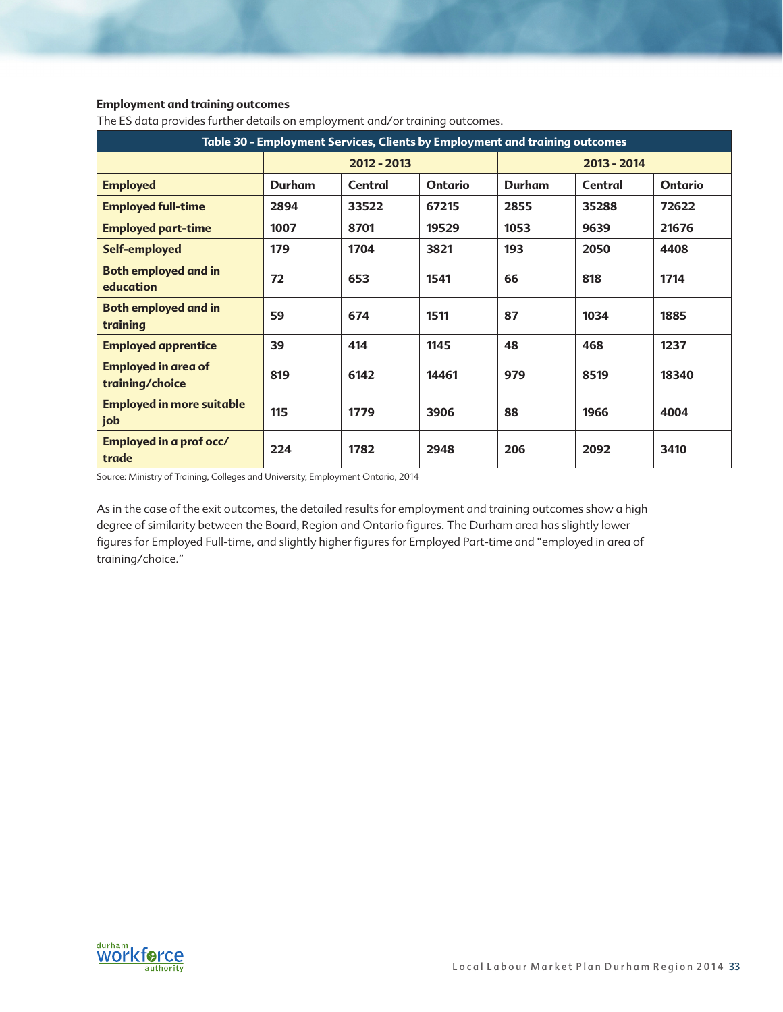## **Employment and training outcomes**

| Table 30 - Employment Services, Clients by Employment and training outcomes |        |             |                |               |         |                |  |  |
|-----------------------------------------------------------------------------|--------|-------------|----------------|---------------|---------|----------------|--|--|
|                                                                             |        | 2012 - 2013 |                | 2013 - 2014   |         |                |  |  |
| <b>Employed</b>                                                             | Durham | Central     | <b>Ontario</b> | <b>Durham</b> | Central | <b>Ontario</b> |  |  |
| <b>Employed full-time</b>                                                   | 2894   | 33522       | 67215          | 2855          | 35288   | 72622          |  |  |
| <b>Employed part-time</b>                                                   | 1007   | 8701        | 19529          | 1053          | 9639    | 21676          |  |  |
| Self-employed                                                               | 179    | 1704        | 3821           | 193           | 2050    | 4408           |  |  |
| <b>Both employed and in</b><br>education                                    | 72     | 653         | 1541           | 66            | 818     | 1714           |  |  |
| <b>Both employed and in</b><br>training                                     | 59     | 674         | 1511           | 87            | 1034    | 1885           |  |  |
| <b>Employed apprentice</b>                                                  | 39     | 414         | 1145           | 48            | 468     | 1237           |  |  |
| <b>Employed in area of</b><br>training/choice                               | 819    | 6142        | 14461          | 979           | 8519    | 18340          |  |  |
| <b>Employed in more suitable</b><br>job                                     | 115    | 1779        | 3906           | 88            | 1966    | 4004           |  |  |
| Employed in a prof occ/<br>trade                                            | 224    | 1782        | 2948           | 206           | 2092    | 3410           |  |  |

The ES data provides further details on employment and/or training outcomes.

Source: Ministry of Training, Colleges and University, Employment Ontario, 2014

As in the case of the exit outcomes, the detailed results for employment and training outcomes show a high degree of similarity between the Board, Region and Ontario figures. The Durham area has slightly lower figures for Employed Full-time, and slightly higher figures for Employed Part-time and "employed in area of training/choice."

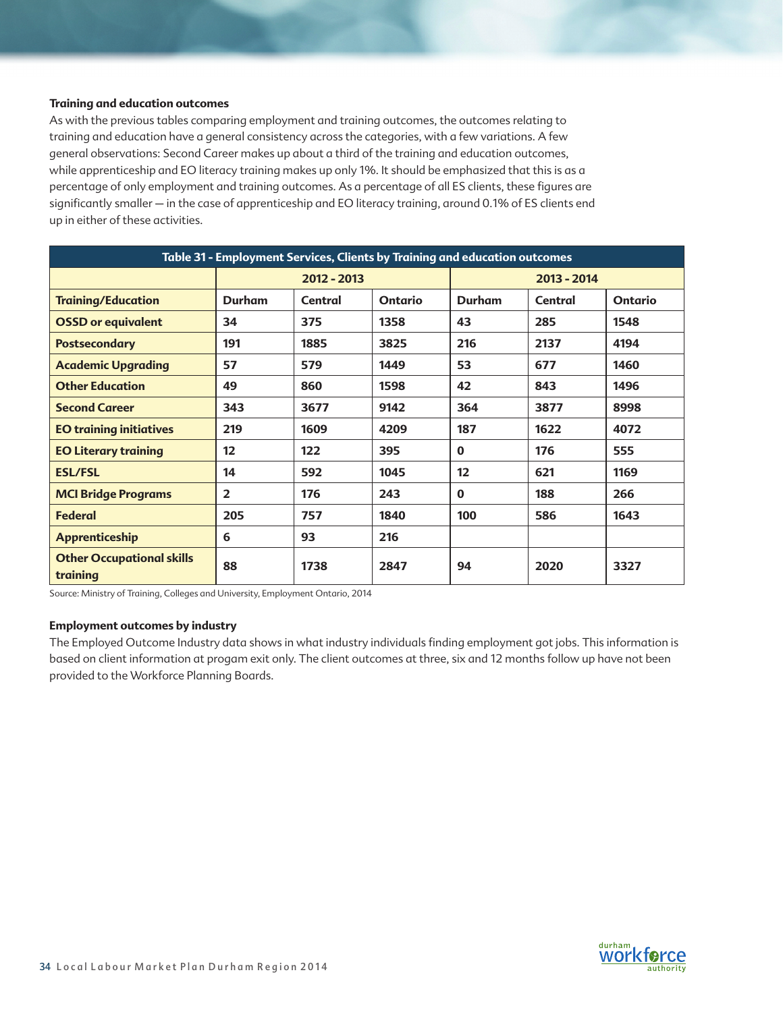### **Training and education outcomes**

As with the previous tables comparing employment and training outcomes, the outcomes relating to training and education have a general consistency across the categories, with a few variations. A few general observations: Second Career makes up about a third of the training and education outcomes, while apprenticeship and EO literacy training makes up only 1%. It should be emphasized that this is as a percentage of only employment and training outcomes. As a percentage of all ES clients, these figures are significantly smaller - in the case of apprenticeship and EO literacy training, around 0.1% of ES clients end up in either of these activities.

| Table 31 - Employment Services, Clients by Training and education outcomes |                |               |                |               |         |                |  |  |
|----------------------------------------------------------------------------|----------------|---------------|----------------|---------------|---------|----------------|--|--|
|                                                                            |                | $2012 - 2013$ |                | 2013 - 2014   |         |                |  |  |
| <b>Training/Education</b>                                                  | <b>Durham</b>  | Central       | <b>Ontario</b> | <b>Durham</b> | Central | <b>Ontario</b> |  |  |
| <b>OSSD or equivalent</b>                                                  | 34             | 375           | 1358           | 43            | 285     | 1548           |  |  |
| <b>Postsecondary</b>                                                       | 191            | 1885          | 3825           | 216           | 2137    | 4194           |  |  |
| <b>Academic Upgrading</b>                                                  | 57             | 579           | 1449           | 53            | 677     | 1460           |  |  |
| <b>Other Education</b>                                                     | 49             | 860           | 1598           | 42            | 843     | 1496           |  |  |
| <b>Second Career</b>                                                       | 343            | 3677          | 9142           | 364           | 3877    | 8998           |  |  |
| <b>EO training initiatives</b>                                             | 219            | 1609          | 4209           | 187           | 1622    | 4072           |  |  |
| <b>EO Literary training</b>                                                | 12             | 122           | 395            | $\bf{0}$      | 176     | 555            |  |  |
| <b>ESL/FSL</b>                                                             | 14             | 592           | 1045           | 12            | 621     | 1169           |  |  |
| <b>MCI Bridge Programs</b>                                                 | $\overline{2}$ | 176           | 243            | $\bf{0}$      | 188     | 266            |  |  |
| <b>Federal</b>                                                             | 205            | 757           | 1840           | 100           | 586     | 1643           |  |  |
| <b>Apprenticeship</b>                                                      | 6              | 93            | 216            |               |         |                |  |  |
| <b>Other Occupational skills</b><br>training                               | 88             | 1738          | 2847           | 94            | 2020    | 3327           |  |  |

Source: Ministry of Training, Colleges and University, Employment Ontario, 2014

### **Employment outcomes by industry**

The Employed Outcome Industry data shows in what industry individuals finding employment got jobs. This information is based on client information at progam exit only. The client outcomes at three, six and 12 months follow up have not been provided to the Workforce Planning Boards.

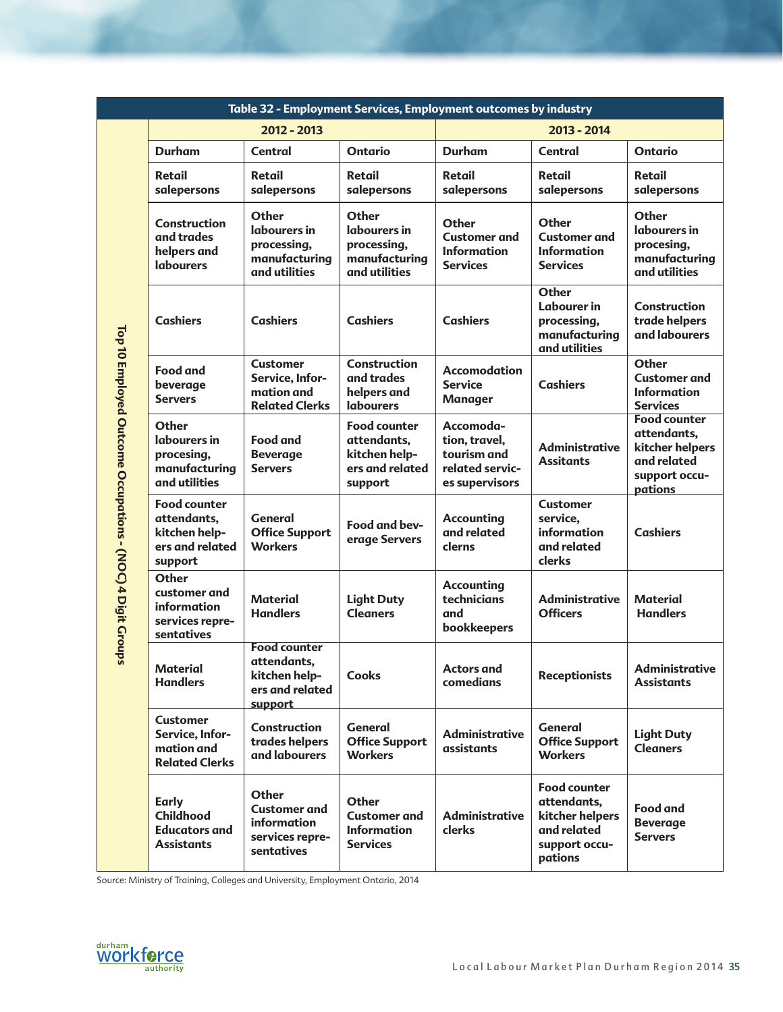|                                                            |                                                                                                                                                |                                                                                     | Table 32 - Employment Services, Employment outcomes by industry                   |                                                                                |                                                                                                  |                                                                                                  |
|------------------------------------------------------------|------------------------------------------------------------------------------------------------------------------------------------------------|-------------------------------------------------------------------------------------|-----------------------------------------------------------------------------------|--------------------------------------------------------------------------------|--------------------------------------------------------------------------------------------------|--------------------------------------------------------------------------------------------------|
|                                                            |                                                                                                                                                | $2012 - 2013$                                                                       |                                                                                   |                                                                                | $2013 - 2014$                                                                                    |                                                                                                  |
|                                                            | Durham                                                                                                                                         | <b>Central</b>                                                                      | <b>Ontario</b>                                                                    | <b>Durham</b>                                                                  | <b>Central</b>                                                                                   | <b>Ontario</b>                                                                                   |
|                                                            | Retail<br>salepersons                                                                                                                          | <b>Retail</b><br>salepersons                                                        | <b>Retail</b><br>salepersons                                                      | <b>Retail</b><br>salepersons                                                   | Retail<br>salepersons                                                                            | Retail<br>salepersons                                                                            |
|                                                            | Other<br><b>Construction</b><br>labourers in<br>and trades<br>processing,<br>helpers and<br>manufacturing<br><b>labourers</b><br>and utilities |                                                                                     | Other<br>labourers in<br>processing,<br>manufacturing<br>and utilities            | Other<br><b>Customer and</b><br><b>Information</b><br><b>Services</b>          | Other<br><b>Customer and</b><br><b>Information</b><br><b>Services</b>                            | Other<br>labourers in<br>procesing,<br>manufacturing<br>and utilities                            |
|                                                            | <b>Cashiers</b>                                                                                                                                | <b>Cashiers</b>                                                                     | <b>Cashiers</b>                                                                   | <b>Cashiers</b>                                                                | <b>Other</b><br>Labourer in<br>processing,<br>manufacturing<br>and utilities                     | Construction<br>trade helpers<br>and labourers                                                   |
|                                                            | <b>Food and</b><br>beverage<br><b>Servers</b>                                                                                                  | <b>Customer</b><br>Service, Infor-<br>mation and<br><b>Related Clerks</b>           | <b>Construction</b><br>and trades<br>helpers and<br><b>labourers</b>              | <b>Accomodation</b><br><b>Service</b><br><b>Manager</b>                        | <b>Cashiers</b>                                                                                  | Other<br><b>Customer and</b><br><b>Information</b><br><b>Services</b>                            |
| Top 10 Employed Outcome Occupations - (NOC) 4 Digit Groups | Other<br>labourers in<br>procesing,<br>manufacturing<br>and utilities                                                                          | <b>Food and</b><br><b>Beverage</b><br><b>Servers</b>                                | <b>Food counter</b><br>attendants,<br>kitchen help-<br>ers and related<br>support | Accomoda-<br>tion, travel,<br>tourism and<br>related servic-<br>es supervisors | <b>Administrative</b><br><b>Assitants</b>                                                        | <b>Food counter</b><br>attendants,<br>kitcher helpers<br>and related<br>support occu-<br>pations |
|                                                            | <b>Food counter</b><br>attendants,<br>kitchen help-<br>ers and related<br>support                                                              | General<br><b>Office Support</b><br><b>Workers</b>                                  | Food and bev-<br>erage Servers                                                    | <b>Accounting</b><br>and related<br>clerns                                     | <b>Customer</b><br>service,<br>information<br>and related<br>clerks                              | <b>Cashiers</b>                                                                                  |
|                                                            | Other<br>customer and<br>information<br>services repre-<br>sentatives                                                                          | <b>Material</b><br><b>Handlers</b>                                                  | <b>Light Duty</b><br><b>Cleaners</b>                                              | <b>Accounting</b><br>technicians<br>and<br>bookkeepers                         | <b>Administrative</b><br><b>Officers</b>                                                         | <b>Material</b><br><b>Handlers</b>                                                               |
|                                                            | <b>Material</b><br><b>Handlers</b>                                                                                                             | <b>Food counter</b><br>attendants.<br>kitchen help-<br>ers and related<br>support   | <b>Cooks</b>                                                                      | <b>Actors and</b><br>comedians                                                 | <b>Receptionists</b>                                                                             | Administrative<br>Assistants                                                                     |
|                                                            | <b>Customer</b><br>Service, Infor-<br>mation and<br><b>Related Clerks</b>                                                                      | <b>Construction</b><br>trades helpers<br>and labourers                              | <b>General</b><br><b>Office Support</b><br><b>Workers</b>                         | <b>Administrative</b><br>assistants                                            | <b>General</b><br><b>Office Support</b><br><b>Workers</b>                                        | <b>Light Duty</b><br><b>Cleaners</b>                                                             |
|                                                            | Early<br>Childhood<br><b>Educators and</b><br><b>Assistants</b>                                                                                | <b>Other</b><br><b>Customer and</b><br>information<br>services repre-<br>sentatives | Other<br><b>Customer and</b><br><b>Information</b><br><b>Services</b>             | <b>Administrative</b><br>clerks                                                | <b>Food counter</b><br>attendants,<br>kitcher helpers<br>and related<br>support occu-<br>pations | <b>Food and</b><br><b>Beverage</b><br><b>Servers</b>                                             |

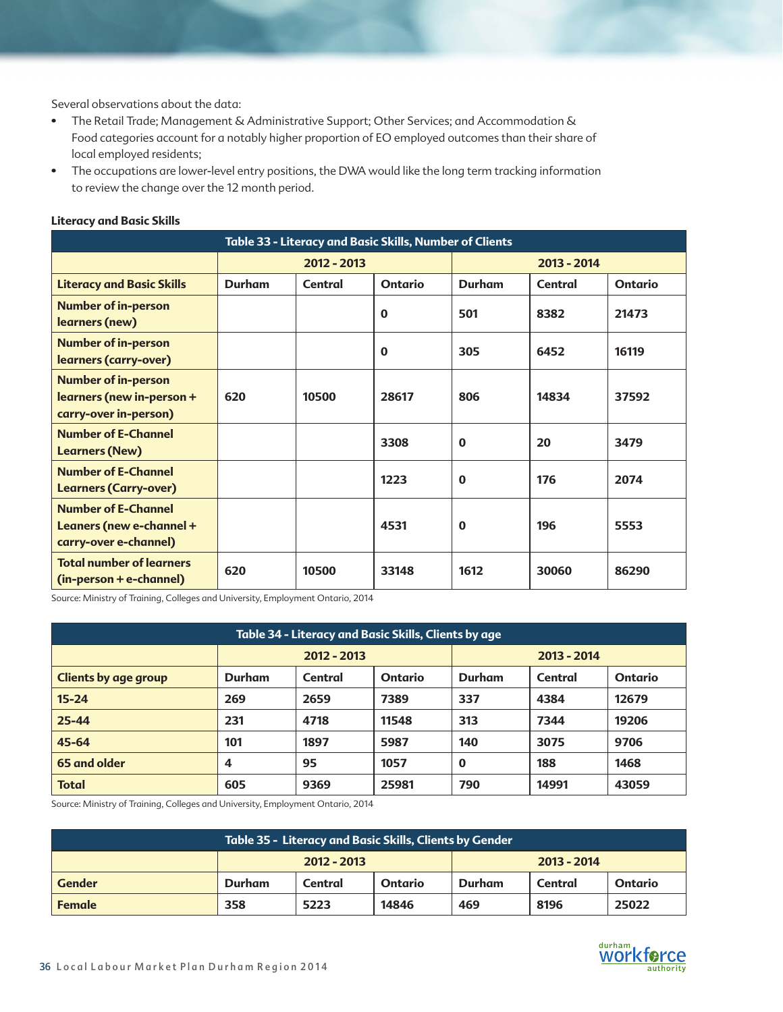Several observations about the data:

- The Retail Trade; Management & Administrative Support; Other Services; and Accommodation & Food categories account for a notably higher proportion of EO employed outcomes than their share of local employed residents;
- The occupations are lower-level entry positions, the DWA would like the long term tracking information to review the change over the 12 month period.

| Table 33 - Literacy and Basic Skills, Number of Clients                          |               |             |                |               |         |                |  |  |  |
|----------------------------------------------------------------------------------|---------------|-------------|----------------|---------------|---------|----------------|--|--|--|
|                                                                                  |               | 2012 - 2013 |                | 2013 - 2014   |         |                |  |  |  |
| <b>Literacy and Basic Skills</b>                                                 | <b>Durham</b> | Central     | <b>Ontario</b> | <b>Durham</b> | Central | <b>Ontario</b> |  |  |  |
| <b>Number of in-person</b><br>learners (new)                                     |               |             | $\bf{0}$       | 501           | 8382    | 21473          |  |  |  |
| <b>Number of in-person</b><br>learners (carry-over)                              |               |             | $\bf{0}$       | 305           | 6452    | 16119          |  |  |  |
| <b>Number of in-person</b><br>learners (new in-person +<br>carry-over in-person) | 620           | 10500       | 28617          | 806           | 14834   | 37592          |  |  |  |
| <b>Number of E-Channel</b><br><b>Learners (New)</b>                              |               |             | 3308           | $\bf{0}$      | 20      | 3479           |  |  |  |
| <b>Number of E-Channel</b><br><b>Learners (Carry-over)</b>                       |               |             | 1223           | $\mathbf 0$   | 176     | 2074           |  |  |  |
| <b>Number of E-Channel</b><br>Leaners (new e-channel +<br>carry-over e-channel)  |               |             | 4531           | $\bf{0}$      | 196     | 5553           |  |  |  |
| <b>Total number of learners</b><br>(in-person + e-channel)                       | 620           | 10500       | 33148          | 1612          | 30060   | 86290          |  |  |  |

### **Literacy and Basic Skills**

Source: Ministry of Training, Colleges and University, Employment Ontario, 2014

| Table 34 - Literacy and Basic Skills, Clients by age |               |         |         |          |               |                |  |  |
|------------------------------------------------------|---------------|---------|---------|----------|---------------|----------------|--|--|
|                                                      | $2012 - 2013$ |         |         |          | $2013 - 2014$ |                |  |  |
| <b>Clients by age group</b>                          | Durham        | Central | Ontario | Durham   | Central       | <b>Ontario</b> |  |  |
| $15 - 24$                                            | 269           | 2659    | 7389    | 337      | 4384          | 12679          |  |  |
| $25 - 44$                                            | 231           | 4718    | 11548   | 313      | 7344          | 19206          |  |  |
| 45-64                                                | 101           | 1897    | 5987    | 140      | 3075          | 9706           |  |  |
| 65 and older                                         | 4             | 95      | 1057    | $\bf{0}$ | 188           | 1468           |  |  |
| <b>Total</b>                                         | 605           | 9369    | 25981   | 790      | 14991         | 43059          |  |  |

| Table 35 - Literacy and Basic Skills, Clients by Gender |               |         |         |               |         |                |  |  |
|---------------------------------------------------------|---------------|---------|---------|---------------|---------|----------------|--|--|
|                                                         | $2012 - 2013$ |         |         | $2013 - 2014$ |         |                |  |  |
| <b>Gender</b>                                           | Durham        | Central | Ontario | Durham        | Central | <b>Ontario</b> |  |  |
| <b>Female</b>                                           | 358           | 5223    | 14846   | 469           | 8196    | 25022          |  |  |

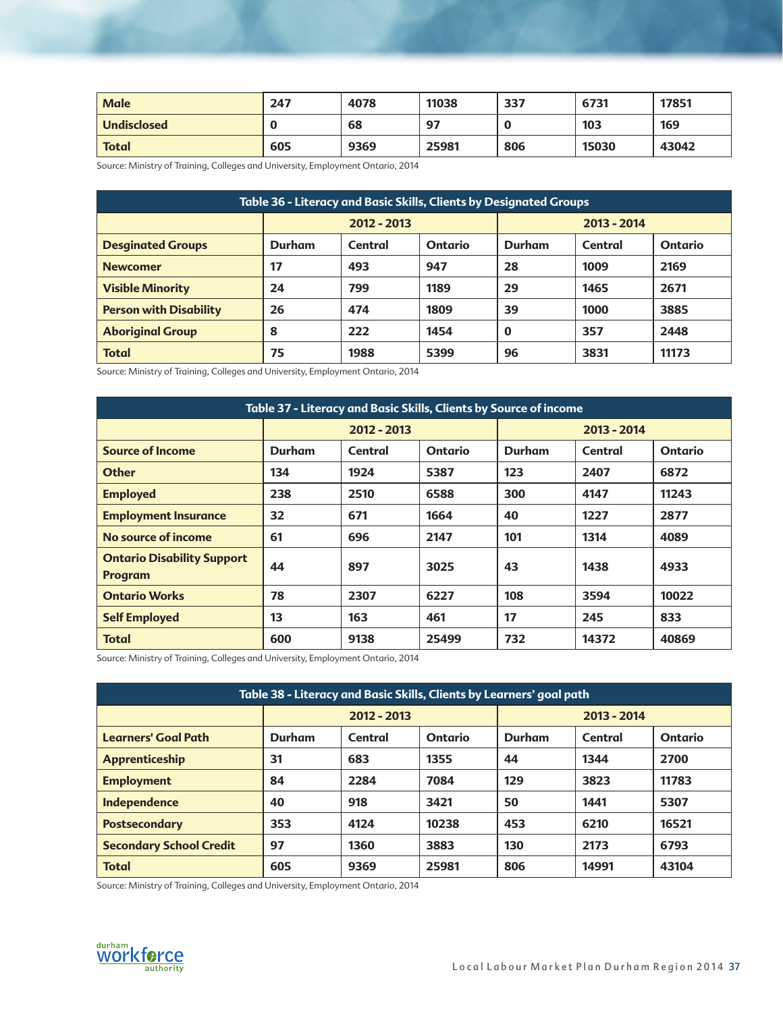| <b>Male</b>        | 247 | 4078 | 11038 | 337 | 6731  | 17851 |
|--------------------|-----|------|-------|-----|-------|-------|
| <b>Undisclosed</b> |     | 68   | 97    |     | 103   | 169   |
| <b>Total</b>       | 605 | 9369 | 25981 | 806 | 15030 | 43042 |

| Table 36 - Literacy and Basic Skills, Clients by Designated Groups |               |         |                |               |         |                |  |  |
|--------------------------------------------------------------------|---------------|---------|----------------|---------------|---------|----------------|--|--|
|                                                                    | $2012 - 2013$ |         |                | $2013 - 2014$ |         |                |  |  |
| <b>Desginated Groups</b>                                           | Durham        | Central | <b>Ontario</b> | Durham        | Central | <b>Ontario</b> |  |  |
| <b>Newcomer</b>                                                    | 17            | 493     | 947            | 28            | 1009    | 2169           |  |  |
| <b>Visible Minority</b>                                            | 24            | 799     | 1189           | 29            | 1465    | 2671           |  |  |
| <b>Person with Disability</b>                                      | 26            | 474     | 1809           | 39            | 1000    | 3885           |  |  |
| <b>Aboriginal Group</b>                                            | 8             | 222     | 1454           | $\bf{0}$      | 357     | 2448           |  |  |
| <b>Total</b>                                                       | 75            | 1988    | 5399           | 96            | 3831    | 11173          |  |  |

Source: Ministry of Training, Colleges and University, Employment Ontario, 2014

| Table 37 - Literacy and Basic Skills, Clients by Source of income |               |               |                |               |             |                |  |  |
|-------------------------------------------------------------------|---------------|---------------|----------------|---------------|-------------|----------------|--|--|
|                                                                   |               | $2012 - 2013$ |                |               | 2013 - 2014 |                |  |  |
| <b>Source of Income</b>                                           | <b>Durham</b> | Central       | <b>Ontario</b> | <b>Durham</b> | Central     | <b>Ontario</b> |  |  |
| <b>Other</b>                                                      | 134           | 1924          | 5387           | 123           | 2407        | 6872           |  |  |
| <b>Employed</b>                                                   | 238           | 2510          | 6588           | 300           | 4147        | 11243          |  |  |
| <b>Employment Insurance</b>                                       | 32            | 671           | 1664           | 40            | 1227        | 2877           |  |  |
| No source of income                                               | 61            | 696           | 2147           | 101           | 1314        | 4089           |  |  |
| <b>Ontario Disability Support</b><br><b>Program</b>               | 44            | 897           | 3025           | 43            | 1438        | 4933           |  |  |
| <b>Ontario Works</b>                                              | 78            | 2307          | 6227           | 108           | 3594        | 10022          |  |  |
| <b>Self Employed</b>                                              | 13            | 163           | 461            | 17            | 245         | 833            |  |  |
| <b>Total</b>                                                      | 600           | 9138          | 25499          | 732           | 14372       | 40869          |  |  |

Source: Ministry of Training, Colleges and University, Employment Ontario, 2014

| Table 38 - Literacy and Basic Skills, Clients by Learners' goal path |             |         |                |             |         |                |  |  |
|----------------------------------------------------------------------|-------------|---------|----------------|-------------|---------|----------------|--|--|
|                                                                      | 2012 - 2013 |         |                | 2013 - 2014 |         |                |  |  |
| <b>Learners' Goal Path</b>                                           | Durham      | Central | <b>Ontario</b> | Durham      | Central | <b>Ontario</b> |  |  |
| Apprenticeship                                                       | 31          | 683     | 1355           | 44          | 1344    | 2700           |  |  |
| <b>Employment</b>                                                    | 84          | 2284    | 7084           | 129         | 3823    | 11783          |  |  |
| Independence                                                         | 40          | 918     | 3421           | 50          | 1441    | 5307           |  |  |
| <b>Postsecondary</b>                                                 | 353         | 4124    | 10238          | 453         | 6210    | 16521          |  |  |
| <b>Secondary School Credit</b>                                       | 97          | 1360    | 3883           | 130         | 2173    | 6793           |  |  |
| <b>Total</b>                                                         | 605         | 9369    | 25981          | 806         | 14991   | 43104          |  |  |

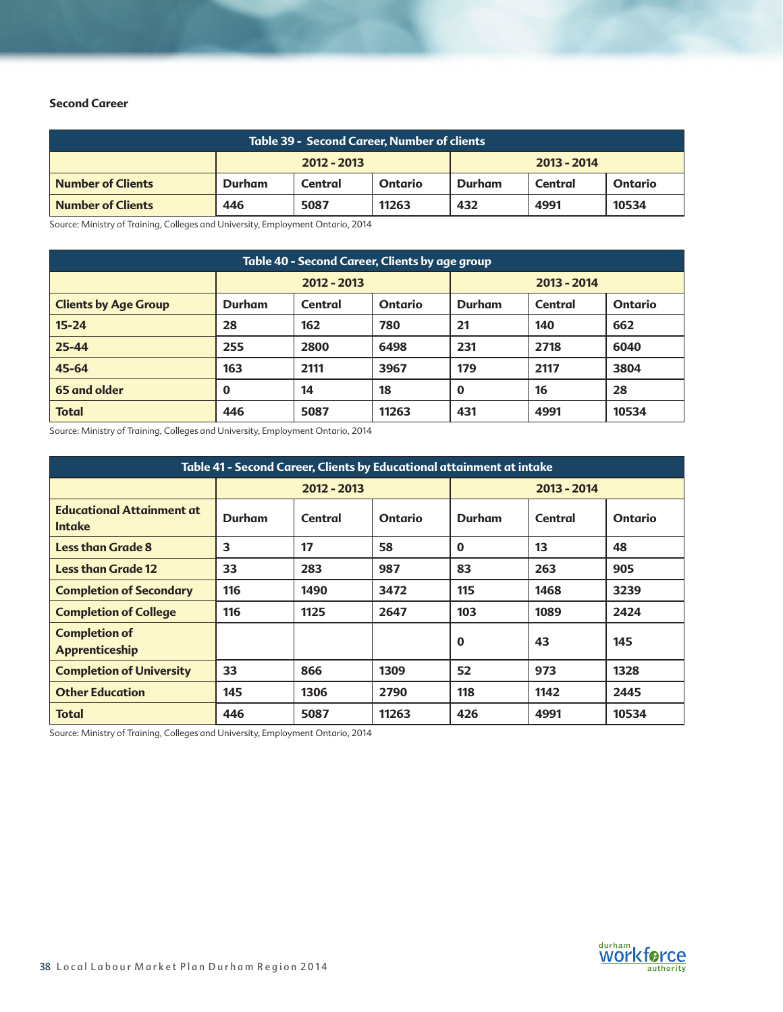# **Second Career**

| <b>Table 39 - Second Career, Number of clients</b> |                                              |         |         |               |         |                |  |
|----------------------------------------------------|----------------------------------------------|---------|---------|---------------|---------|----------------|--|
|                                                    | $2012 - 2013$                                |         |         | $2013 - 2014$ |         |                |  |
| <b>Number of Clients</b>                           | Durham                                       | Central | Ontario | Durham        | Central | <b>Ontario</b> |  |
| <b>Number of Clients</b>                           | 5087<br>11263<br>432<br>4991<br>10534<br>446 |         |         |               |         |                |  |

Source: Ministry of Training, Colleges and University, Employment Ontario, 2014

| Table 40 - Second Career, Clients by age group |               |         |                |               |         |                |  |  |
|------------------------------------------------|---------------|---------|----------------|---------------|---------|----------------|--|--|
|                                                | 2012 - 2013   |         |                | $2013 - 2014$ |         |                |  |  |
| <b>Clients by Age Group</b>                    | <b>Durham</b> | Central | <b>Ontario</b> | <b>Durham</b> | Central | <b>Ontario</b> |  |  |
| $15 - 24$                                      | 28            | 162     | 780            | 21            | 140     | 662            |  |  |
| 25-44                                          | 255           | 2800    | 6498           | 231           | 2718    | 6040           |  |  |
| 45-64                                          | 163           | 2111    | 3967           | 179           | 2117    | 3804           |  |  |
| 65 and older                                   | $\bf{0}$      | 14      | 18             | $\mathbf 0$   | 16      | 28             |  |  |
| <b>Total</b>                                   | 446           | 5087    | 11263          | 431           | 4991    | 10534          |  |  |

Source: Ministry of Training, Colleges and University, Employment Ontario, 2014

| Table 41 - Second Career, Clients by Educational attainment at intake |               |         |                |             |         |                |
|-----------------------------------------------------------------------|---------------|---------|----------------|-------------|---------|----------------|
|                                                                       | $2012 - 2013$ |         |                | 2013 - 2014 |         |                |
| <b>Educational Attainment at</b><br><b>Intake</b>                     | Durham        | Central | <b>Ontario</b> | Durham      | Central | <b>Ontario</b> |
| <b>Less than Grade 8</b>                                              | 3             | 17      | 58             | $\bf{0}$    | 13      | 48             |
| <b>Less than Grade 12</b>                                             | 33            | 283     | 987            | 83          | 263     | 905            |
| <b>Completion of Secondary</b>                                        | 116           | 1490    | 3472           | 115         | 1468    | 3239           |
| <b>Completion of College</b>                                          | 116           | 1125    | 2647           | 103         | 1089    | 2424           |
| <b>Completion of</b><br>Apprenticeship                                |               |         |                | $\mathbf 0$ | 43      | 145            |
| <b>Completion of University</b>                                       | 33            | 866     | 1309           | 52          | 973     | 1328           |
| <b>Other Education</b>                                                | 145           | 1306    | 2790           | 118         | 1142    | 2445           |
| <b>Total</b>                                                          | 446           | 5087    | 11263          | 426         | 4991    | 10534          |

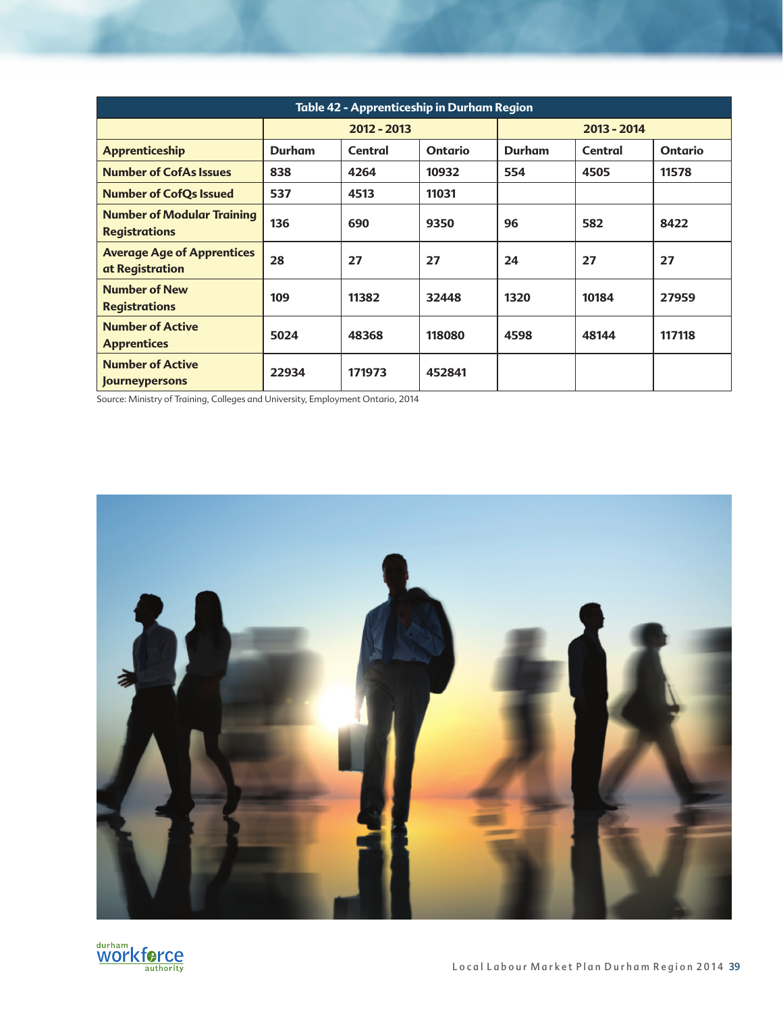| <b>Table 42 - Apprenticeship in Durham Region</b>         |             |         |                |               |         |                |
|-----------------------------------------------------------|-------------|---------|----------------|---------------|---------|----------------|
|                                                           | 2012 - 2013 |         |                | 2013 - 2014   |         |                |
| <b>Apprenticeship</b>                                     | Durham      | Central | <b>Ontario</b> | <b>Durham</b> | Central | <b>Ontario</b> |
| <b>Number of CofAs Issues</b>                             | 838         | 4264    | 10932          | 554           | 4505    | 11578          |
| <b>Number of CofQs Issued</b>                             | 537         | 4513    | 11031          |               |         |                |
| <b>Number of Modular Training</b><br><b>Registrations</b> | 136         | 690     | 9350           | 96            | 582     | 8422           |
| <b>Average Age of Apprentices</b><br>at Registration      | 28          | 27      | 27             | 24            | 27      | 27             |
| <b>Number of New</b><br><b>Registrations</b>              | 109         | 11382   | 32448          | 1320          | 10184   | 27959          |
| <b>Number of Active</b><br><b>Apprentices</b>             | 5024        | 48368   | 118080         | 4598          | 48144   | 117118         |
| <b>Number of Active</b><br><b>Journeypersons</b>          | 22934       | 171973  | 452841         |               |         |                |



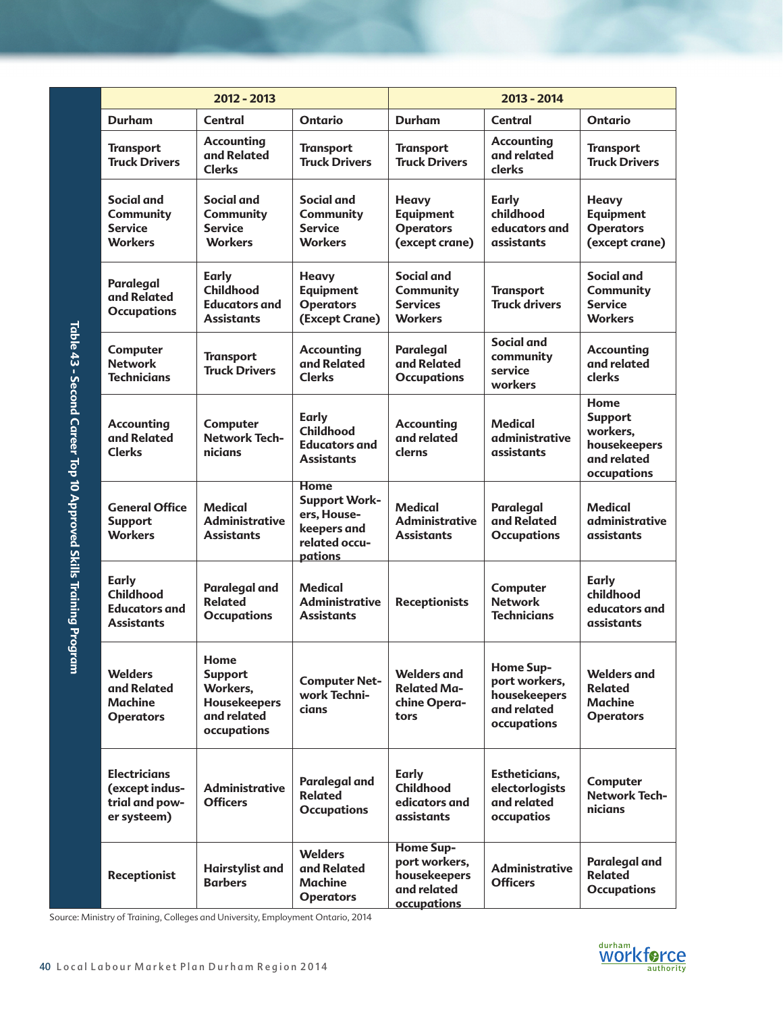|                                                                | 2012 - 2013                                                                                                                                                        |                                                                                  | 2013 - 2014                                                                                   |                                                                                 |                                                                                 |                                                                                  |
|----------------------------------------------------------------|--------------------------------------------------------------------------------------------------------------------------------------------------------------------|----------------------------------------------------------------------------------|-----------------------------------------------------------------------------------------------|---------------------------------------------------------------------------------|---------------------------------------------------------------------------------|----------------------------------------------------------------------------------|
|                                                                | <b>Durham</b>                                                                                                                                                      | <b>Central</b>                                                                   | <b>Ontario</b>                                                                                | <b>Durham</b>                                                                   | Central                                                                         | <b>Ontario</b>                                                                   |
|                                                                | <b>Transport</b><br><b>Truck Drivers</b>                                                                                                                           | <b>Accounting</b><br>and Related<br><b>Clerks</b>                                | <b>Transport</b><br><b>Truck Drivers</b>                                                      | <b>Transport</b><br><b>Truck Drivers</b>                                        | <b>Accounting</b><br>and related<br>clerks                                      | <b>Transport</b><br><b>Truck Drivers</b>                                         |
|                                                                | <b>Social and</b><br><b>Community</b><br><b>Service</b><br><b>Workers</b>                                                                                          | <b>Social and</b><br><b>Community</b><br><b>Service</b><br><b>Workers</b>        | <b>Social and</b><br><b>Community</b><br><b>Service</b><br><b>Workers</b>                     | <b>Heavy</b><br><b>Equipment</b><br><b>Operators</b><br>(except crane)          | Early<br>childhood<br>educators and<br>assistants                               | <b>Heavy</b><br><b>Equipment</b><br><b>Operators</b><br>(except crane)           |
|                                                                | Paralegal<br>and Related<br><b>Occupations</b>                                                                                                                     | <b>Early</b><br><b>Childhood</b><br><b>Educators and</b><br><b>Assistants</b>    | <b>Heavy</b><br><b>Equipment</b><br><b>Operators</b><br>(Except Crane)                        | Social and<br><b>Community</b><br><b>Services</b><br><b>Workers</b>             | <b>Transport</b><br><b>Truck drivers</b>                                        | Social and<br><b>Community</b><br><b>Service</b><br><b>Workers</b>               |
|                                                                | Computer<br><b>Network</b><br><b>Technicians</b>                                                                                                                   | <b>Transport</b><br><b>Truck Drivers</b>                                         | <b>Accounting</b><br>and Related<br><b>Clerks</b>                                             | <b>Paralegal</b><br>and Related<br><b>Occupations</b>                           | Social and<br>community<br>service<br>workers                                   | <b>Accounting</b><br>and related<br><b>clerks</b>                                |
| Table 43 - Second Career Top 10 Approved Skills Training Progr | <b>Accounting</b><br>and Related<br><b>Clerks</b>                                                                                                                  | Computer<br><b>Network Tech-</b><br>nicians                                      | <b>Early</b><br><b>Childhood</b><br><b>Educators and</b><br><b>Assistants</b>                 | <b>Accounting</b><br>and related<br>clerns                                      | <b>Medical</b><br>administrative<br>assistants                                  | Home<br><b>Support</b><br>workers,<br>housekeepers<br>and related<br>occupations |
|                                                                | <b>General Office</b><br><b>Support</b><br><b>Workers</b>                                                                                                          | <b>Medical</b><br><b>Administrative</b><br><b>Assistants</b>                     | <b>Home</b><br><b>Support Work-</b><br>ers, House-<br>keepers and<br>related occu-<br>pations | <b>Medical</b><br><b>Administrative</b><br><b>Assistants</b>                    | <b>Paralegal</b><br>and Related<br><b>Occupations</b>                           | <b>Medical</b><br>administrative<br>assistants                                   |
|                                                                | <b>Early</b><br><b>Childhood</b><br><b>Educators and</b><br><b>Assistants</b>                                                                                      | <b>Paralegal and</b><br><b>Related</b><br><b>Occupations</b>                     | <b>Medical</b><br><b>Administrative</b><br><b>Assistants</b>                                  | <b>Receptionists</b>                                                            | Computer<br><b>Network</b><br><b>Technicians</b>                                | <b>Early</b><br>childhood<br>educators and<br>assistants                         |
| uu)                                                            | <b>Welders</b><br>and Related<br><b>Machine</b><br><b>Operators</b>                                                                                                | Home<br><b>Support</b><br>Workers,<br>Housekeepers<br>and related<br>occupations | <b>Computer Net-</b><br>work Techni-<br>cians                                                 | <b>Welders and</b><br><b>Related Ma-</b><br>chine Opera-<br>tors                | <b>Home Sup-</b><br>port workers,<br>housekeepers<br>and related<br>occupations | <b>Welders and</b><br><b>Related</b><br><b>Machine</b><br><b>Operators</b>       |
|                                                                | <b>Electricians</b><br>(except indus-<br>trial and pow-<br>er systeem)                                                                                             | <b>Administrative</b><br><b>Officers</b>                                         | <b>Paralegal and</b><br><b>Related</b><br><b>Occupations</b>                                  | <b>Early</b><br>Childhood<br>edicators and<br>assistants                        | Estheticians,<br>electorlogists<br>and related<br>occupatios                    | Computer<br><b>Network Tech-</b><br>nicians                                      |
|                                                                | <b>Receptionist</b>                                                                                                                                                | <b>Hairstylist and</b><br><b>Barbers</b>                                         | <b>Welders</b><br>and Related<br>Machine<br><b>Operators</b>                                  | <b>Home Sup-</b><br>port workers,<br>housekeepers<br>and related<br>occupations | <b>Administrative</b><br><b>Officers</b>                                        | <b>Paralegal and</b><br><b>Related</b><br><b>Occupations</b>                     |
|                                                                | Source: Ministry of Training, Colleges and University, Employment Ontario, 2014<br>durham<br>worktorc<br>40 Local Labour Market Plan Durham Region 2014<br>authori |                                                                                  |                                                                                               |                                                                                 |                                                                                 |                                                                                  |

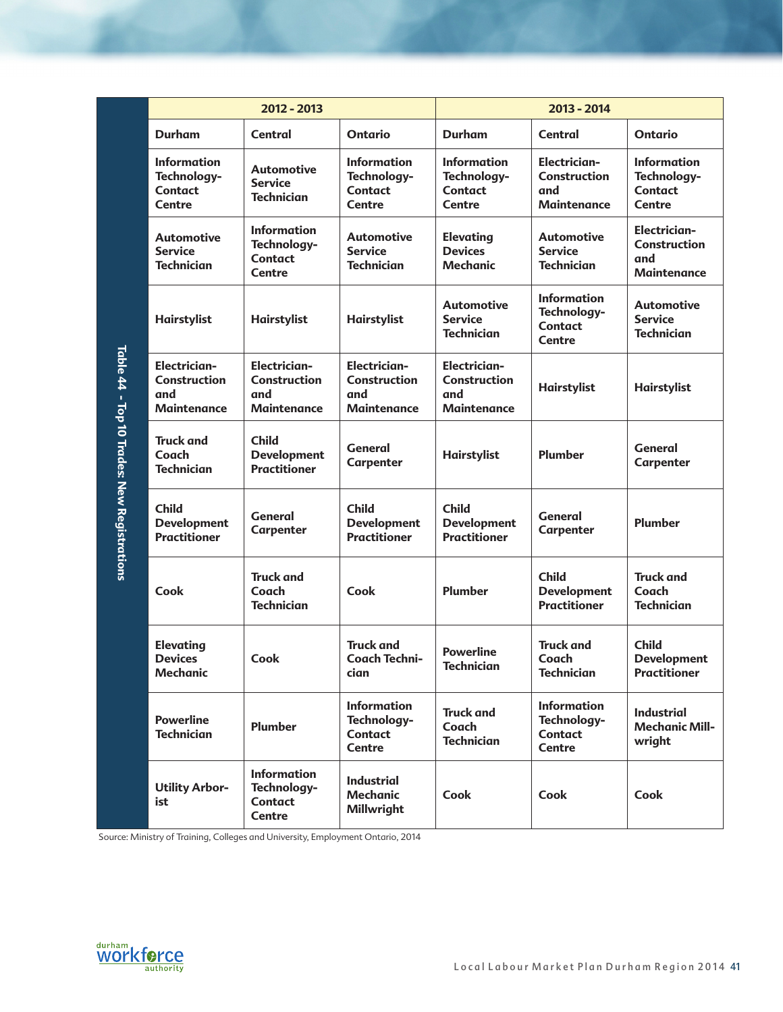|                                             | 2012 - 2013                                                             |                                                                         |                                                                         | 2013 - 2014                                                          |                                                                      |                                                                         |
|---------------------------------------------|-------------------------------------------------------------------------|-------------------------------------------------------------------------|-------------------------------------------------------------------------|----------------------------------------------------------------------|----------------------------------------------------------------------|-------------------------------------------------------------------------|
|                                             | <b>Durham</b>                                                           | Central                                                                 | <b>Ontario</b>                                                          | <b>Durham</b>                                                        | Central                                                              | <b>Ontario</b>                                                          |
|                                             | <b>Information</b><br>Technology-<br><b>Contact</b><br>Centre           | <b>Automotive</b><br><b>Service</b><br><b>Technician</b>                | <b>Information</b><br>Technology-<br><b>Contact</b><br><b>Centre</b>    | <b>Information</b><br>Technology-<br><b>Contact</b><br><b>Centre</b> | <b>Electrician-</b><br>Construction<br>and<br><b>Maintenance</b>     | <b>Information</b><br>Technology-<br><b>Contact</b><br><b>Centre</b>    |
|                                             | <b>Automotive</b><br><b>Service</b><br><b>Technician</b>                | <b>Information</b><br>Technology-<br><b>Contact</b><br><b>Centre</b>    | <b>Automotive</b><br><b>Service</b><br><b>Technician</b>                | <b>Elevating</b><br><b>Devices</b><br><b>Mechanic</b>                | <b>Automotive</b><br><b>Service</b><br><b>Technician</b>             | <b>Electrician-</b><br><b>Construction</b><br>and<br><b>Maintenance</b> |
|                                             | Hairstylist                                                             | <b>Hairstylist</b>                                                      | <b>Hairstylist</b>                                                      | <b>Automotive</b><br><b>Service</b><br><b>Technician</b>             | <b>Information</b><br>Technology-<br><b>Contact</b><br><b>Centre</b> | <b>Automotive</b><br><b>Service</b><br><b>Technician</b>                |
| Table 44 - Top 10 Trades: New Registrations | <b>Electrician-</b><br><b>Construction</b><br>and<br><b>Maintenance</b> | <b>Electrician-</b><br><b>Construction</b><br>and<br><b>Maintenance</b> | <b>Electrician-</b><br><b>Construction</b><br>and<br><b>Maintenance</b> | <b>Electrician-</b><br>Construction<br>and<br><b>Maintenance</b>     | Hairstylist                                                          | <b>Hairstylist</b>                                                      |
|                                             | <b>Truck and</b><br>Coach<br><b>Technician</b>                          | <b>Child</b><br><b>Development</b><br><b>Practitioner</b>               | <b>General</b><br>Carpenter                                             | Hairstylist                                                          | Plumber                                                              | <b>General</b><br>Carpenter                                             |
|                                             | <b>Child</b><br><b>Development</b><br><b>Practitioner</b>               | <b>General</b><br>Carpenter                                             | <b>Child</b><br><b>Development</b><br><b>Practitioner</b>               | <b>Child</b><br><b>Development</b><br><b>Practitioner</b>            | General<br><b>Carpenter</b>                                          | Plumber                                                                 |
|                                             | Cook                                                                    | <b>Truck and</b><br>Coach<br><b>Technician</b>                          | Cook                                                                    | Plumber                                                              | <b>Child</b><br><b>Development</b><br><b>Practitioner</b>            | <b>Truck and</b><br>Coach<br><b>Technician</b>                          |
|                                             | <b>Elevating</b><br><b>Devices</b><br><b>Mechanic</b>                   | Cook                                                                    | <b>Truck and</b><br><b>Coach Techni-</b><br>cian                        | <b>Powerline</b><br><b>Technician</b>                                | <b>Truck and</b><br>Coach<br><b>Technician</b>                       | <b>Child</b><br><b>Development</b><br><b>Practitioner</b>               |
|                                             | <b>Powerline</b><br><b>Technician</b>                                   | <b>Plumber</b>                                                          | <b>Information</b><br>Technology-<br><b>Contact</b><br><b>Centre</b>    | <b>Truck and</b><br>Coach<br><b>Technician</b>                       | <b>Information</b><br>Technology-<br><b>Contact</b><br>Centre        | <b>Industrial</b><br><b>Mechanic Mill-</b><br>wright                    |
|                                             | <b>Utility Arbor-</b><br>ist                                            | <b>Information</b><br>Technology-<br><b>Contact</b><br><b>Centre</b>    | <b>Industrial</b><br><b>Mechanic</b><br>Millwright                      | Cook                                                                 | Cook                                                                 | Cook                                                                    |

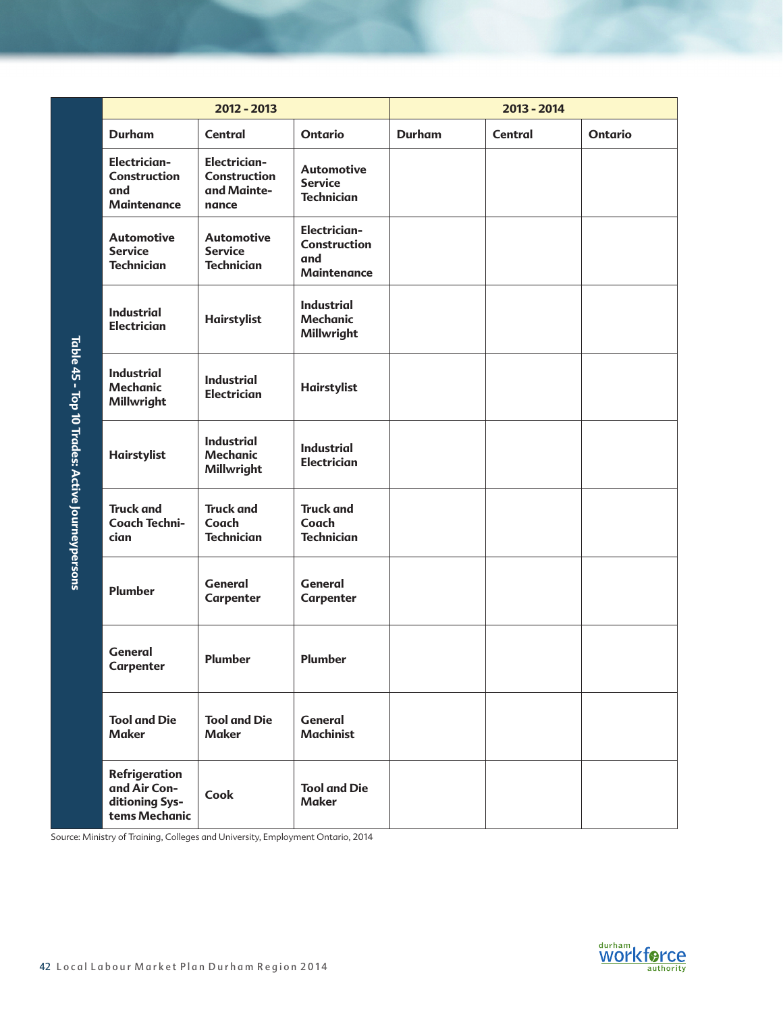|                                                 | 2012 - 2013                                                                     |                                                                    |                                                                  | 2013 - 2014   |                |                              |
|-------------------------------------------------|---------------------------------------------------------------------------------|--------------------------------------------------------------------|------------------------------------------------------------------|---------------|----------------|------------------------------|
|                                                 | <b>Durham</b>                                                                   | <b>Central</b>                                                     | <b>Ontario</b>                                                   | <b>Durham</b> | <b>Central</b> | <b>Ontario</b>               |
|                                                 | <b>Electrician-</b><br><b>Construction</b><br>and<br><b>Maintenance</b>         | <b>Electrician-</b><br><b>Construction</b><br>and Mainte-<br>nance | <b>Automotive</b><br><b>Service</b><br><b>Technician</b>         |               |                |                              |
|                                                 | <b>Automotive</b><br><b>Service</b><br><b>Technician</b>                        | <b>Automotive</b><br><b>Service</b><br><b>Technician</b>           | <b>Electrician-</b><br>Construction<br>and<br><b>Maintenance</b> |               |                |                              |
|                                                 | <b>Industrial</b><br><b>Electrician</b>                                         | Hairstylist                                                        | <b>Industrial</b><br><b>Mechanic</b><br>Millwright               |               |                |                              |
| Table 45 - Top 10 Trades: Active Journeypersons | <b>Industrial</b><br><b>Mechanic</b><br>Millwright                              | <b>Industrial</b><br><b>Electrician</b>                            | Hairstylist                                                      |               |                |                              |
|                                                 | Hairstylist                                                                     | <b>Industrial</b><br><b>Mechanic</b><br>Millwright                 | <b>Industrial</b><br><b>Electrician</b>                          |               |                |                              |
|                                                 | <b>Truck and</b><br><b>Coach Techni-</b><br>cian                                | <b>Truck and</b><br>Coach<br><b>Technician</b>                     | <b>Truck and</b><br>Coach<br><b>Technician</b>                   |               |                |                              |
|                                                 | Plumber                                                                         | <b>General</b><br>Carpenter                                        | <b>General</b><br>Carpenter                                      |               |                |                              |
|                                                 | <b>General</b><br>Carpenter                                                     | Plumber                                                            | <b>Plumber</b>                                                   |               |                |                              |
|                                                 | <b>Tool and Die</b><br><b>Maker</b>                                             | <b>Tool and Die</b><br><b>Maker</b>                                | <b>General</b><br><b>Machinist</b>                               |               |                |                              |
|                                                 | Refrigeration<br>and Air Con-<br>ditioning Sys-<br>tems Mechanic                | Cook                                                               | <b>Tool and Die</b><br><b>Maker</b>                              |               |                |                              |
|                                                 | Source: Ministry of Training, Colleges and University, Employment Ontario, 2014 |                                                                    |                                                                  |               |                |                              |
|                                                 |                                                                                 |                                                                    |                                                                  |               |                |                              |
|                                                 |                                                                                 |                                                                    |                                                                  |               |                |                              |
|                                                 | 42 Local Labour Market Plan Durham Region 2014                                  |                                                                    |                                                                  |               |                | durham<br>WOrkforc<br>uthori |

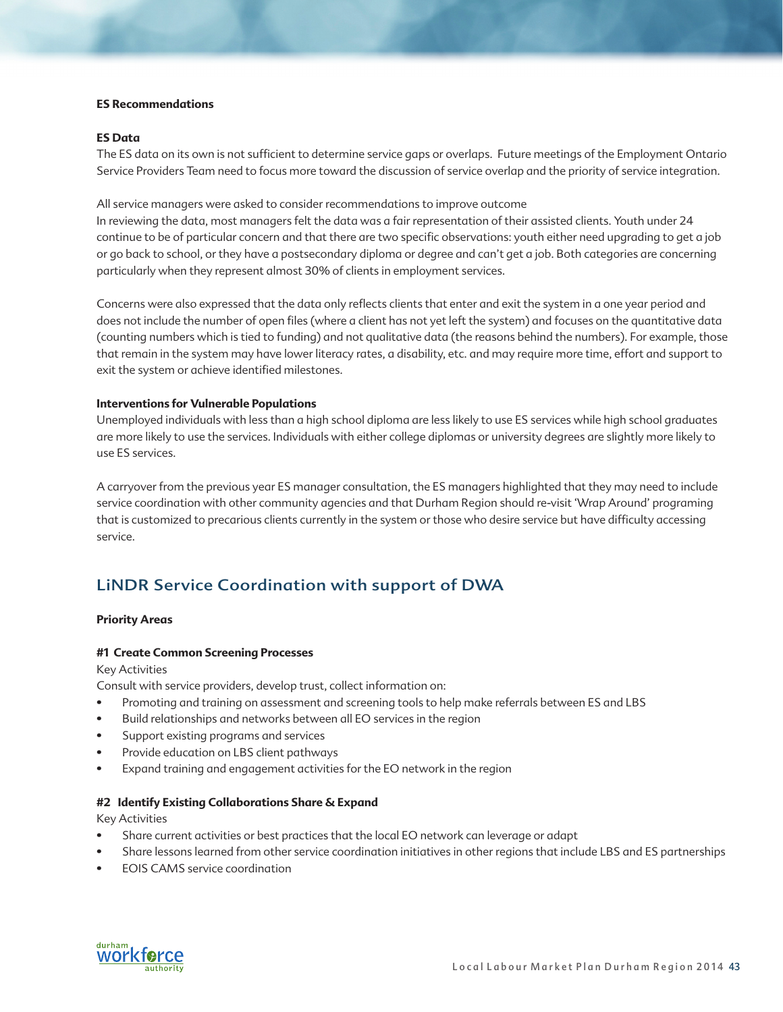### **ES Recommendations**

### **ES Data**

The ES data on its own is not sufficient to determine service gaps or overlaps. Future meetings of the Employment Ontario Service Providers Team need to focus more toward the discussion of service overlap and the priority of service integration.

All service managers were asked to consider recommendations to improve outcome

In reviewing the data, most managers felt the data was a fair representation of their assisted clients. Youth under 24 continue to be of particular concern and that there are two specific observations: youth either need upgrading to get a job or go back to school, or they have a postsecondary diploma or degree and can't get a job. Both categories are concerning particularly when they represent almost 30% of clients in employment services.

Concerns were also expressed that the data only reflects clients that enter and exit the system in a one year period and does not include the number of open files (where a client has not yet left the system) and focuses on the quantitative data (counting numbers which is tied to funding) and not qualitative data (the reasons behind the numbers). For example, those that remain in the system may have lower literacy rates, a disability, etc. and may require more time, effort and support to exit the system or achieve identified milestones.

### **Interventions for Vulnerable Populations**

Unemployed individuals with less than a high school diploma are less likely to use ES services while high school graduates are more likely to use the services. Individuals with either college diplomas or university degrees are slightly more likely to use ES services.

A carryover from the previous year ES manager consultation, the ES managers highlighted that they may need to include service coordination with other community agencies and that Durham Region should re-visit 'Wrap Around' programing that is customized to precarious clients currently in the system or those who desire service but have difficulty accessing service.

# LiNDR Service Coordination with support of DWA

## **Priority Areas**

### **#1 Create Common Screening Processes**

Key Activities

Consult with service providers, develop trust, collect information on:

- Promoting and training on assessment and screening tools to help make referrals between ES and LBS
- Build relationships and networks between all EO services in the region
- Support existing programs and services
- Provide education on LBS client pathways
- Expand training and engagement activities for the EO network in the region

### **#2 Identify Existing Collaborations Share & Expand**

Key Activities

- Share current activities or best practices that the local EO network can leverage or adapt
- Share lessons learned from other service coordination initiatives in other regions that include LBS and ES partnerships
- EOIS CAMS service coordination

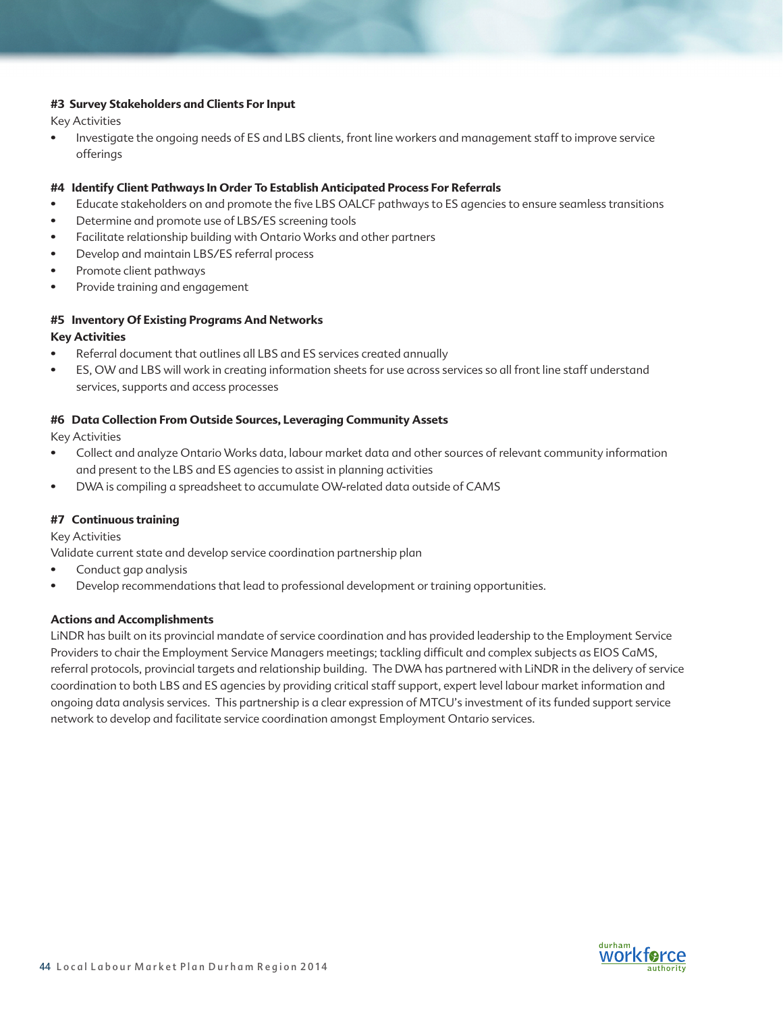### **#3 Survey Stakeholders and Clients For Input**

Key Activities

• Investigate the ongoing needs of ES and LBS clients, front line workers and management staff to improve service offerings

### **#4 Identify Client Pathways In Order To Establish Anticipated Process For Referrals**

- Educate stakeholders on and promote the five LBS OALCF pathways to ES agencies to ensure seamless transitions
- Determine and promote use of LBS/ES screening tools
- Facilitate relationship building with Ontario Works and other partners
- Develop and maintain LBS/ES referral process
- Promote client pathways
- Provide training and engagement

# **#5 Inventory Of Existing Programs And Networks**

### **Key Activities**

- Referral document that outlines all LBS and ES services created annually
- ES, OW and LBS will work in creating information sheets for use across services so all front line staff understand services, supports and access processes

### **#6 Data Collection From Outside Sources, Leveraging Community Assets**

Key Activities

- Collect and analyze Ontario Works data, labour market data and other sources of relevant community information and present to the LBS and ES agencies to assist in planning activities
- DWA is compiling a spreadsheet to accumulate OW-related data outside of CAMS

## **#7 Continuous training**

Key Activities

Validate current state and develop service coordination partnership plan

- Conduct gap analysis
- Develop recommendations that lead to professional development or training opportunities.

## **Actions and Accomplishments**

LiNDR has built on its provincial mandate of service coordination and has provided leadership to the Employment Service Providers to chair the Employment Service Managers meetings; tackling difficult and complex subjects as EIOS CaMS, referral protocols, provincial targets and relationship building. The DWA has partnered with LiNDR in the delivery of service coordination to both LBS and ES agencies by providing critical staff support, expert level labour market information and ongoing data analysis services. This partnership is a clear expression of MTCU's investment of its funded support service network to develop and facilitate service coordination amongst Employment Ontario services.

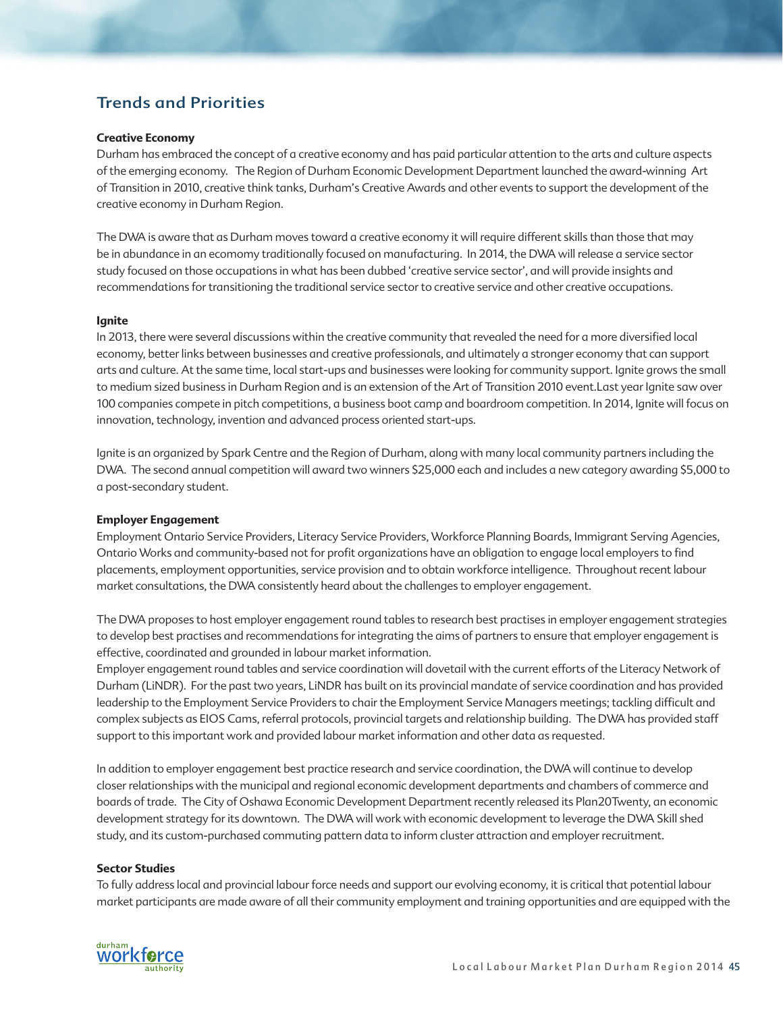# Trends and Priorities

### **Creative Economy**

Durham has embraced the concept of a creative economy and has paid particular attention to the arts and culture aspects of the emerging economy. The Region of Durham Economic Development Department launched the award-winning Art of Transition in 2010, creative think tanks, Durham's Creative Awards and other events to support the development of the creative economy in Durham Region.

The DWA is aware that as Durham moves toward a creative economy it will require different skills than those that may be in abundance in an ecomomy traditionally focused on manufacturing. In 2014, the DWA will release a service sector study focused on those occupations in what has been dubbed 'creative service sector', and will provide insights and recommendations for transitioning the traditional service sector to creative service and other creative occupations.

### **Ignite**

In 2013, there were several discussions within the creative community that revealed the need for a more diversified local economy, better links between businesses and creative professionals, and ultimately a stronger economy that can support arts and culture. At the same time, local start-ups and businesses were looking for community support. Ignite grows the small to medium sized business in Durham Region and is an extension of the Art of Transition 2010 event.Last year Ignite saw over 100 companies compete in pitch competitions, a business boot camp and boardroom competition. In 2014, Ignite will focus on innovation, technology, invention and advanced process oriented start-ups.

Ignite is an organized by Spark Centre and the Region of Durham, along with many local community partners including the DWA. The second annual competition will award two winners \$25,000 each and includes a new category awarding \$5,000 to a post-secondary student.

### **Employer Engagement**

Employment Ontario Service Providers, Literacy Service Providers, Workforce Planning Boards, Immigrant Serving Agencies, Ontario Works and community-based not for profit organizations have an obligation to engage local employers to find placements, employment opportunities, service provision and to obtain workforce intelligence. Throughout recent labour market consultations, the DWA consistently heard about the challenges to employer engagement.

The DWA proposes to host employer engagement round tables to research best practises in employer engagement strategies to develop best practises and recommendations for integrating the aims of partners to ensure that employer engagement is effective, coordinated and grounded in labour market information.

Employer engagement round tables and service coordination will dovetail with the current efforts of the Literacy Network of Durham (LiNDR). For the past two years, LiNDR has built on its provincial mandate of service coordination and has provided leadership to the Employment Service Providers to chair the Employment Service Managers meetings; tackling difficult and complex subjects as EIOS Cams, referral protocols, provincial targets and relationship building. The DWA has provided staff support to this important work and provided labour market information and other data as requested.

In addition to employer engagement best practice research and service coordination, the DWA will continue to develop closer relationships with the municipal and regional economic development departments and chambers of commerce and boards of trade. The City of Oshawa Economic Development Department recently released its Plan20Twenty, an economic development strategy for its downtown. The DWA will work with economic development to leverage the DWA Skill shed study, and its custom-purchased commuting pattern data to inform cluster attraction and employer recruitment.

### **Sector Studies**

To fully address local and provincial labour force needs and support our evolving economy, it is critical that potential labour market participants are made aware of all their community employment and training opportunities and are equipped with the

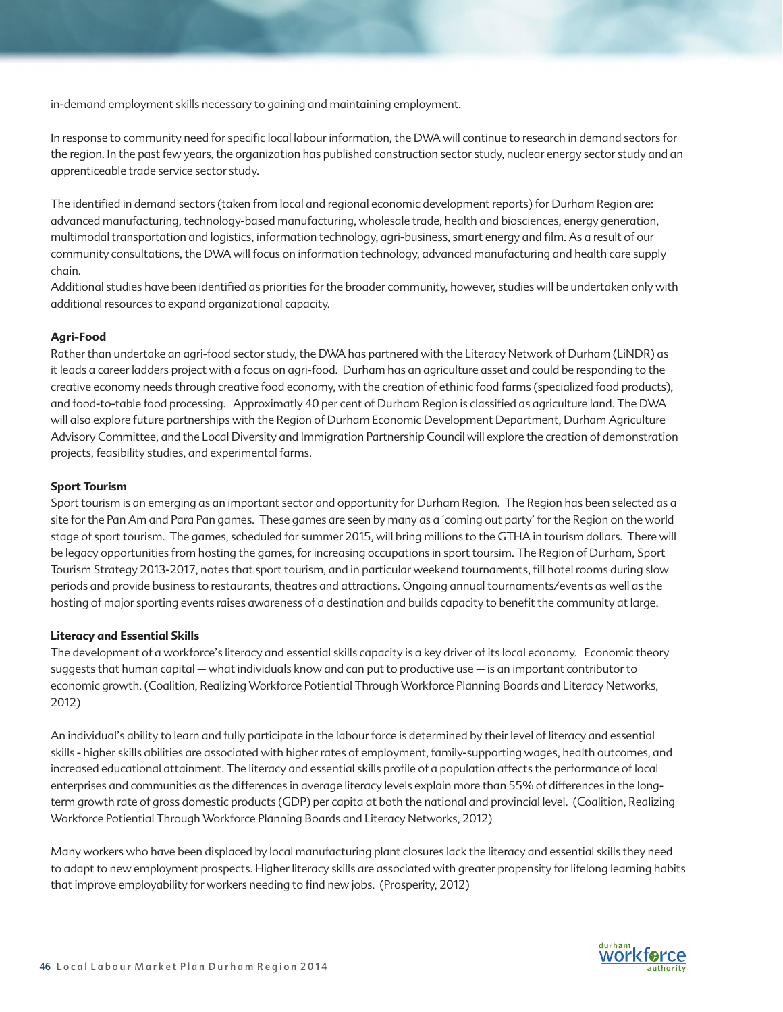in-demand employment skills necessary to gaining and maintaining employment.

In response to community need for specific local labour information, the DWA will continue to research in demand sectors for the region. In the past few years, the organization has published construction sector study, nuclear energy sector study and an apprenticeable trade service sector study.

The identified in demand sectors (taken from local and regional economic development reports) for Durham Region are: advanced manufacturing, technology-based manufacturing, wholesale trade, health and biosciences, energy generation, multimodal transportation and logistics, information technology, agri-business, smart energy and film. As a result of our community consultations, the DWA will focus on information technology, advanced manufacturing and health care supply chain.

Additional studies have been identified as priorities for the broader community, however, studies will be undertaken only with additional resources to expand organizational capacity.

### **Agri-Food**

Rather than undertake an agri-food sector study, the DWA has partnered with the Literacy Network of Durham (LiNDR) as it leads a career ladders project with a focus on agri-food. Durham has an agriculture asset and could be responding to the creative economy needs through creative food economy, with the creation of ethinic food farms (specialized food products), and food-to-table food processing. Approximatly 40 per cent of Durham Region is classified as agriculture land. The DWA will also explore future partnerships with the Region of Durham Economic Development Department, Durham Agriculture Advisory Committee, and the Local Diversity and Immigration Partnership Council will explore the creation of demonstration projects, feasibility studies, and experimental farms.

### **Sport Tourism**

Sport tourism is an emerging as an important sector and opportunity for Durham Region. The Region has been selected as a site for the Pan Am and Para Pan games. These games are seen by many as a 'coming out party' for the Region on the world stage of sport tourism. The games, scheduled for summer 2015, will bring millions to the GTHA in tourism dollars. There will be legacy opportunities from hosting the games, for increasing occupations in sport toursim. The Region of Durham, Sport Tourism Strategy 2013-2017, notes that sport tourism, and in particular weekend tournaments, fill hotel rooms during slow periods and provide business to restaurants, theatres and attractions. Ongoing annual tournaments/events as well as the hosting of major sporting events raises awareness of a destination and builds capacity to benefit the community at large.

#### **Literacy and Essential Skills**

The development of a workforce's literacy and essential skills capacity is a key driver of its local economy. Economic theory suggests that human capital – what individuals know and can put to productive use – is an important contributor to economic growth. (Coalition, Realizing Workforce Potiential Through Workforce Planning Boards and Literacy Networks, 2012)

An individual's ability to learn and fully participate in the labour force is determined by their level of literacy and essential skills - higher skills abilities are associated with higher rates of employment, family-supporting wages, health outcomes, and increased educational attainment. The literacy and essential skills profile of a population affects the performance of local enterprises and communities as the differences in average literacy levels explain more than 55% of differences in the longterm growth rate of gross domestic products (GDP) per capita at both the national and provincial level. (Coalition, Realizing Workforce Potiential Through Workforce Planning Boards and Literacy Networks, 2012)

Many workers who have been displaced by local manufacturing plant closures lack the literacy and essential skills they need to adapt to new employment prospects. Higher literacy skills are associated with greater propensity for lifelong learning habits that improve employability for workers needing to find new jobs. (Prosperity, 2012)

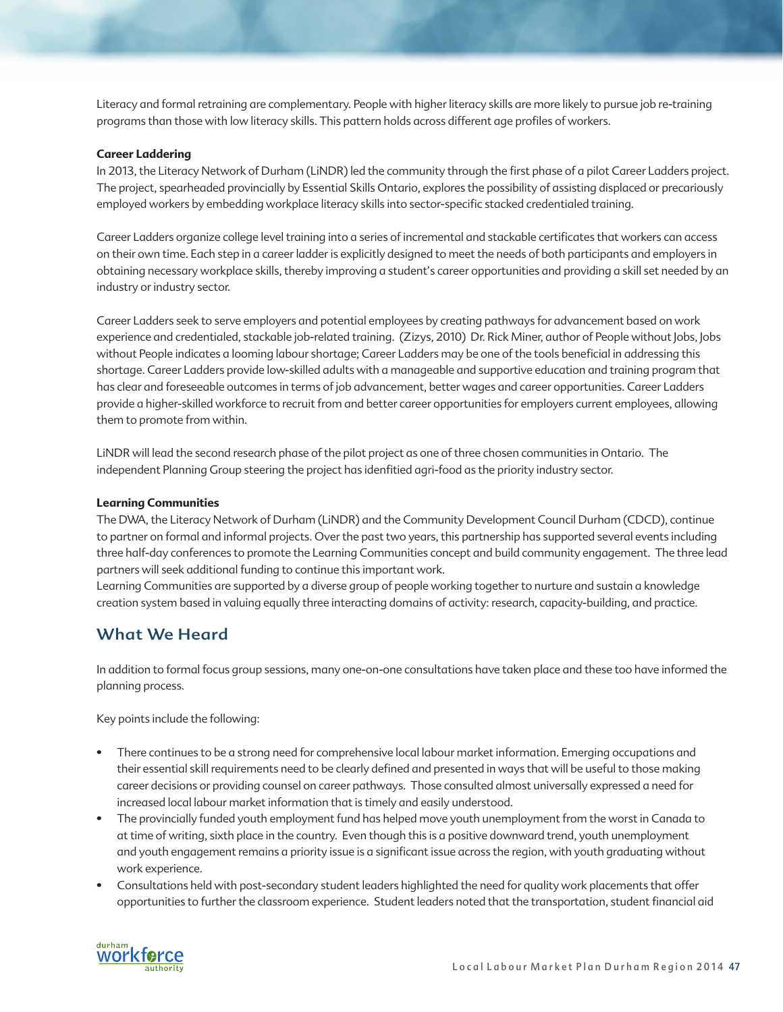Literacy and formal retraining are complementary. People with higher literacy skills are more likely to pursue job re-training programs than those with low literacy skills. This pattern holds across different age profiles of workers.

### **Career Laddering**

In 2013, the Literacy Network of Durham (LiNDR) led the community through the first phase of a pilot Career Ladders project. The project, spearheaded provincially by Essential Skills Ontario, explores the possibility of assisting displaced or precariously employed workers by embedding workplace literacy skills into sector-specific stacked credentialed training.

Career Ladders organize college level training into a series of incremental and stackable certificates that workers can access on their own time. Each step in a career ladder is explicitly designed to meet the needs of both participants and employers in obtaining necessary workplace skills, thereby improving a student's career opportunities and providing a skill set needed by an industry or industry sector.

Career Ladders seek to serve employers and potential employees by creating pathways for advancement based on work experience and credentialed, stackable job-related training. (Zizys, 2010) Dr. Rick Miner, author of People without Jobs, Jobs without People indicates a looming labour shortage; Career Ladders may be one of the tools beneficial in addressing this shortage. Career Ladders provide low-skilled adults with a manageable and supportive education and training program that has clear and foreseeable outcomes in terms of job advancement, better wages and career opportunities. Career Ladders provide a higher-skilled workforce to recruit from and better career opportunities for employers current employees, allowing them to promote from within.

LiNDR will lead the second research phase of the pilot project as one of three chosen communities in Ontario. The independent Planning Group steering the project has idenfitied agri-food as the priority industry sector.

### **Learning Communities**

The DWA, the Literacy Network of Durham (LiNDR) and the Community Development Council Durham (CDCD), continue to partner on formal and informal projects. Over the past two years, this partnership has supported several events including three half-day conferences to promote the Learning Communities concept and build community engagement. The three lead partners will seek additional funding to continue this important work.

Learning Communities are supported by a diverse group of people working together to nurture and sustain a knowledge creation system based in valuing equally three interacting domains of activity: research, capacity-building, and practice.

# What We Heard

In addition to formal focus group sessions, many one-on-one consultations have taken place and these too have informed the planning process.

Key points include the following:

- There continues to be a strong need for comprehensive local labour market information. Emerging occupations and their essential skill requirements need to be clearly defined and presented in ways that will be useful to those making career decisions or providing counsel on career pathways. Those consulted almost universally expressed a need for increased local labour market information that is timely and easily understood.
- The provincially funded youth employment fund has helped move youth unemployment from the worst in Canada to at time of writing, sixth place in the country. Even though this is a positive downward trend, youth unemployment and youth engagement remains a priority issue is a significant issue across the region, with youth graduating without work experience.
- Consultations held with post-secondary student leaders highlighted the need for quality work placements that offer opportunities to further the classroom experience. Student leaders noted that the transportation, student financial aid

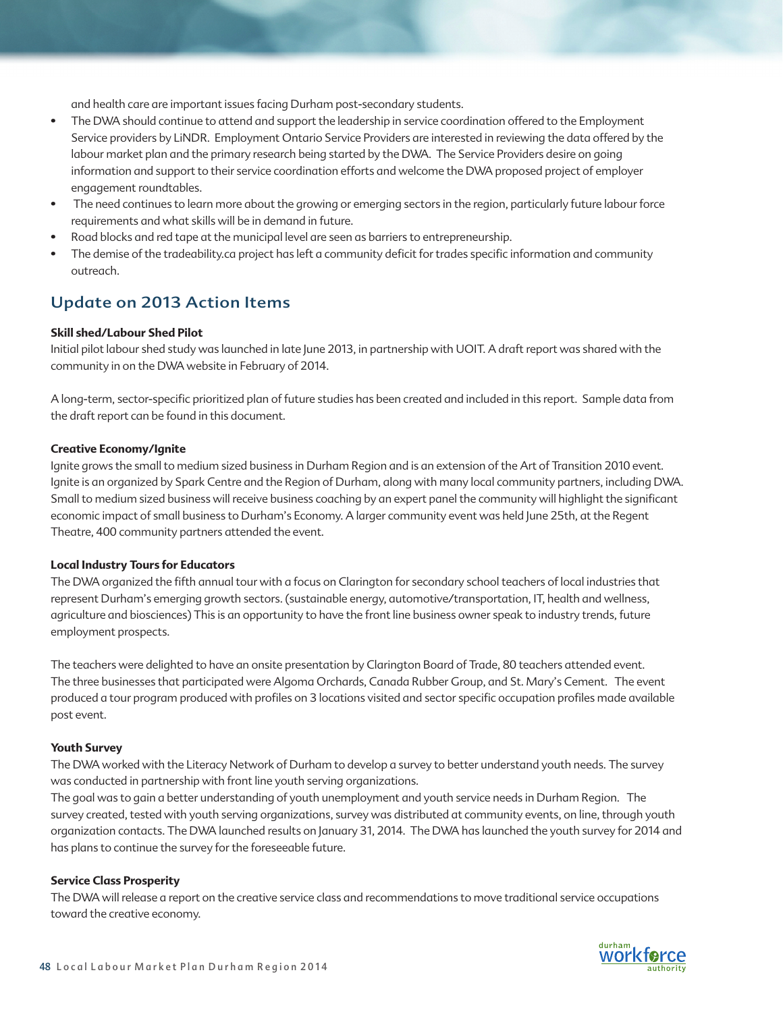and health care are important issues facing Durham post-secondary students.

- The DWA should continue to attend and support the leadership in service coordination offered to the Employment Service providers by LiNDR. Employment Ontario Service Providers are interested in reviewing the data offered by the labour market plan and the primary research being started by the DWA. The Service Providers desire on going information and support to their service coordination efforts and welcome the DWA proposed project of employer engagement roundtables.
- The need continues to learn more about the growing or emerging sectors in the region, particularly future labour force requirements and what skills will be in demand in future.
- Road blocks and red tape at the municipal level are seen as barriers to entrepreneurship.
- The demise of the tradeability.ca project has left a community deficit for trades specific information and community outreach.

# Update on 2013 Action Items

### **Skill shed/Labour Shed Pilot**

Initial pilot labour shed study was launched in late June 2013, in partnership with UOIT. A draft report was shared with the community in on the DWA website in February of 2014.

A long-term, sector-specific prioritized plan of future studies has been created and included in this report. Sample data from the draft report can be found in this document.

### **Creative Economy/Ignite**

Ignite grows the small to medium sized business in Durham Region and is an extension of the Art of Transition 2010 event. Ignite is an organized by Spark Centre and the Region of Durham, along with many local community partners, including DWA. Small to medium sized business will receive business coaching by an expert panel the community will highlight the significant economic impact of small business to Durham's Economy. A larger community event was held June 25th, at the Regent Theatre, 400 community partners attended the event.

### **Local Industry Tours for Educators**

The DWA organized the fifth annual tour with a focus on Clarington for secondary school teachers of local industries that represent Durham's emerging growth sectors. (sustainable energy, automotive/transportation, IT, health and wellness, agriculture and biosciences) This is an opportunity to have the front line business owner speak to industry trends, future employment prospects.

The teachers were delighted to have an onsite presentation by Clarington Board of Trade, 80 teachers attended event. The three businesses that participated were Algoma Orchards, Canada Rubber Group, and St. Mary's Cement. The event produced a tour program produced with profiles on 3 locations visited and sector specific occupation profiles made available post event.

### **Youth Survey**

The DWA worked with the Literacy Network of Durham to develop a survey to better understand youth needs. The survey was conducted in partnership with front line youth serving organizations.

The goal was to gain a better understanding of youth unemployment and youth service needs in Durham Region. The survey created, tested with youth serving organizations, survey was distributed at community events, on line, through youth organization contacts. The DWA launched results on January 31, 2014. The DWA has launched the youth survey for 2014 and has plans to continue the survey for the foreseeable future.

### **Service Class Prosperity**

The DWA will release a report on the creative service class and recommendations to move traditional service occupations toward the creative economy.

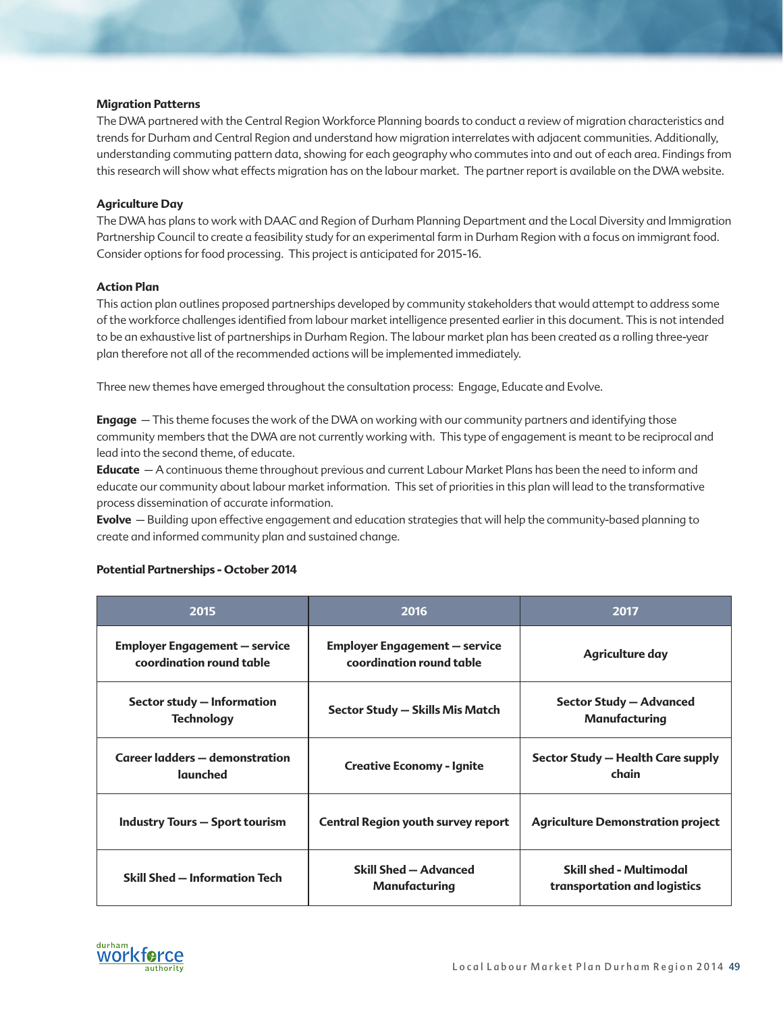### **Migration Patterns**

The DWA partnered with the Central Region Workforce Planning boards to conduct a review of migration characteristics and trends for Durham and Central Region and understand how migration interrelates with adjacent communities. Additionally, understanding commuting pattern data, showing for each geography who commutes into and out of each area. Findings from this research will show what effects migration has on the labour market. The partner report is available on the DWA website.

### **Agriculture Day**

The DWA has plans to work with DAAC and Region of Durham Planning Department and the Local Diversity and Immigration Partnership Council to create a feasibility study for an experimental farm in Durham Region with a focus on immigrant food. Consider options for food processing. This project is anticipated for 2015-16.

### **Action Plan**

This action plan outlines proposed partnerships developed by community stakeholders that would attempt to address some of the workforce challenges identified from labour market intelligence presented earlier in this document. This is not intended to be an exhaustive list of partnerships in Durham Region. The labour market plan has been created as a rolling three-year plan therefore not all of the recommended actions will be implemented immediately.

Three new themes have emerged throughout the consultation process: Engage, Educate and Evolve.

**Engage** – This theme focuses the work of the DWA on working with our community partners and identifying those community members that the DWA are not currently working with. This type of engagement is meant to be reciprocal and lead into the second theme, of educate.

**Educate** – A continuous theme throughout previous and current Labour Market Plans has been the need to inform and educate our community about labour market information. This set of priorities in this plan will lead to the transformative process dissemination of accurate information.

**Evolve** – Building upon effective engagement and education strategies that will help the community-based planning to create and informed community plan and sustained change.

| 2015                                                             | 2016                                                             | 2017                                                           |  |
|------------------------------------------------------------------|------------------------------------------------------------------|----------------------------------------------------------------|--|
| <b>Employer Engagement – service</b><br>coordination round table | <b>Employer Engagement – service</b><br>coordination round table | Agriculture day                                                |  |
| Sector study - Information<br><b>Technology</b>                  | Sector Study - Skills Mis Match                                  | <b>Sector Study - Advanced</b><br>Manufacturing                |  |
| Career ladders - demonstration<br>launched                       | <b>Creative Economy - Ignite</b>                                 | Sector Study – Health Care supply<br>chain                     |  |
| <b>Industry Tours - Sport tourism</b>                            | <b>Central Region youth survey report</b>                        | <b>Agriculture Demonstration project</b>                       |  |
| Skill Shed - Information Tech                                    | Skill Shed - Advanced<br>Manufacturing                           | <b>Skill shed - Multimodal</b><br>transportation and logistics |  |

## **Potential Partnerships - October 2014**

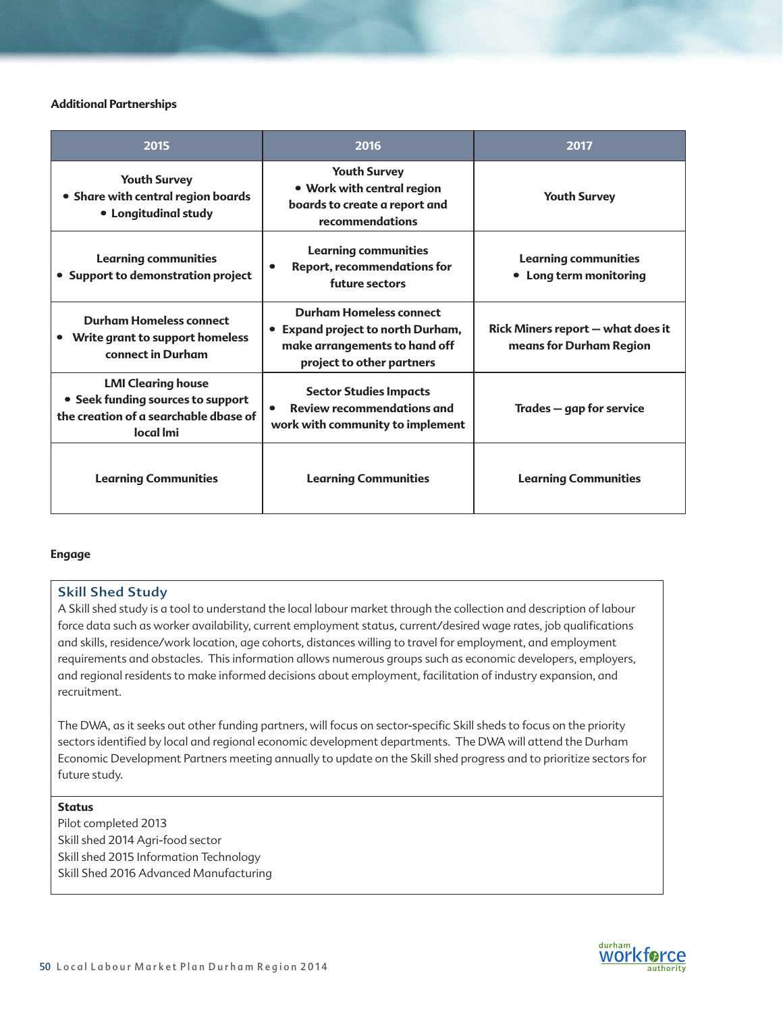### **Additional Partnerships**

| 2015                                                                                                                 | 2016                                                                                                                              | 2017                                                                |
|----------------------------------------------------------------------------------------------------------------------|-----------------------------------------------------------------------------------------------------------------------------------|---------------------------------------------------------------------|
| <b>Youth Survey</b><br>• Share with central region boards<br>• Longitudinal study                                    | <b>Youth Survey</b><br>• Work with central region<br>boards to create a report and<br>recommendations                             | <b>Youth Survey</b>                                                 |
| <b>Learning communities</b><br>• Support to demonstration project                                                    | <b>Learning communities</b><br><b>Report, recommendations for</b><br>future sectors                                               | <b>Learning communities</b><br>• Long term monitoring               |
| <b>Durham Homeless connect</b><br>Write grant to support homeless<br>connect in Durham                               | <b>Durham Homeless connect</b><br>• Expand project to north Durham,<br>make arrangements to hand off<br>project to other partners | <b>Rick Miners report - what does it</b><br>means for Durham Region |
| <b>LMI Clearing house</b><br>• Seek funding sources to support<br>the creation of a searchable dbase of<br>local Imi | <b>Sector Studies Impacts</b><br><b>Review recommendations and</b><br>work with community to implement                            | Trades – gap for service                                            |
| <b>Learning Communities</b>                                                                                          | <b>Learning Communities</b>                                                                                                       | <b>Learning Communities</b>                                         |

### **Engage**

# Skill Shed Study

A Skill shed study is a tool to understand the local labour market through the collection and description of labour force data such as worker availability, current employment status, current/desired wage rates, job qualifications and skills, residence/work location, age cohorts, distances willing to travel for employment, and employment requirements and obstacles. This information allows numerous groups such as economic developers, employers, and regional residents to make informed decisions about employment, facilitation of industry expansion, and recruitment.

The DWA, as it seeks out other funding partners, will focus on sector-specific Skill sheds to focus on the priority sectors identified by local and regional economic development departments. The DWA will attend the Durham Economic Development Partners meeting annually to update on the Skill shed progress and to prioritize sectors for future study.

### **Status**

Pilot completed 2013 Skill shed 2014 Agri-food sector Skill shed 2015 Information Technology Skill Shed 2016 Advanced Manufacturing

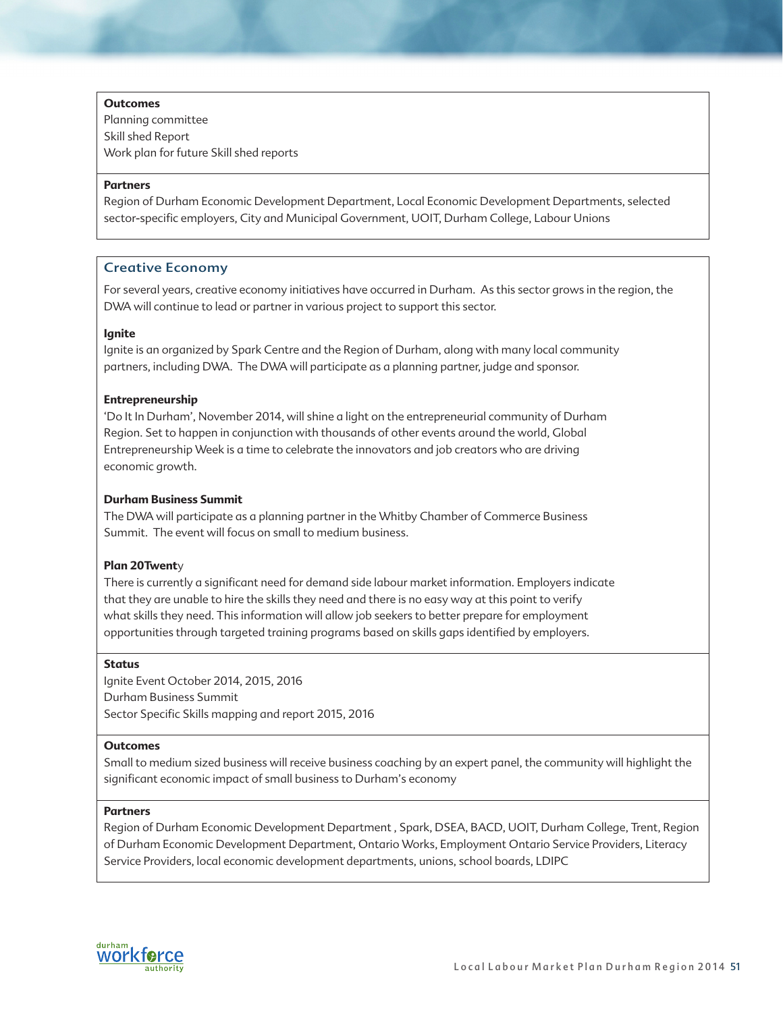### **Outcomes**

Planning committee Skill shed Report Work plan for future Skill shed reports

### **Partners**

Region of Durham Economic Development Department, Local Economic Development Departments, selected sector-specific employers, City and Municipal Government, UOIT, Durham College, Labour Unions

# Creative Economy

For several years, creative economy initiatives have occurred in Durham. As this sector grows in the region, the DWA will continue to lead or partner in various project to support this sector.

### **Ignite**

Ignite is an organized by Spark Centre and the Region of Durham, along with many local community partners, including DWA. The DWA will participate as a planning partner, judge and sponsor.

### **Entrepreneurship**

'Do It In Durham', November 2014, will shine a light on the entrepreneurial community of Durham Region. Set to happen in conjunction with thousands of other events around the world, Global Entrepreneurship Week is a time to celebrate the innovators and job creators who are driving economic growth.

### **Durham Business Summit**

The DWA will participate as a planning partner in the Whitby Chamber of Commerce Business Summit. The event will focus on small to medium business.

## **Plan 20Twent**y

There is currently a significant need for demand side labour market information. Employers indicate that they are unable to hire the skills they need and there is no easy way at this point to verify what skills they need. This information will allow job seekers to better prepare for employment opportunities through targeted training programs based on skills gaps identified by employers.

### **Status**

Ignite Event October 2014, 2015, 2016 Durham Business Summit Sector Specific Skills mapping and report 2015, 2016

### **Outcomes**

Small to medium sized business will receive business coaching by an expert panel, the community will highlight the significant economic impact of small business to Durham's economy

### **Partners**

Region of Durham Economic Development Department , Spark, DSEA, BACD, UOIT, Durham College, Trent, Region of Durham Economic Development Department, Ontario Works, Employment Ontario Service Providers, Literacy Service Providers, local economic development departments, unions, school boards, LDIPC

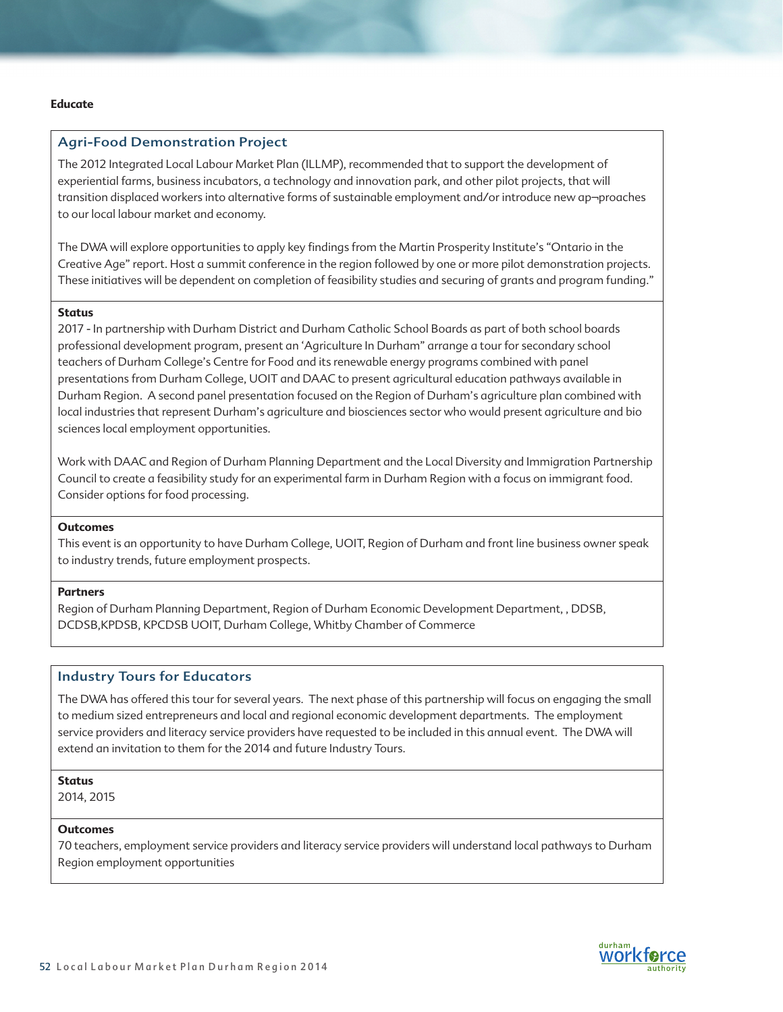### **Educate**

### Agri-Food Demonstration Project

The 2012 Integrated Local Labour Market Plan (ILLMP), recommended that to support the development of experiential farms, business incubators, a technology and innovation park, and other pilot projects, that will transition displaced workers into alternative forms of sustainable employment and/or introduce new ap¬proaches to our local labour market and economy.

The DWA will explore opportunities to apply key findings from the Martin Prosperity Institute's "Ontario in the Creative Age" report. Host a summit conference in the region followed by one or more pilot demonstration projects. These initiatives will be dependent on completion of feasibility studies and securing of grants and program funding."

## **Status**

2017 - In partnership with Durham District and Durham Catholic School Boards as part of both school boards professional development program, present an 'Agriculture In Durham" arrange a tour for secondary school teachers of Durham College's Centre for Food and its renewable energy programs combined with panel presentations from Durham College, UOIT and DAAC to present agricultural education pathways available in Durham Region. A second panel presentation focused on the Region of Durham's agriculture plan combined with local industries that represent Durham's agriculture and biosciences sector who would present agriculture and bio sciences local employment opportunities.

Work with DAAC and Region of Durham Planning Department and the Local Diversity and Immigration Partnership Council to create a feasibility study for an experimental farm in Durham Region with a focus on immigrant food. Consider options for food processing.

### **Outcomes**

This event is an opportunity to have Durham College, UOIT, Region of Durham and front line business owner speak to industry trends, future employment prospects.

#### **Partners**

Region of Durham Planning Department, Region of Durham Economic Development Department, , DDSB, DCDSB,KPDSB, KPCDSB UOIT, Durham College, Whitby Chamber of Commerce

## Industry Tours for Educators

The DWA has offered this tour for several years. The next phase of this partnership will focus on engaging the small to medium sized entrepreneurs and local and regional economic development departments. The employment service providers and literacy service providers have requested to be included in this annual event. The DWA will extend an invitation to them for the 2014 and future Industry Tours.

# **Status**

2014, 2015

### **Outcomes**

70 teachers, employment service providers and literacy service providers will understand local pathways to Durham Region employment opportunities

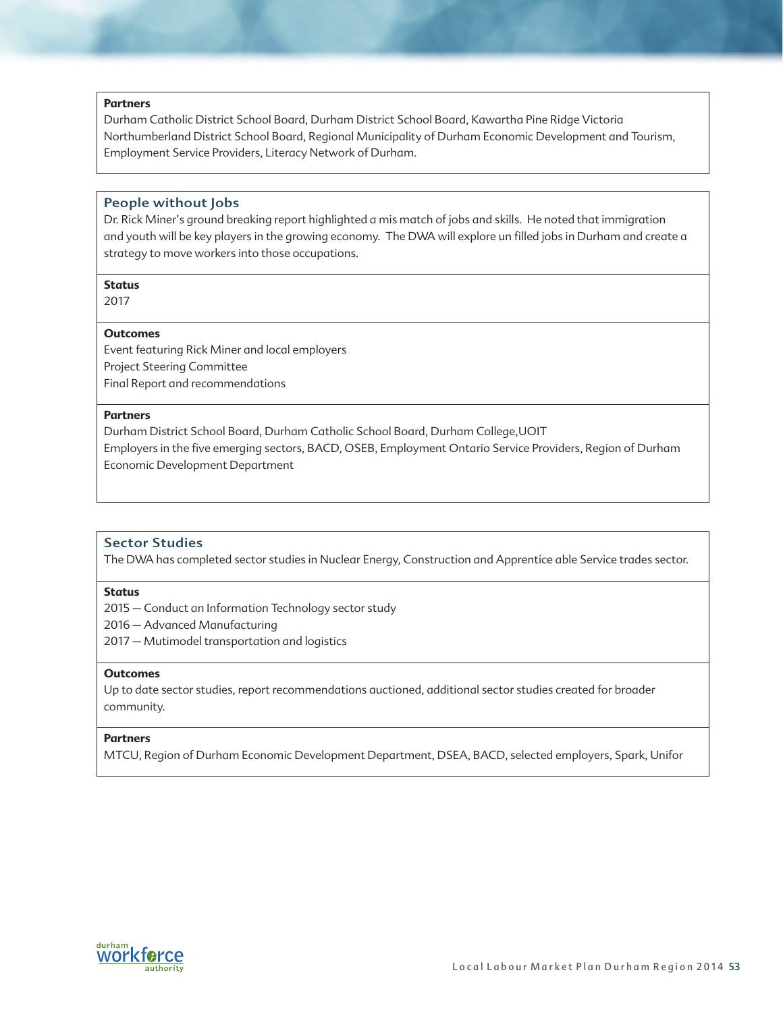### **Partners**

Durham Catholic District School Board, Durham District School Board, Kawartha Pine Ridge Victoria Northumberland District School Board, Regional Municipality of Durham Economic Development and Tourism, Employment Service Providers, Literacy Network of Durham.

## People without Jobs

Dr. Rick Miner's ground breaking report highlighted a mis match of jobs and skills. He noted that immigration and youth will be key players in the growing economy. The DWA will explore un filled jobs in Durham and create a strategy to move workers into those occupations.

#### **Status**

2017

#### **Outcomes**

Event featuring Rick Miner and local employers Project Steering Committee Final Report and recommendations

## **Partners**

Durham District School Board, Durham Catholic School Board, Durham College,UOIT Employers in the five emerging sectors, BACD, OSEB, Employment Ontario Service Providers, Region of Durham Economic Development Department

## Sector Studies

The DWA has completed sector studies in Nuclear Energy, Construction and Apprentice able Service trades sector.

### **Status**

2015 – Conduct an Information Technology sector study

2016 – Advanced Manufacturing

2017 – Mutimodel transportation and logistics

### **Outcomes**

Up to date sector studies, report recommendations auctioned, additional sector studies created for broader community.

### **Partners**

MTCU, Region of Durham Economic Development Department, DSEA, BACD, selected employers, Spark, Unifor

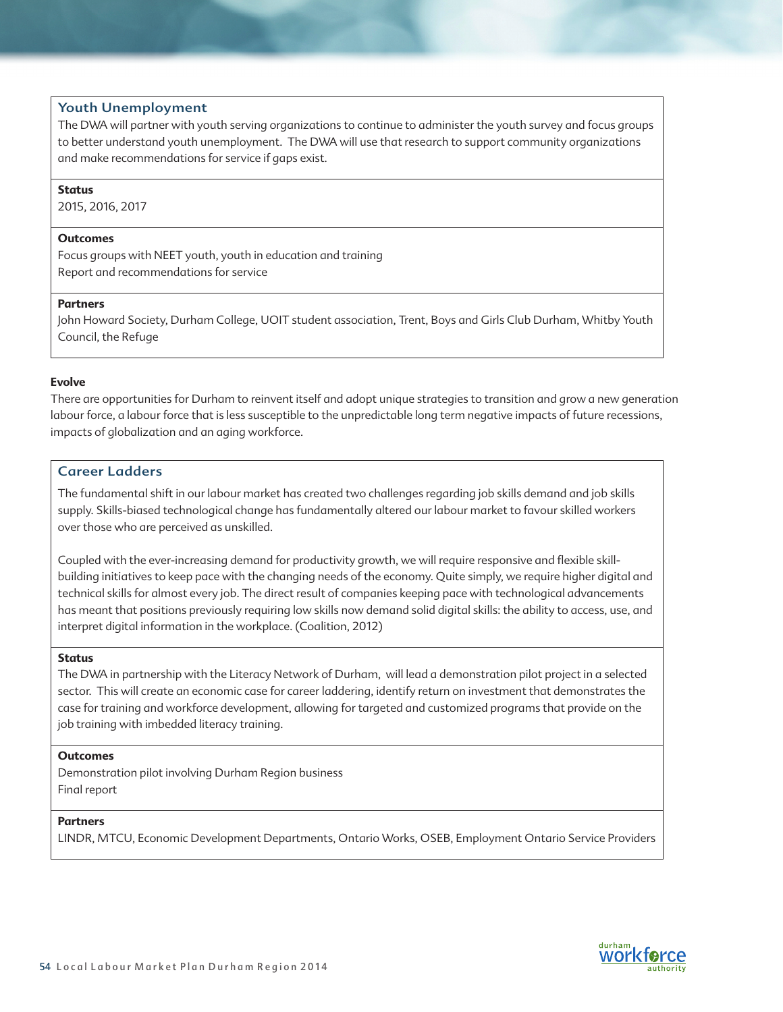## Youth Unemployment

The DWA will partner with youth serving organizations to continue to administer the youth survey and focus groups to better understand youth unemployment. The DWA will use that research to support community organizations and make recommendations for service if gaps exist.

### **Status**

2015, 2016, 2017

#### **Outcomes**

Focus groups with NEET youth, youth in education and training Report and recommendations for service

#### **Partners**

John Howard Society, Durham College, UOIT student association, Trent, Boys and Girls Club Durham, Whitby Youth Council, the Refuge

### **Evolve**

There are opportunities for Durham to reinvent itself and adopt unique strategies to transition and grow a new generation labour force, a labour force that is less susceptible to the unpredictable long term negative impacts of future recessions, impacts of globalization and an aging workforce.

# Career Ladders

The fundamental shift in our labour market has created two challenges regarding job skills demand and job skills supply. Skills-biased technological change has fundamentally altered our labour market to favour skilled workers over those who are perceived as unskilled.

Coupled with the ever-increasing demand for productivity growth, we will require responsive and flexible skillbuilding initiatives to keep pace with the changing needs of the economy. Quite simply, we require higher digital and technical skills for almost every job. The direct result of companies keeping pace with technological advancements has meant that positions previously requiring low skills now demand solid digital skills: the ability to access, use, and interpret digital information in the workplace. (Coalition, 2012)

#### **Status**

The DWA in partnership with the Literacy Network of Durham, will lead a demonstration pilot project in a selected sector. This will create an economic case for career laddering, identify return on investment that demonstrates the case for training and workforce development, allowing for targeted and customized programs that provide on the job training with imbedded literacy training.

### **Outcomes**

Demonstration pilot involving Durham Region business Final report

# **Partners**

LINDR, MTCU, Economic Development Departments, Ontario Works, OSEB, Employment Ontario Service Providers

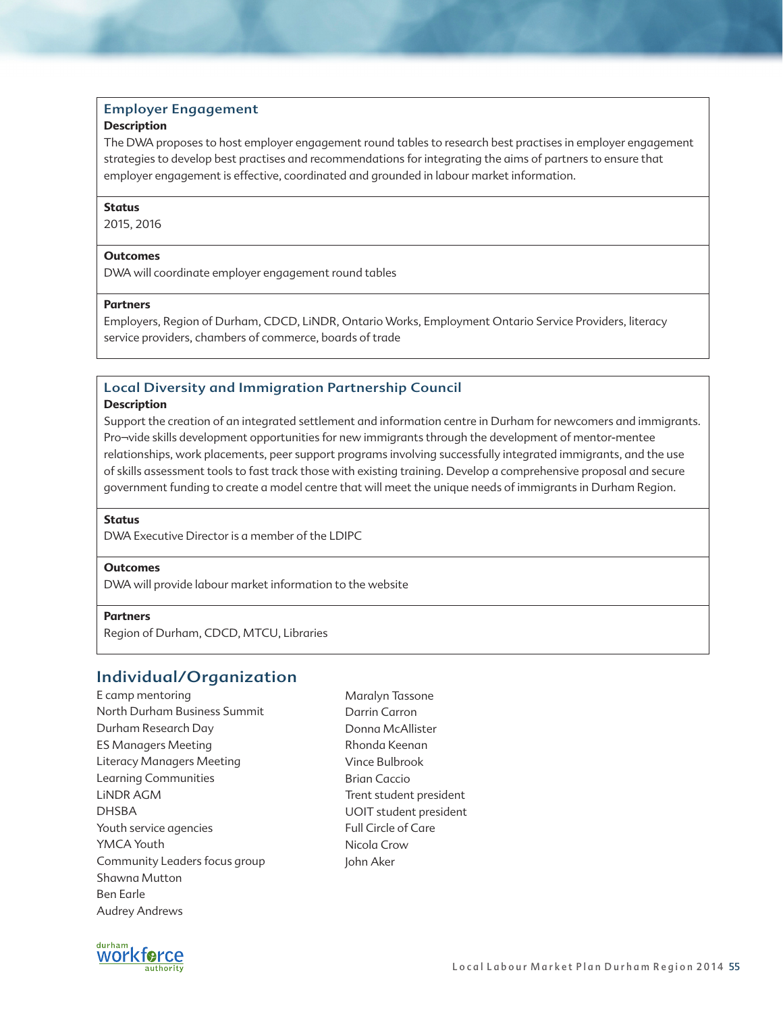# Employer Engagement

## **Description**

The DWA proposes to host employer engagement round tables to research best practises in employer engagement strategies to develop best practises and recommendations for integrating the aims of partners to ensure that employer engagement is effective, coordinated and grounded in labour market information.

### **Status**

2015, 2016

### **Outcomes**

DWA will coordinate employer engagement round tables

### **Partners**

Employers, Region of Durham, CDCD, LiNDR, Ontario Works, Employment Ontario Service Providers, literacy service providers, chambers of commerce, boards of trade

# Local Diversity and Immigration Partnership Council

### **Description**

Support the creation of an integrated settlement and information centre in Durham for newcomers and immigrants. Pro¬vide skills development opportunities for new immigrants through the development of mentor-mentee relationships, work placements, peer support programs involving successfully integrated immigrants, and the use of skills assessment tools to fast track those with existing training. Develop a comprehensive proposal and secure government funding to create a model centre that will meet the unique needs of immigrants in Durham Region.

## **Status**

DWA Executive Director is a member of the LDIPC

## **Outcomes**

DWA will provide labour market information to the website

### **Partners**

Region of Durham, CDCD, MTCU, Libraries

# Individual/Organization

E camp mentoring North Durham Business Summit Durham Research Day ES Managers Meeting Literacy Managers Meeting Learning Communities LiNDR AGM DHSBA Youth service agencies YMCA Youth Community Leaders focus group Shawna Mutton Ben Earle Audrey Andrews

Maralyn Tassone Darrin Carron Donna McAllister Rhonda Keenan Vince Bulbrook Brian Caccio Trent student president UOIT student president Full Circle of Care Nicola Crow John Aker

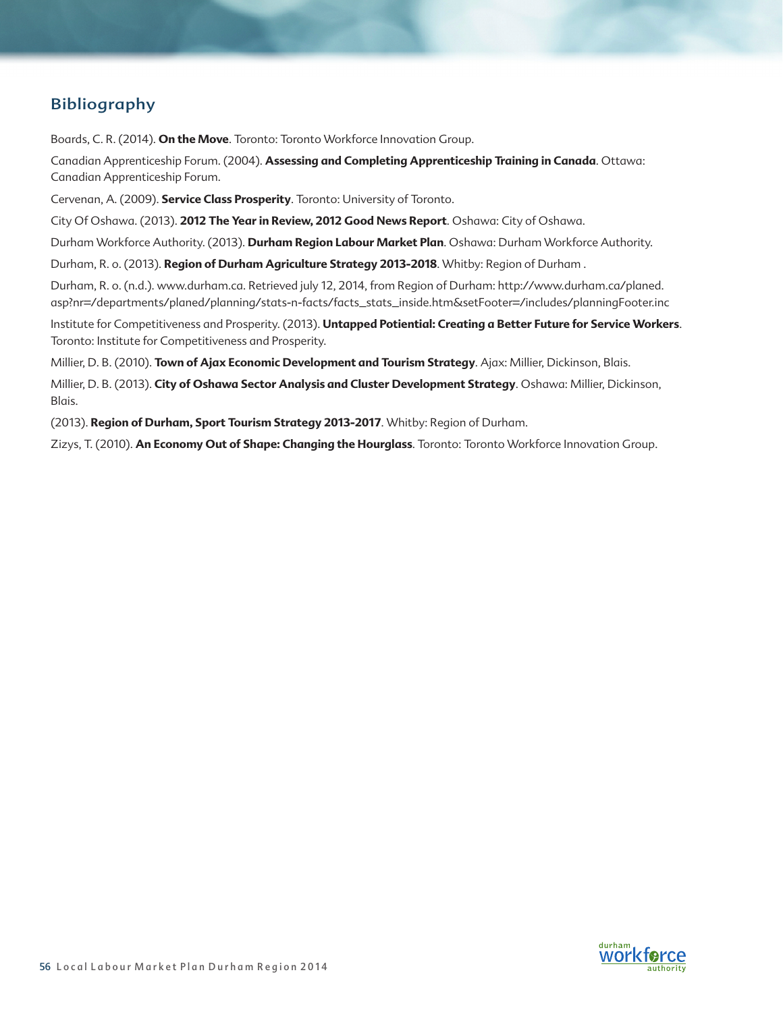# Bibliography

Boards, C. R. (2014). **On the Move**. Toronto: Toronto Workforce Innovation Group.

Canadian Apprenticeship Forum. (2004). **Assessing and Completing Apprenticeship Training in Canada**. Ottawa: Canadian Apprenticeship Forum.

Cervenan, A. (2009). **Service Class Prosperity**. Toronto: University of Toronto.

City Of Oshawa. (2013). **2012 The Year in Review, 2012 Good News Report**. Oshawa: City of Oshawa.

Durham Workforce Authority. (2013). **Durham Region Labour Market Plan**. Oshawa: Durham Workforce Authority.

Durham, R. o. (2013). **Region of Durham Agriculture Strategy 2013-2018**. Whitby: Region of Durham .

Durham, R. o. (n.d.). www.durham.ca. Retrieved july 12, 2014, from Region of Durham: http://www.durham.ca/planed. asp?nr=/departments/planed/planning/stats-n-facts/facts\_stats\_inside.htm&setFooter=/includes/planningFooter.inc

Institute for Competitiveness and Prosperity. (2013). **Untapped Potiential: Creating a Better Future for Service Workers**. Toronto: Institute for Competitiveness and Prosperity.

Millier, D. B. (2010). **Town of Ajax Economic Development and Tourism Strategy**. Ajax: Millier, Dickinson, Blais.

Millier, D. B. (2013). **City of Oshawa Sector Analysis and Cluster Development Strategy**. Oshawa: Millier, Dickinson, Blais.

(2013). **Region of Durham, Sport Tourism Strategy 2013-2017**. Whitby: Region of Durham.

Zizys, T. (2010). **An Economy Out of Shape: Changing the Hourglass**. Toronto: Toronto Workforce Innovation Group.